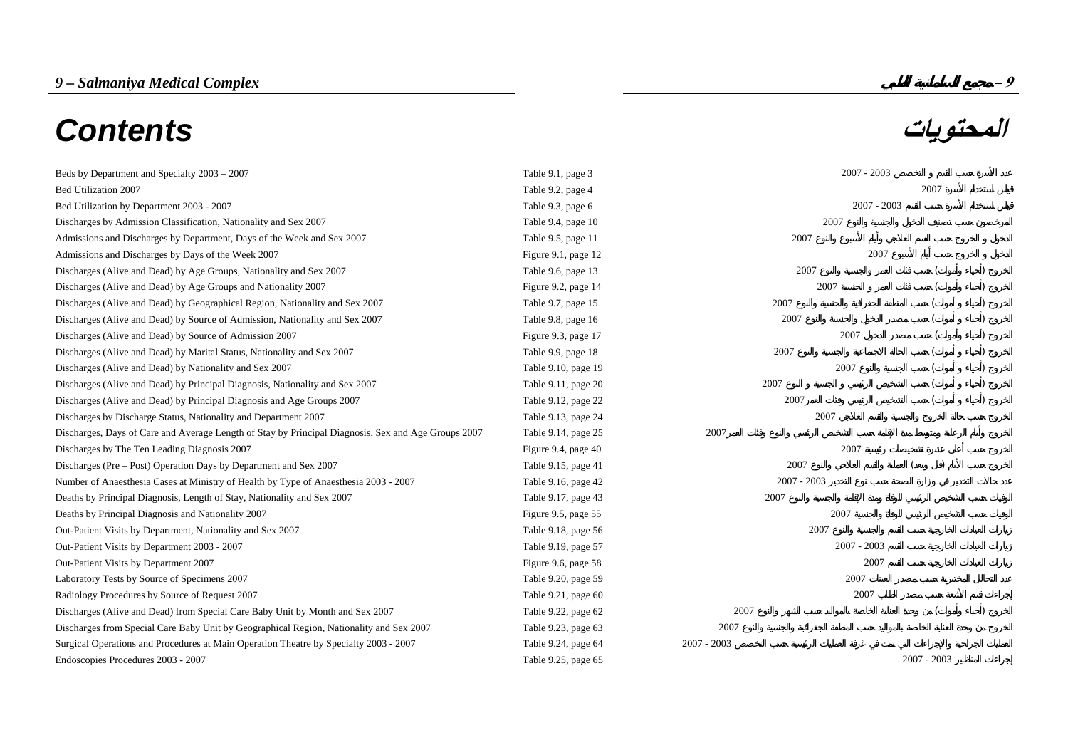# *9 – Salmaniya Medical Complex* **– 9 المحتويات** *Contents*

| Beds by Department and Specialty 2003 - 2007                                                        | Table 9.1, page 3   |               | $2007 - 2003$ |  |
|-----------------------------------------------------------------------------------------------------|---------------------|---------------|---------------|--|
| Bed Utilization 2007                                                                                | Table 9.2, page 4   |               | 2007          |  |
| Bed Utilization by Department 2003 - 2007                                                           | Table 9.3, page 6   |               | $2007 - 2003$ |  |
| Discharges by Admission Classification, Nationality and Sex 2007                                    | Table 9.4, page 10  | 2007          |               |  |
| Admissions and Discharges by Department, Days of the Week and Sex 2007                              | Table 9.5, page 11  | 2007          |               |  |
| Admissions and Discharges by Days of the Week 2007                                                  | Figure 9.1, page 12 |               | 2007          |  |
| Discharges (Alive and Dead) by Age Groups, Nationality and Sex 2007                                 | Table 9.6, page 13  | 2007          |               |  |
| Discharges (Alive and Dead) by Age Groups and Nationality 2007                                      | Figure 9.2, page 14 | 2007          |               |  |
| Discharges (Alive and Dead) by Geographical Region, Nationality and Sex 2007                        | Table 9.7, page 15  | 2007          |               |  |
| Discharges (Alive and Dead) by Source of Admission, Nationality and Sex 2007                        | Table 9.8, page 16  | 2007          |               |  |
| Discharges (Alive and Dead) by Source of Admission 2007                                             | Figure 9.3, page 17 | 2007          |               |  |
| Discharges (Alive and Dead) by Marital Status, Nationality and Sex 2007                             | Table 9.9, page 18  | 2007          |               |  |
| Discharges (Alive and Dead) by Nationality and Sex 2007                                             | Table 9.10, page 19 | 2007          |               |  |
| Discharges (Alive and Dead) by Principal Diagnosis, Nationality and Sex 2007                        | Table 9.11, page 20 | 2007          |               |  |
| Discharges (Alive and Dead) by Principal Diagnosis and Age Groups 2007                              | Table 9.12, page 22 | 2007          |               |  |
| Discharges by Discharge Status, Nationality and Department 2007                                     | Table 9.13, page 24 | 2007          |               |  |
| Discharges, Days of Care and Average Length of Stay by Principal Diagnosis, Sex and Age Groups 2007 | Table 9.14, page 25 | 2007          |               |  |
| Discharges by The Ten Leading Diagnosis 2007                                                        | Figure 9.4, page 40 | 2007          |               |  |
| Discharges (Pre – Post) Operation Days by Department and Sex 2007                                   | Table 9.15, page 41 | 2007          |               |  |
| Number of Anaesthesia Cases at Ministry of Health by Type of Anaesthesia 2003 - 2007                | Table 9.16, page 42 | $2007 - 2003$ |               |  |
| Deaths by Principal Diagnosis, Length of Stay, Nationality and Sex 2007                             | Table 9.17, page 43 | 2007          |               |  |
| Deaths by Principal Diagnosis and Nationality 2007                                                  | Figure 9.5, page 55 | 2007          |               |  |
| Out-Patient Visits by Department, Nationality and Sex 2007                                          | Table 9.18, page 56 | 2007          |               |  |
| Out-Patient Visits by Department 2003 - 2007                                                        | Table 9.19, page 57 | $2007 - 2003$ |               |  |
| Out-Patient Visits by Department 2007                                                               | Figure 9.6, page 58 |               | 2007          |  |
| Laboratory Tests by Source of Specimens 2007                                                        | Table 9.20, page 59 | 2007          |               |  |
| Radiology Procedures by Source of Request 2007                                                      | Table 9.21, page 60 |               | 2007          |  |
| Discharges (Alive and Dead) from Special Care Baby Unit by Month and Sex 2007                       | Table 9.22, page 62 | 2007          |               |  |
| Discharges from Special Care Baby Unit by Geographical Region, Nationality and Sex 2007             | Table 9.23, page 63 | 2007          |               |  |
| Surgical Operations and Procedures at Main Operation Theatre by Specialty 2003 - 2007               | Table 9.24, page 64 | $2007 - 2003$ |               |  |
| Endoscopies Procedures 2003 - 2007                                                                  | Table 9.25, page 65 |               | $2007 - 2003$ |  |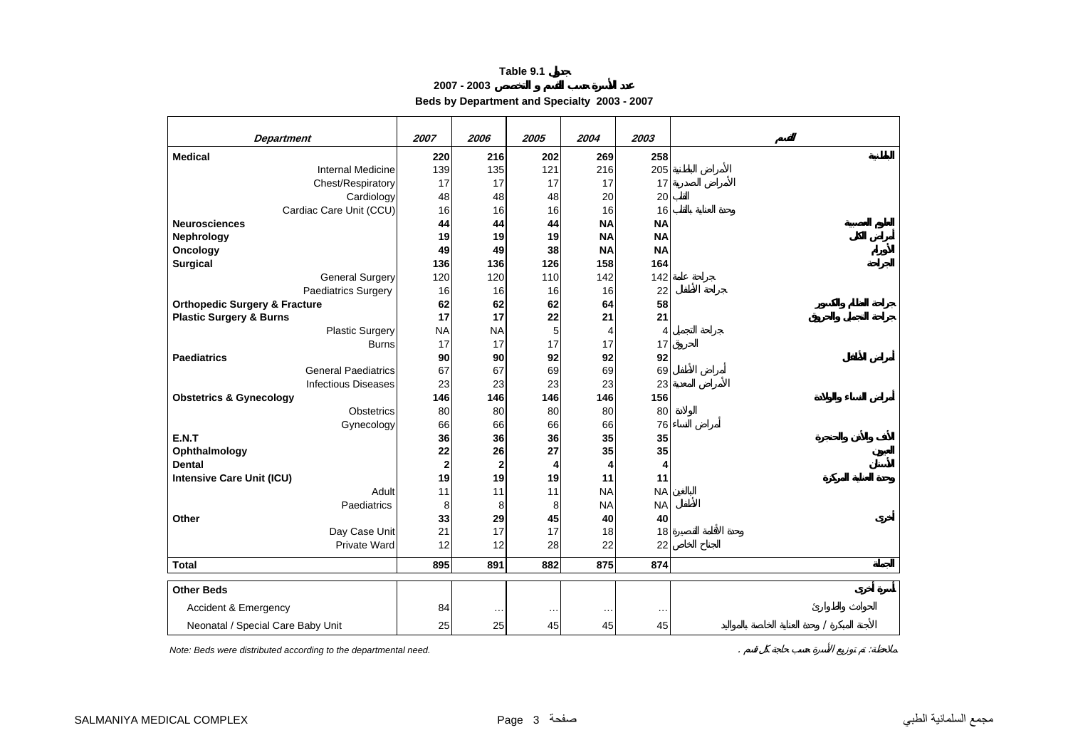**2007 - 2003**

**Beds by Department and Specialty 2003 - 2007**

| <b>Department</b>                        | 2007        | 2006         | 2005        | 2004      | 2003      |
|------------------------------------------|-------------|--------------|-------------|-----------|-----------|
| <b>Medical</b>                           | 220         | 216          | 202         | 269       | 258       |
| <b>Internal Medicine</b>                 | 139         | 135          | 121         | 216       | 205       |
| Chest/Respiratory                        | 17          | 17           | 17          | 17        | 17        |
| Cardiology                               | 48          | 48           | 48          | 20        | 20        |
| Cardiac Care Unit (CCU)                  | 16          | 16           | 16          | 16        | 16        |
| <b>Neurosciences</b>                     | 44          | 44           | 44          | <b>NA</b> | <b>NA</b> |
| Nephrology                               | 19          | 19           | 19          | <b>NA</b> | <b>NA</b> |
| Oncology                                 | 49          | 49           | 38          | <b>NA</b> | <b>NA</b> |
| <b>Surgical</b>                          | 136         | 136          | 126         | 158       | 164       |
| <b>General Surgery</b>                   | 120         | 120          | 110         | 142       | 142       |
| Paediatrics Surgery                      | 16          | 16           | 16          | 16        | 22        |
| <b>Orthopedic Surgery &amp; Fracture</b> | 62          | 62           | 62          | 64        | 58        |
| <b>Plastic Surgery &amp; Burns</b>       | 17          | 17           | 22          | 21        | 21        |
| <b>Plastic Surgery</b>                   | <b>NA</b>   | <b>NA</b>    | $\mathbf 5$ | 4         | 4         |
| <b>Burns</b>                             | 17          | 17           | 17          | 17        | 17        |
| <b>Paediatrics</b>                       | 90          | 90           | 92          | 92        | 92        |
| <b>General Paediatrics</b>               | 67          | 67           | 69          | 69        | 69        |
| <b>Infectious Diseases</b>               | 23          | 23           | 23          | 23        | 23        |
| <b>Obstetrics &amp; Gynecology</b>       | 146         | 146          | 146         | 146       | 156       |
| <b>Obstetrics</b>                        | 80          | 80           | 80          | 80        | 80        |
| Gynecology                               | 66          | 66           | 66          | 66        | 76        |
| E.N.T                                    | 36          | 36           | 36          | 35        | 35        |
| Ophthalmology                            | 22          | 26           | 27          | 35        | 35        |
| <b>Dental</b>                            | $\mathbf 2$ | $\mathbf{2}$ | 4           | 4         | 4         |
| <b>Intensive Care Unit (ICU)</b>         | 19          | 19           | 19          | 11        | 11        |
| Adult                                    | 11          | 11           | 11          | <b>NA</b> | <b>NA</b> |
| Paediatrics                              | 8           | 8            | 8           | <b>NA</b> | <b>NA</b> |
| Other                                    | 33          | 29           | 45          | 40        | 40        |
| Day Case Unit                            | 21          | 17           | 17          | 18        | 18        |
| <b>Private Ward</b>                      | 12          | 12           | 28          | 22        | 22        |
| <b>Total</b>                             | 895         | 891          | 882         | 875       | 874       |
| <b>Other Beds</b>                        |             |              |             |           |           |
| Accident & Emergency                     | 84          |              | $\cdots$    |           | $\ddotsc$ |
| Neonatal / Special Care Baby Unit        | 25          | 25           | 45          | 45        | 45        |
|                                          |             |              |             |           |           |

*Note: Beds were distributed according to the departmental need.* . :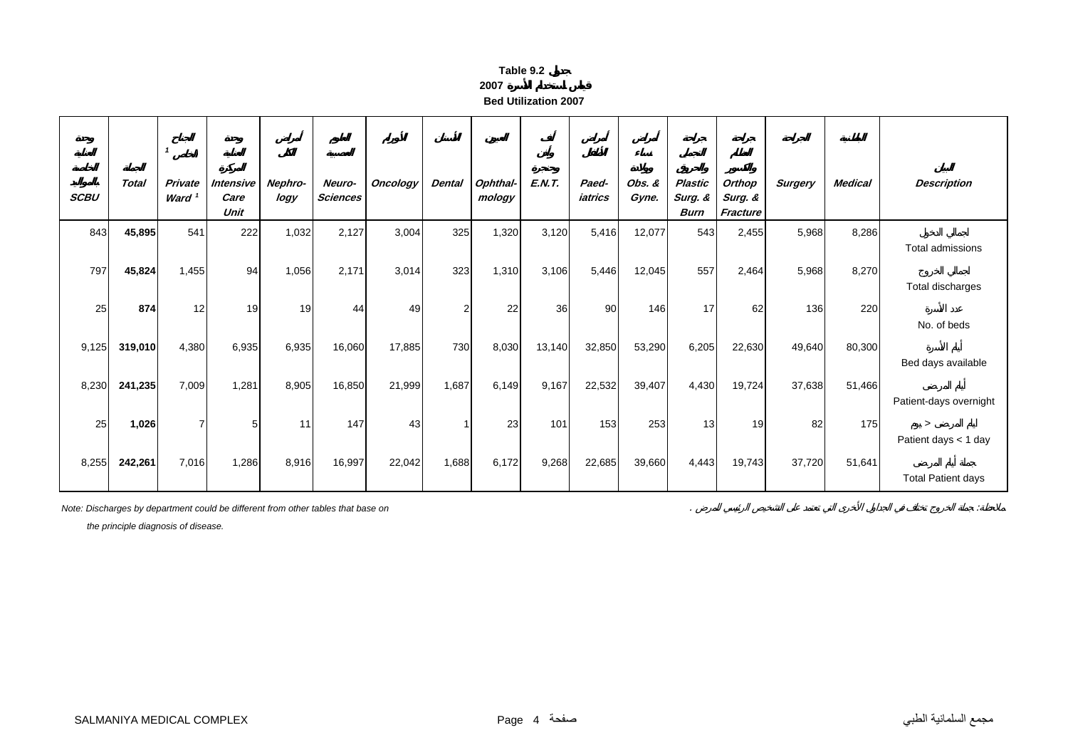| able |  |
|------|--|
|      |  |

**Bed Utilization 2007**

| <b>SCBU</b> | <b>Total</b> | Private<br>Ward <sup>1</sup> | Intensive<br>Care<br>Unit | Nephro-<br>logy | Neuro-<br><b>Sciences</b> | <b>Oncology</b> | <b>Dental</b>  | Ophthal-<br>mology | <b>E.N.T.</b> | Paed-<br>iatrics | Obs. &<br>Gyne. | Plastic<br>Surg. &<br><b>Burn</b> | Orthop<br>Surg. &<br>Fracture | <b>Surgery</b> | <b>Medical</b> | <b>Description</b>                                |
|-------------|--------------|------------------------------|---------------------------|-----------------|---------------------------|-----------------|----------------|--------------------|---------------|------------------|-----------------|-----------------------------------|-------------------------------|----------------|----------------|---------------------------------------------------|
| 843         | 45,895       | 541                          | 222                       | 1,032           | 2,127                     | 3,004           | 325            | 1,320              | 3,120         | 5,416            | 12,077          | 543                               | 2,455                         | 5,968          | 8,286          | Total admissions                                  |
| 797         | 45,824       | 1,455                        | 94                        | 1,056           | 2,171                     | 3,014           | 323            | 1,310              | 3,106         | 5,446            | 12,045          | 557                               | 2,464                         | 5,968          | 8,270          | Total discharges                                  |
| 25          | 874          | 12                           | 19                        | 19              | 44                        | 49              | $\overline{2}$ | 22                 | 36            | 90 <sub>1</sub>  | 146             | 17                                | 62                            | 136            | 220            | No. of beds                                       |
| 9,125       | 319,010      | 4,380                        | 6,935                     | 6,935           | 16,060                    | 17,885          | 730            | 8,030              | 13,140        | 32,850           | 53,290          | 6,205                             | 22,630                        | 49,640         | 80,300         | Bed days available                                |
| 8,230       | 241,235      | 7,009                        | 1,281                     | 8,905           | 16,850                    | 21,999          | 1,687          | 6,149              | 9,167         | 22,532           | 39,407          | 4,430                             | 19,724                        | 37,638         | 51,466         | Patient-days overnight                            |
| 25          | 1,026        | 7                            | 5                         | 11              | 147                       | 43              |                | 23                 | 101           | 153              | 253             | 13                                | 19                            | 82             | 175            | $\geq$                                            |
| 8,255       | 242,261      | 7,016                        | 1,286                     | 8,916           | 16,997                    | 22,042          | 1,688          | 6,172              | 9,268         | 22,685           | 39,660          | 4,443                             | 19,743                        | 37,720         | 51,641         | Patient days < 1 day<br><b>Total Patient days</b> |

*Note: Discharges by department could be different from other tables that base on* . :

 *the principle diagnosis of disease.*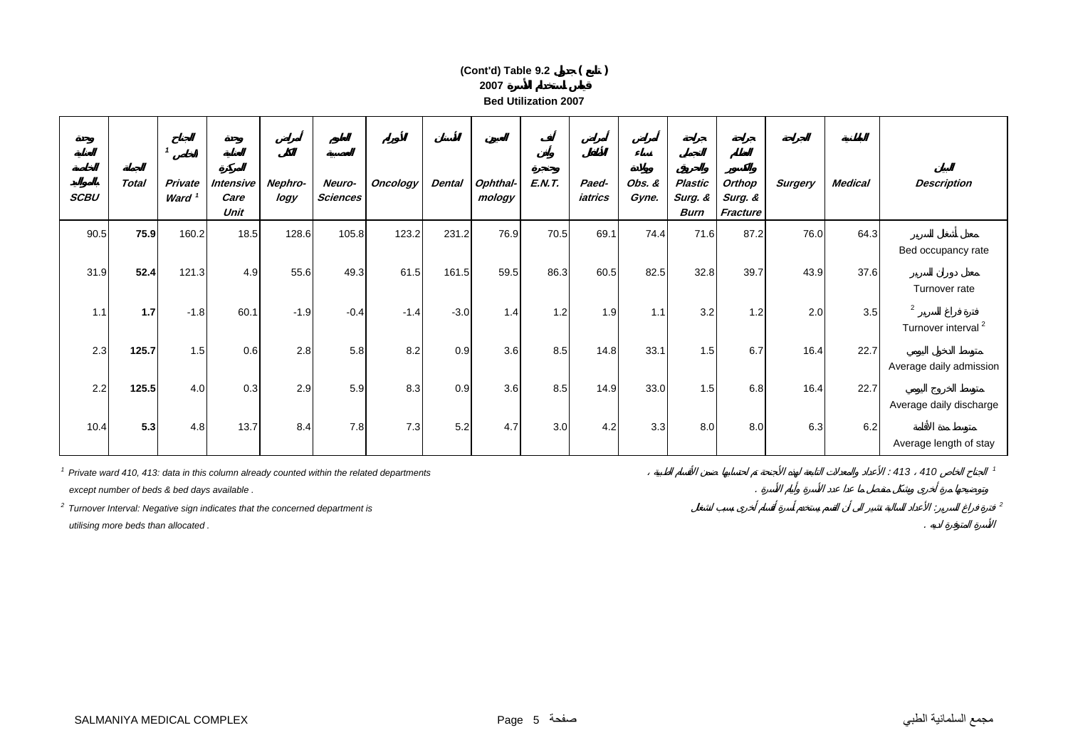#### **2007 Bed Utilization 2007(Cont'd) Table 9.2 ( )**

| <b>SCBU</b> | <b>Total</b> | $\mathbf{1}$<br>Private<br>Ward <sup>1</sup> | <b>Intensive</b><br>Care<br>Unit | Nephro-<br>logy | Neuro-<br><b>Sciences</b> | <b>Oncology</b> | <b>Dental</b> | Ophthal-<br>mology | <b>E.N.T.</b> | Paed-<br>iatrics | Obs. &<br>Gyne. | Plastic<br>Surg. &<br><b>Burn</b> | Orthop<br>Surg. &<br>Fracture | <b>Surgery</b> | Medical | <b>Description</b>                               |
|-------------|--------------|----------------------------------------------|----------------------------------|-----------------|---------------------------|-----------------|---------------|--------------------|---------------|------------------|-----------------|-----------------------------------|-------------------------------|----------------|---------|--------------------------------------------------|
| 90.5        | 75.9         | 160.2                                        | 18.5                             | 128.6           | 105.8                     | 123.2           | 231.2         | 76.9               | 70.5          | 69.1             | 74.4            | 71.6                              | 87.2                          | 76.0           | 64.3    | Bed occupancy rate                               |
| 31.9        | 52.4         | 121.3                                        | 4.9                              | 55.6            | 49.3                      | 61.5            | 161.5         | 59.5               | 86.3          | 60.5             | 82.5            | 32.8                              | 39.7                          | 43.9           | 37.6    | Turnover rate                                    |
| 1.1         | 1.7          | $-1.8$                                       | 60.1                             | $-1.9$          | $-0.4$                    | $-1.4$          | $-3.0$        | 1.4                | 1.2           | 1.9              | 1.1             | 3.2                               | 1.2                           | 2.0            | 3.5     | $\overline{2}$<br>Turnover interval <sup>2</sup> |
| 2.3         | 125.7        | 1.5                                          | 0.6                              | 2.8             | 5.8                       | 8.2             | 0.9           | 3.6                | 8.5           | 14.8             | 33.1            | 1.5                               | 6.7                           | 16.4           | 22.7    | Average daily admission                          |
| 2.2         | 125.5        | 4.0                                          | 0.3                              | 2.9             | 5.9                       | 8.3             | 0.9           | 3.6                | 8.5           | 14.9             | 33.0            | 1.5                               | 6.8                           | 16.4           | 22.7    | Average daily discharge                          |
| 10.4        | 5.3          | 4.8                                          | 13.7                             | 8.4             | 7.8                       | 7.3             | 5.2           | 4.7                | 3.0           | 4.2              | 3.3             | 8.0                               | 8.0                           | 6.3            | 6.2     | Average length of stay                           |

<sup>1</sup> Private ward 410, 413: data in this column already counted within the related departments *<sup>1</sup>* Private ward 410, 413: data in this column already counted within the related departments

 *except number of beds & bed days available .* .

*2 Turnover Interval: Negative sign indicates that the concerned department is* : *<sup>2</sup>*

 *utilising more beds than allocated .* .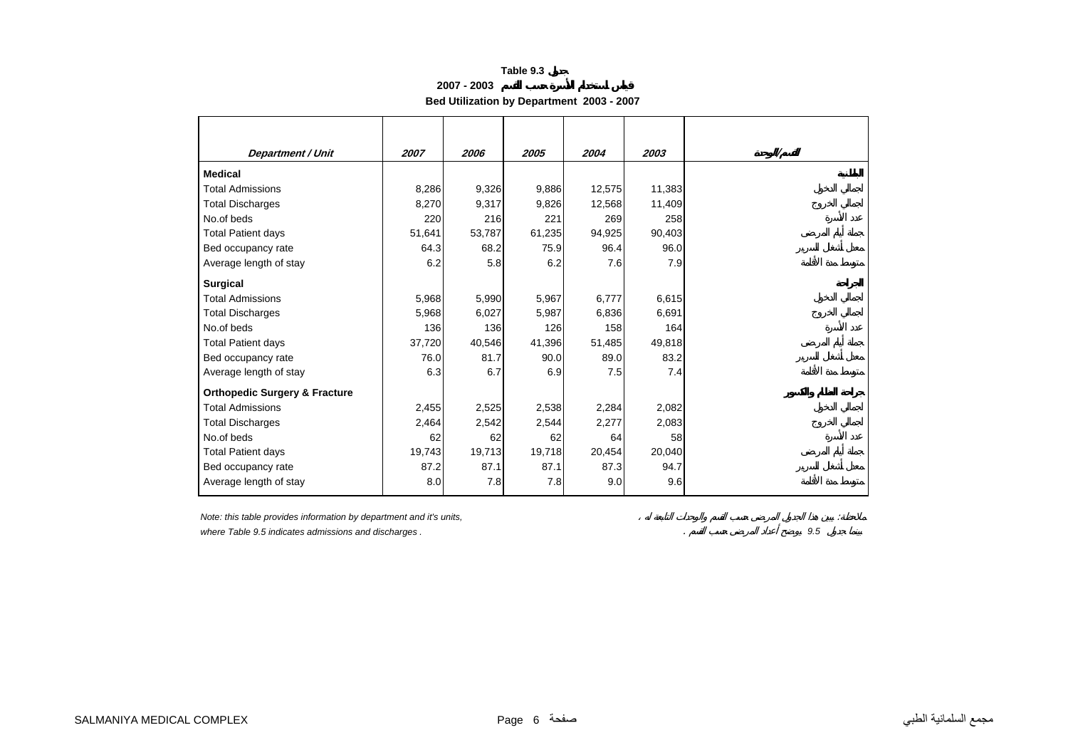**2007 - 2003**

**Bed Utilization by Department 2003 - 2007** 

| <b>Department / Unit</b>                 | 2007   | 2006   | 2005   | 2004   | 2003   |  |
|------------------------------------------|--------|--------|--------|--------|--------|--|
| <b>Medical</b>                           |        |        |        |        |        |  |
| <b>Total Admissions</b>                  | 8,286  | 9,326  | 9,886  | 12,575 | 11,383 |  |
| <b>Total Discharges</b>                  | 8,270  | 9,317  | 9,826  | 12,568 | 11,409 |  |
| No.of beds                               | 220    | 216    | 221    | 269    | 258    |  |
| <b>Total Patient days</b>                | 51,641 | 53,787 | 61,235 | 94,925 | 90,403 |  |
| Bed occupancy rate                       | 64.3   | 68.2   | 75.9   | 96.4   | 96.0   |  |
| Average length of stay                   | 6.2    | 5.8    | 6.2    | 7.6    | 7.9    |  |
| <b>Surgical</b>                          |        |        |        |        |        |  |
| <b>Total Admissions</b>                  | 5,968  | 5,990  | 5,967  | 6,777  | 6,615  |  |
| <b>Total Discharges</b>                  | 5,968  | 6,027  | 5,987  | 6,836  | 6,691  |  |
| No.of beds                               | 136    | 136    | 126    | 158    | 164    |  |
| <b>Total Patient days</b>                | 37,720 | 40,546 | 41,396 | 51,485 | 49,818 |  |
| Bed occupancy rate                       | 76.0   | 81.7   | 90.0   | 89.0   | 83.2   |  |
| Average length of stay                   | 6.3    | 6.7    | 6.9    | 7.5    | 7.4    |  |
| <b>Orthopedic Surgery &amp; Fracture</b> |        |        |        |        |        |  |
| <b>Total Admissions</b>                  | 2,455  | 2,525  | 2,538  | 2,284  | 2,082  |  |
| <b>Total Discharges</b>                  | 2,464  | 2,542  | 2,544  | 2,277  | 2,083  |  |
| No.of beds                               | 62     | 62     | 62     | 64     | 58     |  |
| <b>Total Patient days</b>                | 19,743 | 19,713 | 19,718 | 20,454 | 20,040 |  |
| Bed occupancy rate                       | 87.2   | 87.1   | 87.1   | 87.3   | 94.7   |  |
| Average length of stay                   | 8.0    | 7.8    | 7.8    | 9.0    | 9.6    |  |

*Note: this table provides information by department and it's units,* :

*where Table 9.5 indicates admissions and discharges .* . *9.5*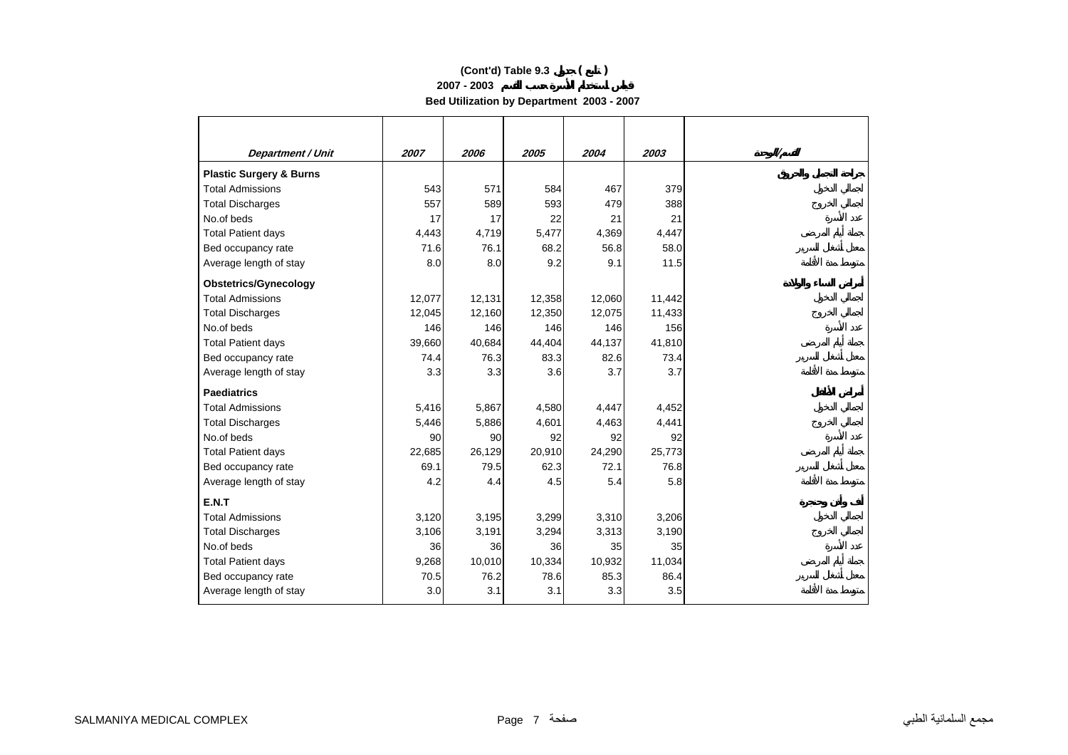**2007 - 2003**

**Bed Utilization by Department 2003 - 2007** 

| 2007<br>2006<br>2005<br>2004<br>2003<br><b>Department / Unit</b><br><b>Total Admissions</b><br>543<br>571<br>584<br>467<br>379<br>557<br>593<br>479<br>589<br>388<br>17<br>17<br>22<br>21<br>21<br>4,443<br>4,719<br>5,477<br>4,369<br>4,447<br>71.6<br>76.1<br>68.2<br>56.8<br>58.0<br>8.0<br>9.2<br>9.1<br>8.0<br>11.5<br>12,131<br>12,077<br>12,358<br>12,060<br>11,442<br>12,045<br>12,160<br>12,350<br>12,075<br>11,433<br>146<br>146<br>146<br>146<br>156<br>39,660<br><b>Total Patient days</b><br>40,684<br>44,404<br>44,137<br>41,810<br>83.3<br>82.6<br>Bed occupancy rate<br>74.4<br>76.3<br>73.4<br>3.3<br>3.7<br>3.3<br>3.6<br>3.7<br>5,416<br>5,867<br>4,580<br>4,447<br>4,452<br>5,446<br>5,886<br>4,601<br>4,463<br>4,441<br>90<br>92<br>92<br>90<br>92<br>22,685<br>26,129<br>20,910<br>24,290<br>25,773<br>69.1<br>62.3<br>79.5<br>72.1<br>76.8<br>4.2<br>4.5<br>5.4<br>5.8<br>4.4<br>3,120<br>3,195<br>3,299<br>3,310<br>3,206<br>3,106<br>3,191<br>3,294<br>3,313<br>3,190<br>36<br>36<br>35<br>35<br>36<br>9,268<br>10,010<br>10,334<br>11,034<br>10,932<br>70.5<br>76.2<br>78.6<br>85.3<br>86.4 |                        |     |     |     |     |     |  |
|-----------------------------------------------------------------------------------------------------------------------------------------------------------------------------------------------------------------------------------------------------------------------------------------------------------------------------------------------------------------------------------------------------------------------------------------------------------------------------------------------------------------------------------------------------------------------------------------------------------------------------------------------------------------------------------------------------------------------------------------------------------------------------------------------------------------------------------------------------------------------------------------------------------------------------------------------------------------------------------------------------------------------------------------------------------------------------------------------------------------------|------------------------|-----|-----|-----|-----|-----|--|
| <b>Plastic Surgery &amp; Burns</b><br><b>Total Discharges</b><br>No.of beds<br><b>Total Patient days</b><br>Bed occupancy rate<br>Average length of stay<br><b>Obstetrics/Gynecology</b><br><b>Total Admissions</b><br><b>Total Discharges</b><br>No.of beds<br>Average length of stay<br><b>Paediatrics</b><br><b>Total Admissions</b><br><b>Total Discharges</b><br>No.of beds<br><b>Total Patient days</b><br>Bed occupancy rate<br>Average length of stay<br>E.N.T<br><b>Total Admissions</b><br><b>Total Discharges</b><br>No.of beds<br><b>Total Patient days</b><br>Bed occupancy rate                                                                                                                                                                                                                                                                                                                                                                                                                                                                                                                         |                        |     |     |     |     |     |  |
|                                                                                                                                                                                                                                                                                                                                                                                                                                                                                                                                                                                                                                                                                                                                                                                                                                                                                                                                                                                                                                                                                                                       |                        |     |     |     |     |     |  |
|                                                                                                                                                                                                                                                                                                                                                                                                                                                                                                                                                                                                                                                                                                                                                                                                                                                                                                                                                                                                                                                                                                                       |                        |     |     |     |     |     |  |
|                                                                                                                                                                                                                                                                                                                                                                                                                                                                                                                                                                                                                                                                                                                                                                                                                                                                                                                                                                                                                                                                                                                       |                        |     |     |     |     |     |  |
|                                                                                                                                                                                                                                                                                                                                                                                                                                                                                                                                                                                                                                                                                                                                                                                                                                                                                                                                                                                                                                                                                                                       |                        |     |     |     |     |     |  |
|                                                                                                                                                                                                                                                                                                                                                                                                                                                                                                                                                                                                                                                                                                                                                                                                                                                                                                                                                                                                                                                                                                                       |                        |     |     |     |     |     |  |
|                                                                                                                                                                                                                                                                                                                                                                                                                                                                                                                                                                                                                                                                                                                                                                                                                                                                                                                                                                                                                                                                                                                       |                        |     |     |     |     |     |  |
|                                                                                                                                                                                                                                                                                                                                                                                                                                                                                                                                                                                                                                                                                                                                                                                                                                                                                                                                                                                                                                                                                                                       |                        |     |     |     |     |     |  |
|                                                                                                                                                                                                                                                                                                                                                                                                                                                                                                                                                                                                                                                                                                                                                                                                                                                                                                                                                                                                                                                                                                                       |                        |     |     |     |     |     |  |
|                                                                                                                                                                                                                                                                                                                                                                                                                                                                                                                                                                                                                                                                                                                                                                                                                                                                                                                                                                                                                                                                                                                       |                        |     |     |     |     |     |  |
|                                                                                                                                                                                                                                                                                                                                                                                                                                                                                                                                                                                                                                                                                                                                                                                                                                                                                                                                                                                                                                                                                                                       |                        |     |     |     |     |     |  |
|                                                                                                                                                                                                                                                                                                                                                                                                                                                                                                                                                                                                                                                                                                                                                                                                                                                                                                                                                                                                                                                                                                                       |                        |     |     |     |     |     |  |
|                                                                                                                                                                                                                                                                                                                                                                                                                                                                                                                                                                                                                                                                                                                                                                                                                                                                                                                                                                                                                                                                                                                       |                        |     |     |     |     |     |  |
|                                                                                                                                                                                                                                                                                                                                                                                                                                                                                                                                                                                                                                                                                                                                                                                                                                                                                                                                                                                                                                                                                                                       |                        |     |     |     |     |     |  |
|                                                                                                                                                                                                                                                                                                                                                                                                                                                                                                                                                                                                                                                                                                                                                                                                                                                                                                                                                                                                                                                                                                                       |                        |     |     |     |     |     |  |
|                                                                                                                                                                                                                                                                                                                                                                                                                                                                                                                                                                                                                                                                                                                                                                                                                                                                                                                                                                                                                                                                                                                       |                        |     |     |     |     |     |  |
|                                                                                                                                                                                                                                                                                                                                                                                                                                                                                                                                                                                                                                                                                                                                                                                                                                                                                                                                                                                                                                                                                                                       |                        |     |     |     |     |     |  |
|                                                                                                                                                                                                                                                                                                                                                                                                                                                                                                                                                                                                                                                                                                                                                                                                                                                                                                                                                                                                                                                                                                                       |                        |     |     |     |     |     |  |
|                                                                                                                                                                                                                                                                                                                                                                                                                                                                                                                                                                                                                                                                                                                                                                                                                                                                                                                                                                                                                                                                                                                       |                        |     |     |     |     |     |  |
|                                                                                                                                                                                                                                                                                                                                                                                                                                                                                                                                                                                                                                                                                                                                                                                                                                                                                                                                                                                                                                                                                                                       |                        |     |     |     |     |     |  |
|                                                                                                                                                                                                                                                                                                                                                                                                                                                                                                                                                                                                                                                                                                                                                                                                                                                                                                                                                                                                                                                                                                                       |                        |     |     |     |     |     |  |
|                                                                                                                                                                                                                                                                                                                                                                                                                                                                                                                                                                                                                                                                                                                                                                                                                                                                                                                                                                                                                                                                                                                       |                        |     |     |     |     |     |  |
|                                                                                                                                                                                                                                                                                                                                                                                                                                                                                                                                                                                                                                                                                                                                                                                                                                                                                                                                                                                                                                                                                                                       |                        |     |     |     |     |     |  |
|                                                                                                                                                                                                                                                                                                                                                                                                                                                                                                                                                                                                                                                                                                                                                                                                                                                                                                                                                                                                                                                                                                                       |                        |     |     |     |     |     |  |
|                                                                                                                                                                                                                                                                                                                                                                                                                                                                                                                                                                                                                                                                                                                                                                                                                                                                                                                                                                                                                                                                                                                       |                        |     |     |     |     |     |  |
|                                                                                                                                                                                                                                                                                                                                                                                                                                                                                                                                                                                                                                                                                                                                                                                                                                                                                                                                                                                                                                                                                                                       |                        |     |     |     |     |     |  |
|                                                                                                                                                                                                                                                                                                                                                                                                                                                                                                                                                                                                                                                                                                                                                                                                                                                                                                                                                                                                                                                                                                                       |                        |     |     |     |     |     |  |
|                                                                                                                                                                                                                                                                                                                                                                                                                                                                                                                                                                                                                                                                                                                                                                                                                                                                                                                                                                                                                                                                                                                       |                        |     |     |     |     |     |  |
|                                                                                                                                                                                                                                                                                                                                                                                                                                                                                                                                                                                                                                                                                                                                                                                                                                                                                                                                                                                                                                                                                                                       |                        |     |     |     |     |     |  |
|                                                                                                                                                                                                                                                                                                                                                                                                                                                                                                                                                                                                                                                                                                                                                                                                                                                                                                                                                                                                                                                                                                                       | Average length of stay | 3.0 | 3.1 | 3.1 | 3.3 | 3.5 |  |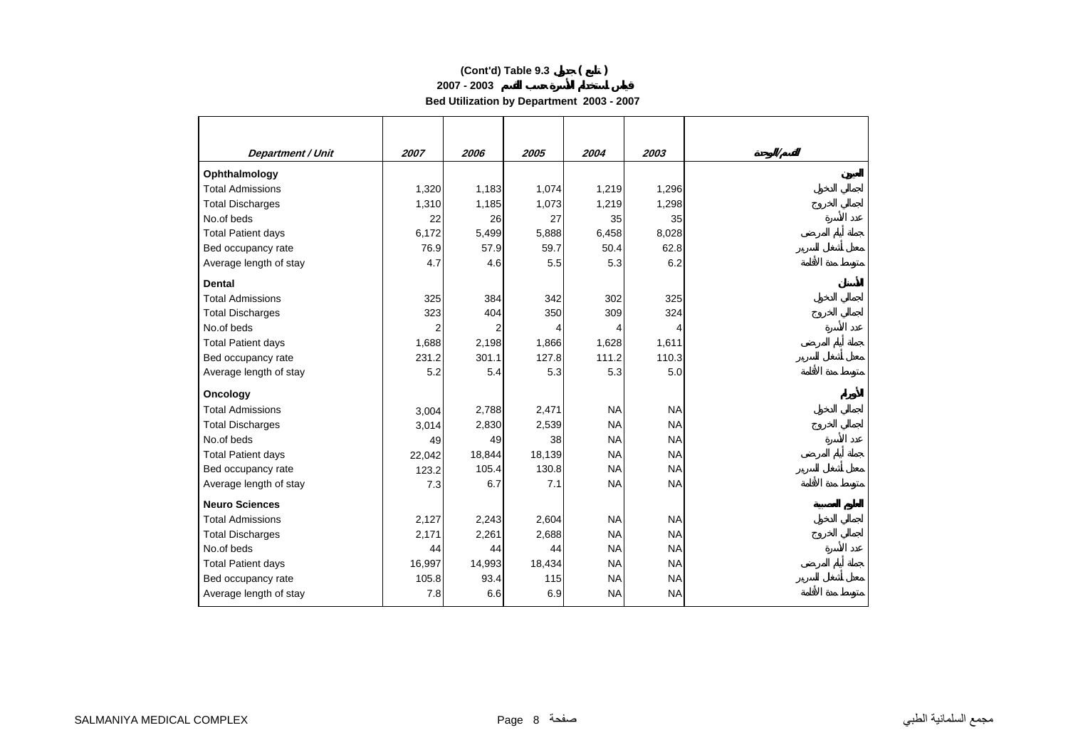**2007 - 2003**

**Bed Utilization by Department 2003 - 2007** 

| Department / Unit         | 2007   | 2006   | 2005   | 2004      | 2003      |  |
|---------------------------|--------|--------|--------|-----------|-----------|--|
| Ophthalmology             |        |        |        |           |           |  |
| <b>Total Admissions</b>   | 1,320  | 1,183  | 1,074  | 1,219     | 1,296     |  |
| <b>Total Discharges</b>   | 1,310  | 1,185  | 1,073  | 1,219     | 1,298     |  |
| No.of beds                | 22     | 26     | 27     | 35        | 35        |  |
| <b>Total Patient days</b> | 6,172  | 5,499  | 5,888  | 6,458     | 8,028     |  |
| Bed occupancy rate        | 76.9   | 57.9   | 59.7   | 50.4      | 62.8      |  |
| Average length of stay    | 4.7    | 4.6    | 5.5    | 5.3       | 6.2       |  |
| <b>Dental</b>             |        |        |        |           |           |  |
| <b>Total Admissions</b>   | 325    | 384    | 342    | 302       | 325       |  |
| <b>Total Discharges</b>   | 323    | 404    | 350    | 309       | 324       |  |
| No.of beds                | 2      | 2      | 4      | 4         | 4         |  |
| <b>Total Patient days</b> | 1,688  | 2,198  | 1,866  | 1,628     | 1,611     |  |
| Bed occupancy rate        | 231.2  | 301.1  | 127.8  | 111.2     | 110.3     |  |
| Average length of stay    | 5.2    | 5.4    | 5.3    | 5.3       | 5.0       |  |
| Oncology                  |        |        |        |           |           |  |
| <b>Total Admissions</b>   | 3,004  | 2,788  | 2,471  | <b>NA</b> | <b>NA</b> |  |
| <b>Total Discharges</b>   | 3,014  | 2,830  | 2,539  | <b>NA</b> | <b>NA</b> |  |
| No.of beds                | 49     | 49     | 38     | <b>NA</b> | <b>NA</b> |  |
| <b>Total Patient days</b> | 22,042 | 18,844 | 18,139 | <b>NA</b> | <b>NA</b> |  |
| Bed occupancy rate        | 123.2  | 105.4  | 130.8  | <b>NA</b> | <b>NA</b> |  |
| Average length of stay    | 7.3    | 6.7    | 7.1    | <b>NA</b> | <b>NA</b> |  |
| <b>Neuro Sciences</b>     |        |        |        |           |           |  |
| <b>Total Admissions</b>   | 2,127  | 2,243  | 2,604  | <b>NA</b> | <b>NA</b> |  |
| <b>Total Discharges</b>   | 2,171  | 2,261  | 2,688  | <b>NA</b> | <b>NA</b> |  |
| No.of beds                | 44     | 44     | 44     | <b>NA</b> | <b>NA</b> |  |
| <b>Total Patient days</b> | 16,997 | 14,993 | 18,434 | <b>NA</b> | <b>NA</b> |  |
| Bed occupancy rate        | 105.8  | 93.4   | 115    | <b>NA</b> | <b>NA</b> |  |
| Average length of stay    | 7.8    | 6.6    | 6.9    | <b>NA</b> | <b>NA</b> |  |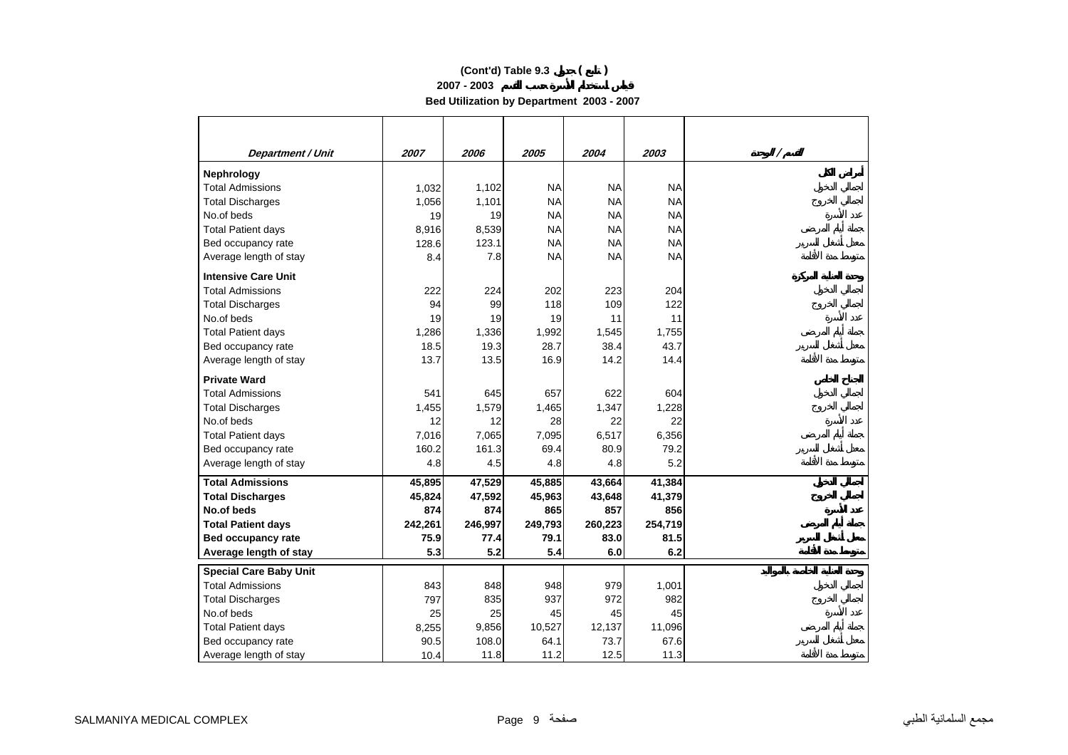**2007 - 2003**

**Bed Utilization by Department 2003 - 2007** 

| <b>Department / Unit</b>      | 2007    | 2006    | 2005      | 2004      | 2003      | Ι |
|-------------------------------|---------|---------|-----------|-----------|-----------|---|
| Nephrology                    |         |         |           |           |           |   |
| <b>Total Admissions</b>       | 1,032   | 1,102   | <b>NA</b> | <b>NA</b> | <b>NA</b> |   |
| <b>Total Discharges</b>       | 1,056   | 1,101   | <b>NA</b> | <b>NA</b> | <b>NA</b> |   |
| No.of beds                    | 19      | 19      | <b>NA</b> | <b>NA</b> | <b>NA</b> |   |
| <b>Total Patient days</b>     | 8,916   | 8,539   | <b>NA</b> | <b>NA</b> | <b>NA</b> |   |
| Bed occupancy rate            | 128.6   | 123.1   | <b>NA</b> | <b>NA</b> | <b>NA</b> |   |
| Average length of stay        | 8.4     | 7.8     | <b>NA</b> | <b>NA</b> | <b>NA</b> |   |
| <b>Intensive Care Unit</b>    |         |         |           |           |           |   |
| <b>Total Admissions</b>       | 222     | 224     | 202       | 223       | 204       |   |
| <b>Total Discharges</b>       | 94      | 99      | 118       | 109       | 122       |   |
| No.of beds                    | 19      | 19      | 19        | 11        | 11        |   |
| <b>Total Patient days</b>     | 1,286   | 1,336   | 1,992     | 1,545     | 1,755     |   |
| Bed occupancy rate            | 18.5    | 19.3    | 28.7      | 38.4      | 43.7      |   |
| Average length of stay        | 13.7    | 13.5    | 16.9      | 14.2      | 14.4      |   |
| <b>Private Ward</b>           |         |         |           |           |           |   |
| <b>Total Admissions</b>       | 541     | 645     | 657       | 622       | 604       |   |
| <b>Total Discharges</b>       | 1,455   | 1,579   | 1,465     | 1,347     | 1,228     |   |
| No.of beds                    | 12      | 12      | 28        | 22        | 22        |   |
| <b>Total Patient days</b>     | 7,016   | 7,065   | 7,095     | 6,517     | 6,356     |   |
| Bed occupancy rate            | 160.2   | 161.3   | 69.4      | 80.9      | 79.2      |   |
| Average length of stay        | 4.8     | 4.5     | 4.8       | 4.8       | 5.2       |   |
| <b>Total Admissions</b>       | 45,895  | 47,529  | 45,885    | 43,664    | 41,384    |   |
| <b>Total Discharges</b>       | 45,824  | 47,592  | 45,963    | 43,648    | 41,379    |   |
| No.of beds                    | 874     | 874     | 865       | 857       | 856       |   |
| <b>Total Patient days</b>     | 242,261 | 246,997 | 249,793   | 260,223   | 254,719   |   |
| <b>Bed occupancy rate</b>     | 75.9    | 77.4    | 79.1      | 83.0      | 81.5      |   |
| Average length of stay        | 5.3     | 5.2     | 5.4       | 6.0       | 6.2       |   |
| <b>Special Care Baby Unit</b> |         |         |           |           |           |   |
| <b>Total Admissions</b>       | 843     | 848     | 948       | 979       | 1,001     |   |
| <b>Total Discharges</b>       | 797     | 835     | 937       | 972       | 982       |   |
| No.of beds                    | 25      | 25      | 45        | 45        | 45        |   |
| <b>Total Patient days</b>     | 8,255   | 9,856   | 10,527    | 12,137    | 11,096    |   |
| Bed occupancy rate            | 90.5    | 108.0   | 64.1      | 73.7      | 67.6      |   |
| Average length of stay        | 10.4    | 11.8    | 11.2      | 12.5      | 11.3      |   |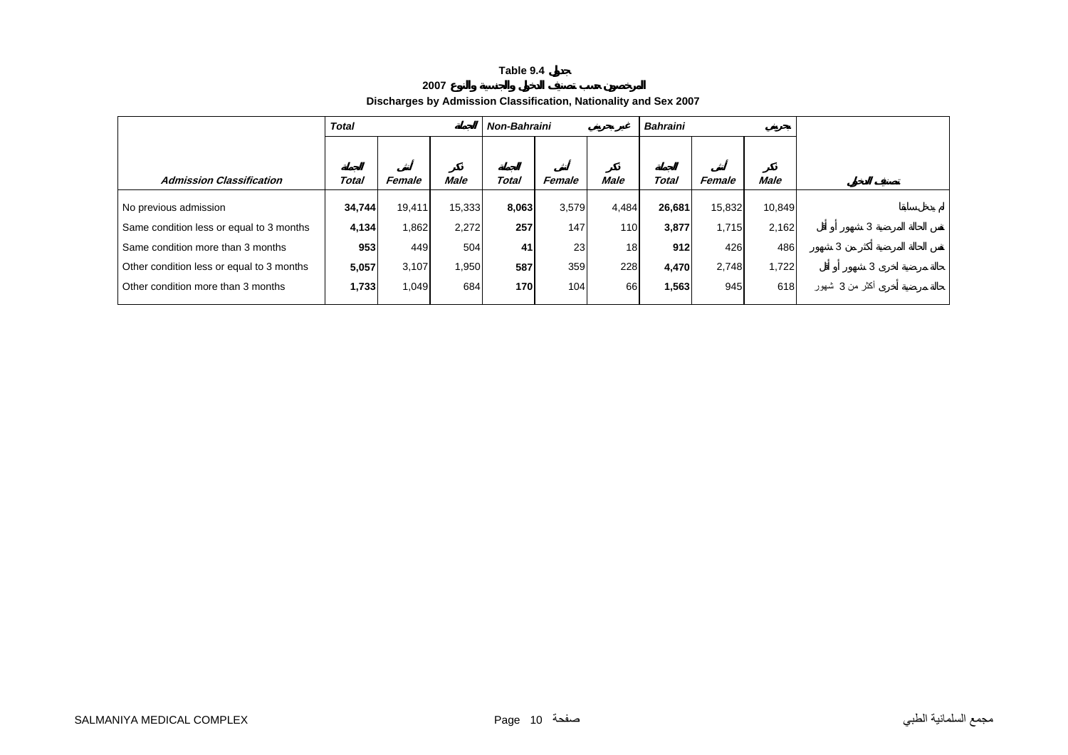**2007**

#### **Discharges by Admission Classification, Nationality and Sex 2007**

|                                           | <b>Total</b> |        |        | <b>Non-Bahraini</b> |        |       | <b>Bahraini</b> |        |             |                |
|-------------------------------------------|--------------|--------|--------|---------------------|--------|-------|-----------------|--------|-------------|----------------|
|                                           |              |        |        |                     |        |       |                 |        |             |                |
| <b>Admission Classification</b>           | Total        | Female | Male   | Total               | Female | Male  | Total           | Female | <b>Male</b> |                |
| No previous admission                     | 34,744       | 19,411 | 15,333 | 8,063               | 3,579  | 4,484 | 26,681          | 15,832 | 10,849      |                |
| Same condition less or equal to 3 months  | 4,134        | 1,862  | 2,272  | 257                 | 147    | 110   | 3,877           | 1.715  | 2,162       | 3              |
| Same condition more than 3 months         | 953          | 449    | 504    | 41                  | 23     | 18    | 912             | 426    | 486         | 3              |
| Other condition less or equal to 3 months | 5,057        | 3,107  | 1,950  | 587                 | 359    | 228   | 4,470           | 2,748  | 1,722       | 3              |
| Other condition more than 3 months        | 1,733        | 1,049  | 684    | 170                 | 104    | 66    | 1,563           | 945    | 618         | اکثر من 3 شھور |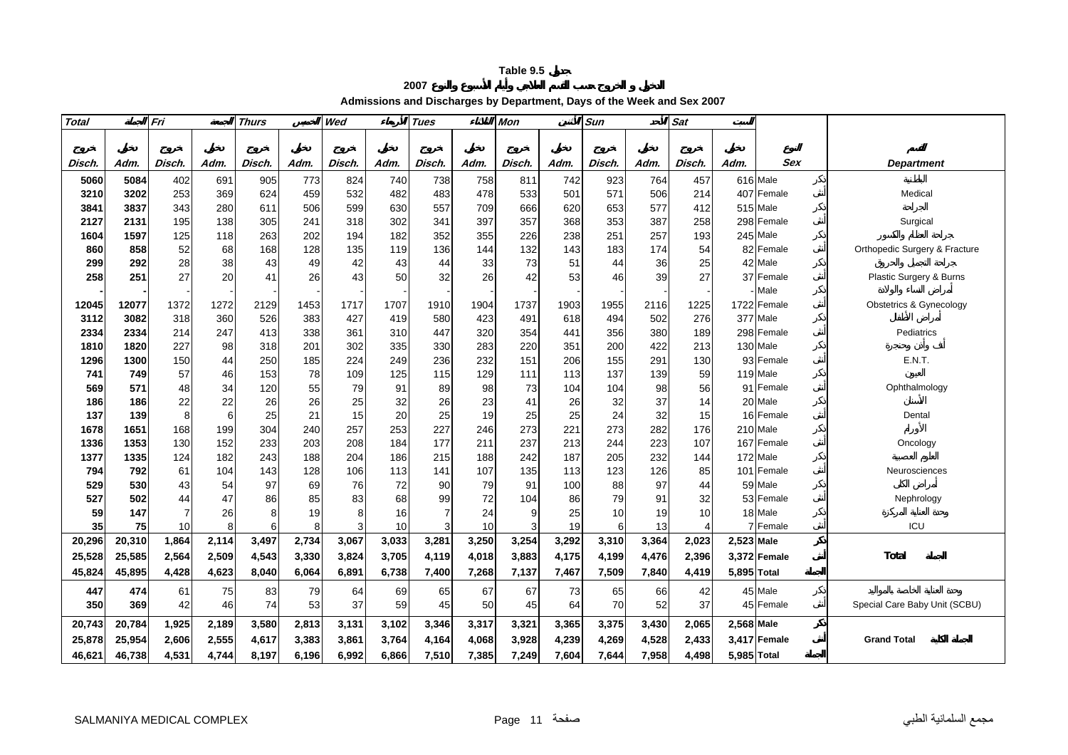**2007**

#### **Admissions and Discharges by Department, Days of the Week and Sex 2007**

| <b>Total</b> |        | Fri            |       | <b>Thurs</b> |       | Wed    |       | <b>Tues</b> |       | Mon    |       | Sun    |       | Sat    |             |              |                               |
|--------------|--------|----------------|-------|--------------|-------|--------|-------|-------------|-------|--------|-------|--------|-------|--------|-------------|--------------|-------------------------------|
|              |        |                |       |              |       |        |       |             |       |        |       |        |       |        |             |              |                               |
|              |        |                |       |              |       |        |       |             |       |        |       |        |       |        |             |              |                               |
| Disch.       | Adm.   | Disch.         | Adm.  | Disch.       | Adm.  | Disch. | Adm.  | Disch.      | Adm.  | Disch. | Adm.  | Disch. | Adm.  | Disch. | Adm.        | Sex          | <b>Department</b>             |
| 5060         | 5084   | 402            | 691   | 905          | 773   | 824    | 740   | 738         | 758   | 811    | 742   | 923    | 764   | 457    |             | 616 Male     |                               |
| 3210         | 3202   | 253            | 369   | 624          | 459   | 532    | 482   | 483         | 478   | 533    | 501   | 571    | 506   | 214    |             | 407 Female   | Medical                       |
| 3841         | 3837   | 343            | 280   | 611          | 506   | 599    | 630   | 557         | 709   | 666    | 620   | 653    | 577   | 412    |             | 515 Male     |                               |
| 2127         | 2131   | 195            | 138   | 305          | 241   | 318    | 302   | 341         | 397   | 357    | 368   | 353    | 387   | 258    |             | 298 Female   | Surgical                      |
| 1604         | 1597   | 125            | 118   | 263          | 202   | 194    | 182   | 352         | 355   | 226    | 238   | 251    | 257   | 193    |             | 245 Male     |                               |
| 860          | 858    | 52             | 68    | 168          | 128   | 135    | 119   | 136         | 144   | 132    | 143   | 183    | 174   | 54     |             | 82 Female    | Orthopedic Surgery & Fracture |
| 299          | 292    | 28             | 38    | 43           | 49    | 42     | 43    | 44          | 33    | 73     | 51    | 44     | 36    | 25     | 42          | Male         |                               |
| 258          | 251    | 27             | 20    | 41           | 26    | 43     | 50    | 32          | 26    | 42     | 53    | 46     | 39    | 27     | 37          | Female       | Plastic Surgery & Burns       |
|              |        |                |       |              |       |        |       |             |       |        |       |        |       |        |             | Male         |                               |
| 12045        | 12077  | 1372           | 1272  | 2129         | 1453  | 1717   | 1707  | 1910        | 1904  | 1737   | 1903  | 1955   | 2116  | 1225   |             | 1722 Female  | Obstetrics & Gynecology       |
| 3112         | 3082   | 318            | 360   | 526          | 383   | 427    | 419   | 580         | 423   | 491    | 618   | 494    | 502   | 276    |             | 377 Male     |                               |
| 2334         | 2334   | 214            | 247   | 413          | 338   | 361    | 310   | 447         | 320   | 354    | 441   | 356    | 380   | 189    |             | 298 Female   | Pediatrics                    |
| 1810         | 1820   | 227            | 98    | 318          | 201   | 302    | 335   | 330         | 283   | 220    | 351   | 200    | 422   | 213    |             | 130 Male     |                               |
| 1296         | 1300   | 150            | 44    | 250          | 185   | 224    | 249   | 236         | 232   | 151    | 206   | 155    | 291   | 130    |             | 93 Female    | <b>E.N.T.</b>                 |
| 741          | 749    | 57             | 46    | 153          | 78    | 109    | 125   | 115         | 129   | 111    | 113   | 137    | 139   | 59     |             | 119 Male     |                               |
| 569          | 571    | 48             | 34    | 120          | 55    | 79     | 91    | 89          | 98    | 73     | 104   | 104    | 98    | 56     | 91          | Female       | Ophthalmology                 |
| 186          | 186    | 22             | 22    | 26           | 26    | 25     | 32    | 26          | 23    | 41     | 26    | 32     | 37    | 14     |             | 20 Male      |                               |
| 137          | 139    | 8              | 6     | 25           | 21    | 15     | 20    | 25          | 19    | 25     | 25    | 24     | 32    | 15     |             | 16 Female    | Dental                        |
| 1678         | 1651   | 168            | 199   | 304          | 240   | 257    | 253   | 227         | 246   | 273    | 221   | 273    | 282   | 176    |             | 210 Male     |                               |
| 1336         | 1353   | 130            | 152   | 233          | 203   | 208    | 184   | 177         | 211   | 237    | 213   | 244    | 223   | 107    |             | 167 Female   | Oncology                      |
| 1377         | 1335   | 124            | 182   | 243          | 188   | 204    | 186   | 215         | 188   | 242    | 187   | 205    | 232   | 144    |             | 172 Male     |                               |
| 794          | 792    | 61             | 104   | 143          | 128   | 106    | 113   | 141         | 107   | 135    | 113   | 123    | 126   | 85     | 101         | Female       | Neurosciences                 |
| 529          | 530    | 43             | 54    | 97           | 69    | 76     | 72    | 90          | 79    | 91     | 100   | 88     | 97    | 44     |             | 59 Male      |                               |
| 527          | 502    | 44             | 47    | 86           | 85    | 83     | 68    | 99          | 72    | 104    | 86    | 79     | 91    | 32     |             | 53 Female    | Nephrology                    |
| 59           | 147    | $\overline{7}$ | 26    | 8            | 19    | 8      | 16    | 7           | 24    | 9      | 25    | 10     | 19    | 10     |             | 18 Male      |                               |
| 35           | 75     | 10             | 8     | 6            | 8     | 3      | 10    | 3           | 10    | 3      | 19    | 6      | 13    |        |             | Female       | ICU                           |
| 20,296       | 20,310 | 1,864          | 2,114 | 3,497        | 2,734 | 3,067  | 3,033 | 3,281       | 3,250 | 3,254  | 3,292 | 3,310  | 3,364 | 2,023  | 2,523 Male  |              |                               |
| 25,528       | 25,585 | 2,564          | 2,509 | 4,543        | 3,330 | 3,824  | 3,705 | 4,119       | 4,018 | 3,883  | 4,175 | 4,199  | 4,476 | 2,396  |             | 3,372 Female | Total                         |
| 45,824       | 45,895 | 4,428          | 4,623 | 8,040        | 6,064 | 6,891  | 6,738 | 7,400       | 7,268 | 7,137  | 7,467 | 7,509  | 7,840 | 4,419  | 5,895 Total |              |                               |
| 447          | 474    | 61             | 75    | 83           | 79    | 64     | 69    | 65          | 67    | 67     | 73    | 65     | 66    | 42     |             | 45 Male      |                               |
| 350          | 369    | 42             | 46    | 74           | 53    | 37     | 59    | 45          | 50    | 45     | 64    | 70     | 52    | 37     |             | 45 Female    | Special Care Baby Unit (SCBU) |
| 20,743       | 20,784 | 1,925          | 2,189 | 3,580        | 2,813 | 3,131  | 3,102 | 3,346       | 3,317 | 3,321  | 3,365 | 3,375  | 3,430 | 2,065  | 2,568 Male  |              |                               |
| 25,878       | 25,954 | 2,606          | 2,555 | 4,617        | 3,383 | 3,861  | 3,764 | 4,164       | 4,068 | 3,928  | 4,239 | 4,269  | 4,528 | 2,433  |             | 3,417 Female | <b>Grand Total</b>            |
| 46,621       | 46,738 | 4,531          | 4,744 | 8,197        | 6,196 | 6,992  | 6,866 | 7,510       | 7,385 | 7,249  | 7,604 | 7,644  | 7,958 | 4,498  | 5,985 Total |              |                               |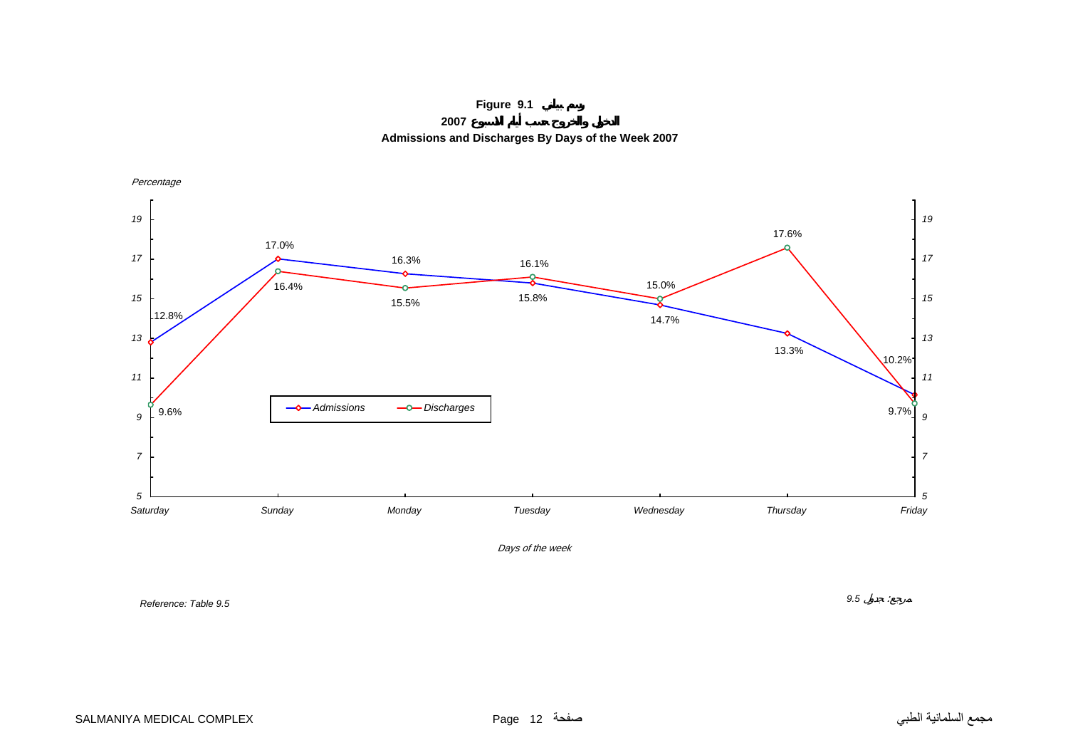**Figure 9.1**

**2007**

**Admissions and Discharges By Days of the Week 2007**



*Reference: Table 9.5*

*9.5* :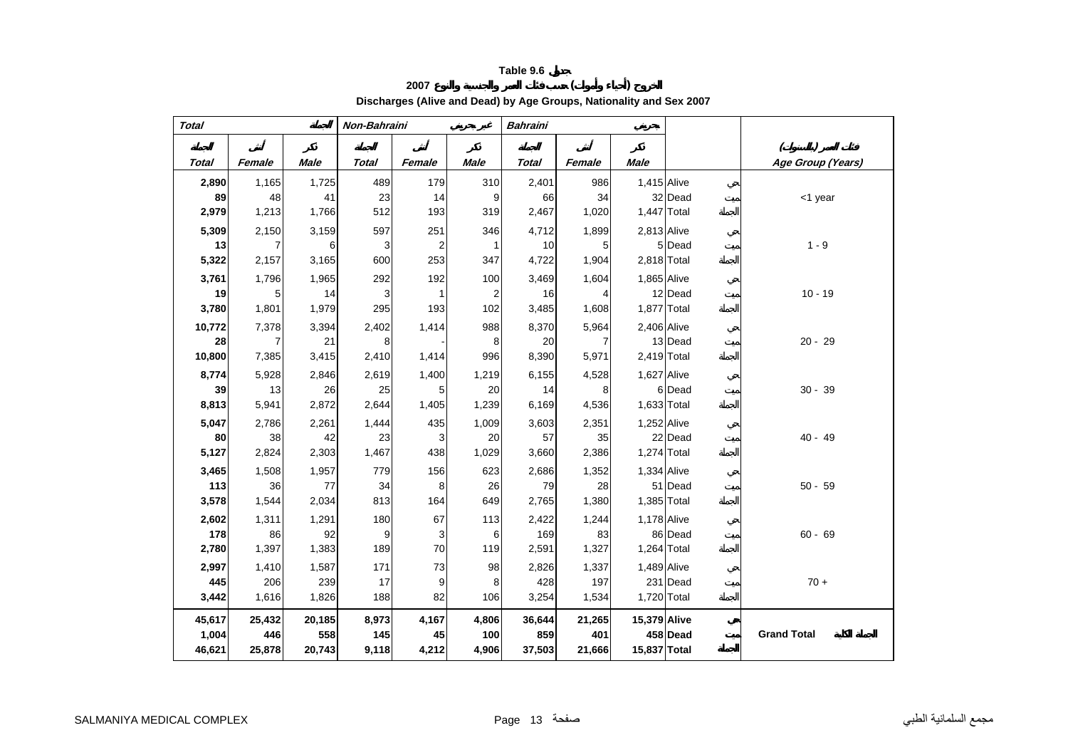#### **<sup>2007</sup> ( )**

**Discharges (Alive and Dead) by Age Groups, Nationality and Sex 2007** 

| <b>Total</b> |        |             | Non-Bahraini |        |                | <b>Bahraini</b> |        |              |             |                    |
|--------------|--------|-------------|--------------|--------|----------------|-----------------|--------|--------------|-------------|--------------------|
|              |        |             |              |        |                |                 |        |              |             |                    |
| <b>Total</b> | Female | <b>Male</b> | Total        | Female | <b>Male</b>    | <b>Total</b>    | Female | <b>Male</b>  |             | Age Group (Years)  |
| 2,890        | 1,165  | 1,725       | 489          | 179    | 310            | 2,401           | 986    | 1,415 Alive  |             |                    |
| 89           | 48     | 41          | 23           | 14     | 9              | 66              | 34     |              | 32 Dead     | <1 year            |
| 2,979        | 1,213  | 1,766       | 512          | 193    | 319            | 2,467           | 1,020  | 1,447 Total  |             |                    |
| 5,309        | 2,150  | 3,159       | 597          | 251    | 346            | 4,712           | 1,899  | 2,813 Alive  |             |                    |
| 13           | 7      | 6           | 3            | 2      | $\mathbf{1}$   | 10              | 5      |              | 5 Dead      | $1 - 9$            |
| 5,322        | 2,157  | 3,165       | 600          | 253    | 347            | 4,722           | 1,904  | 2,818 Total  |             |                    |
| 3,761        | 1,796  | 1,965       | 292          | 192    | 100            | 3,469           | 1,604  | 1,865 Alive  |             |                    |
| 19           | 5      | 14          | 3            | 1      | $\overline{2}$ | 16              | 4      |              | 12 Dead     | $10 - 19$          |
| 3,780        | 1,801  | 1,979       | 295          | 193    | 102            | 3,485           | 1,608  | 1,877 Total  |             |                    |
| 10,772       | 7,378  | 3,394       | 2,402        | 1,414  | 988            | 8,370           | 5,964  | 2,406 Alive  |             |                    |
| 28           | 7      | 21          | 8            |        | 8              | 20              |        |              | 13 Dead     | $20 - 29$          |
| 10,800       | 7,385  | 3,415       | 2,410        | 1,414  | 996            | 8,390           | 5,971  | 2,419 Total  |             |                    |
| 8,774        | 5,928  | 2,846       | 2,619        | 1,400  | 1,219          | 6,155           | 4,528  | 1,627 Alive  |             |                    |
| 39           | 13     | 26          | 25           | 5      | 20             | 14              | 8      |              | 6 Dead      | $30 - 39$          |
| 8,813        | 5,941  | 2,872       | 2,644        | 1,405  | 1,239          | 6,169           | 4,536  |              | 1,633 Total |                    |
| 5,047        | 2,786  | 2,261       | 1,444        | 435    | 1,009          | 3,603           | 2,351  | 1,252 Alive  |             |                    |
| 80           | 38     | 42          | 23           | 3      | 20             | 57              | 35     |              | 22 Dead     | $40 - 49$          |
| 5,127        | 2,824  | 2,303       | 1,467        | 438    | 1,029          | 3,660           | 2,386  | 1,274 Total  |             |                    |
| 3,465        | 1,508  | 1,957       | 779          | 156    | 623            | 2,686           | 1,352  | 1,334 Alive  |             |                    |
| 113          | 36     | 77          | 34           | 8      | 26             | 79              | 28     |              | 51 Dead     | $50 - 59$          |
| 3,578        | 1,544  | 2,034       | 813          | 164    | 649            | 2,765           | 1,380  | 1,385 Total  |             |                    |
| 2,602        | 1,311  | 1,291       | 180          | 67     | 113            | 2,422           | 1,244  | 1,178 Alive  |             |                    |
| 178          | 86     | 92          | 9            | 3      | 6              | 169             | 83     |              | 86 Dead     | $60 - 69$          |
| 2,780        | 1,397  | 1,383       | 189          | 70     | 119            | 2,591           | 1,327  |              | 1,264 Total |                    |
| 2,997        | 1,410  | 1,587       | 171          | 73     | 98             | 2,826           | 1,337  | 1,489 Alive  |             |                    |
| 445          | 206    | 239         | 17           | 9      | 8              | 428             | 197    |              | 231 Dead    | $70 +$             |
| 3,442        | 1,616  | 1,826       | 188          | 82     | 106            | 3,254           | 1,534  |              | 1,720 Total |                    |
| 45,617       | 25,432 | 20,185      | 8,973        | 4,167  | 4,806          | 36,644          | 21,265 | 15,379 Alive |             |                    |
| 1,004        | 446    | 558         | 145          | 45     | 100            | 859             | 401    |              | 458 Dead    | <b>Grand Total</b> |
| 46,621       | 25,878 | 20,743      | 9,118        | 4,212  | 4,906          | 37,503          | 21,666 | 15,837 Total |             |                    |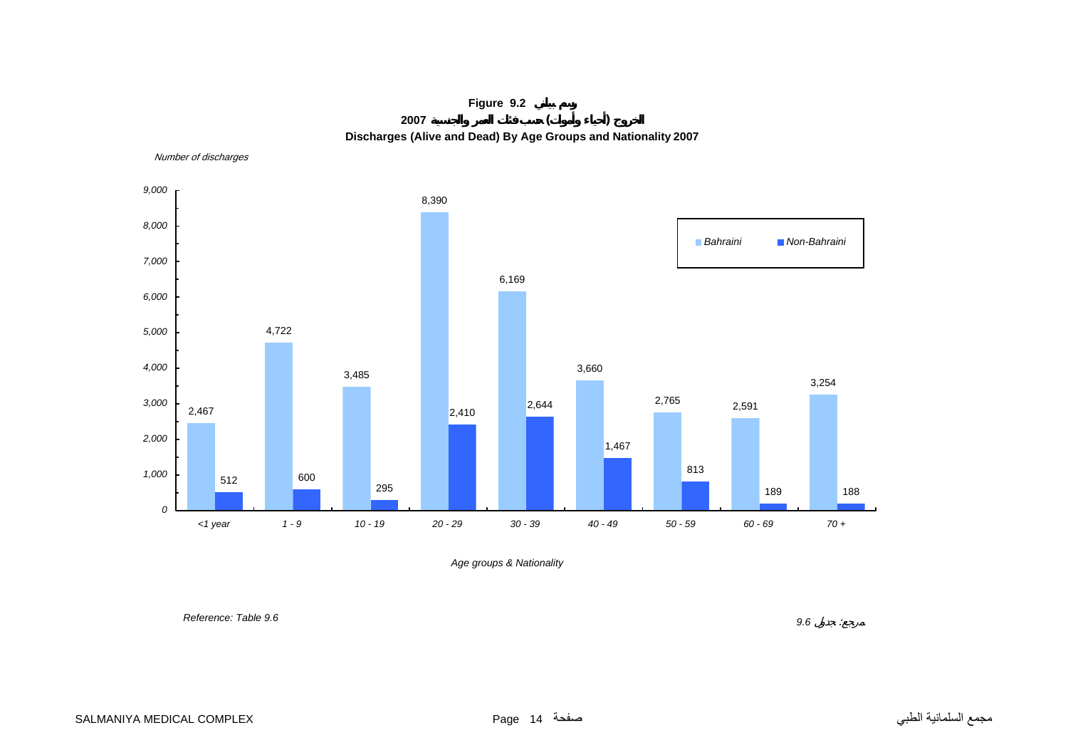

Number of discharges



*Age groups & Nationality*

 *Reference: Table 9.6*

 *9.6* : $\sim 2$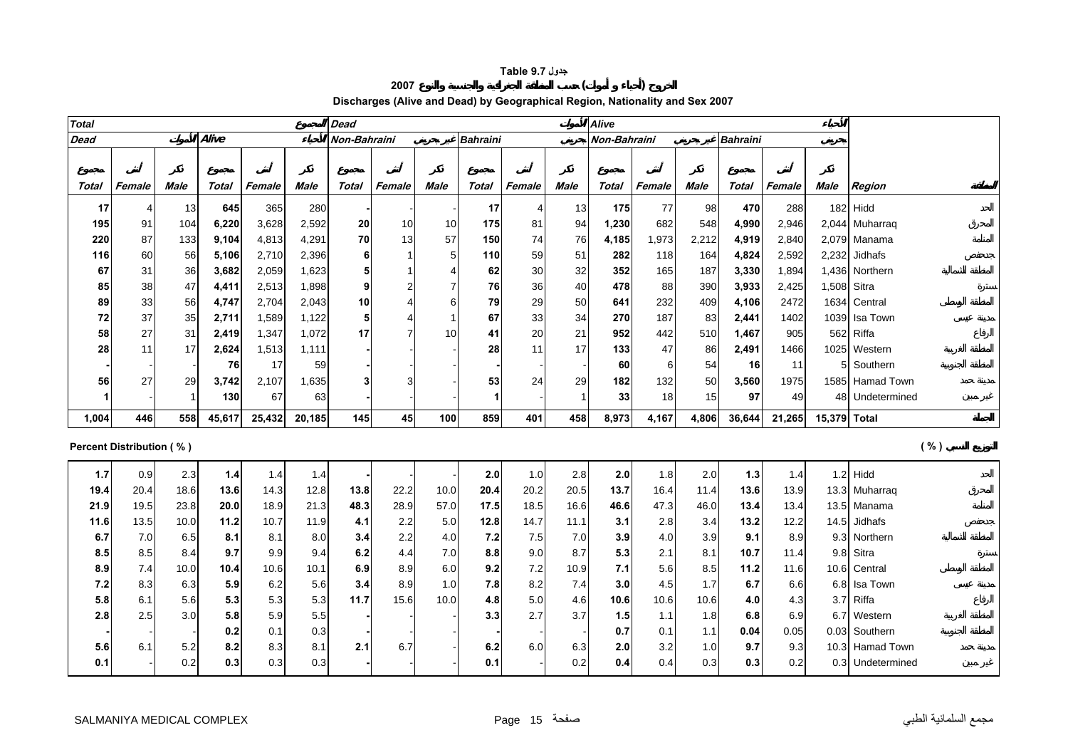#### **جدول 9.7 Table**

#### **<sup>2007</sup> ( )**

**Discharges (Alive and Dead) by Geographical Region, Nationality and Sex 2007** 

| <b>Total</b><br><b>Dead</b> |                |              |             |             |             |                     |                          |                | Alive           |                |             |              |        |             |                 |             |              |                  |
|-----------------------------|----------------|--------------|-------------|-------------|-------------|---------------------|--------------------------|----------------|-----------------|----------------|-------------|--------------|--------|-------------|-----------------|-------------|--------------|------------------|
| <b>Dead</b>                 |                |              | Alive       |             |             | <b>Non-Bahraini</b> |                          |                | <b>Bahraini</b> |                |             | Non-Bahraini |        |             | <b>Bahraini</b> |             |              |                  |
|                             |                |              |             |             |             |                     |                          |                |                 |                |             |              |        |             |                 |             |              |                  |
| Total                       | Female         | <b>Male</b>  | Total       | Female      | Male        | Total               | Female                   | Male           | Total           | Female         | Male        | Total        | Female | Male        | Total           | Female      | Male         | <b>Region</b>    |
| 17                          | $\overline{4}$ | 13           | 645         | 365         | 280         |                     |                          |                | 17              | $\overline{4}$ | 13          | 175          | 77     | 98          | 470             | 288         |              | $182$ Hidd       |
| 195                         | 91             | 104          | 6,220       | 3,628       | 2,592       | 20                  | 10                       | 10             | 175             | 81             | 94          | 1,230        | 682    | 548         | 4,990           | 2,946       |              | 2,044 Muharraq   |
| 220                         | 87             | 133          | 9,104       | 4,813       | 4,291       | 70                  | 13                       | 57             | 150             | 74             | 76          | 4,185        | 1,973  | 2,212       | 4,919           | 2,840       |              | 2,079 Manama     |
| 116                         | 60             | 56           | 5,106       | 2,710       | 2,396       | 6                   |                          | $\sqrt{5}$     | 110             | 59             | 51          | 282          | 118    | 164         | 4,824           | 2,592       |              | 2,232 Jidhafs    |
| 67                          | 31             | 36           | 3,682       | 2,059       | 1,623       | 5                   |                          | $\overline{4}$ | 62              | 30             | 32          | 352          | 165    | 187         | 3,330           | 1,894       |              | 1,436 Northern   |
| 85                          | 38             | 47           | 4,411       | 2,513       | 1,898       | 9                   | $\overline{2}$           | $\overline{7}$ | 76              | 36             | 40          | 478          | 88     | 390         | 3,933           | 2,425       |              | 1,508 Sitra      |
| 89                          | 33             | 56           | 4,747       | 2,704       | 2,043       | 10                  | $\overline{4}$           | 6              | 79              | 29             | 50          | 641          | 232    | 409         | 4,106           | 2472        |              | 1634 Central     |
| 72                          | 37             | 35           | 2,711       | 1,589       | 1,122       | 5                   | $\overline{\mathcal{L}}$ | $\mathbf 1$    | 67              | 33             | 34          | 270          | 187    | 83          | 2,441           | 1402        |              | 1039 Isa Town    |
| 58                          | 27             | 31           | 2,419       | 1,347       | 1,072       | 17                  | $\overline{7}$           | 10             | 41              | 20             | 21          | 952          | 442    | 510         | 1,467           | 905         |              | 562 Riffa        |
| 28                          | 11             | 17           | 2,624       | 1,513       | 1,111       |                     |                          |                | 28              | 11             | 17          | 133          | 47     | 86          | 2,491           | 1466        |              | 1025 Western     |
|                             |                |              | 76          | 17          | 59          |                     |                          |                |                 |                |             | 60           | 6      | 54          | 16              | 11          |              | 5 Southern       |
| 56                          | 27             | 29           | 3,742       | 2,107       | 1,635       | 3                   | 3                        |                | 53              | 24             | 29          | 182          | 132    | 50          | 3,560           | 1975        |              | 1585 Hamad Town  |
| 1                           |                | $\mathbf{1}$ | 130         | 67          | 63          |                     |                          |                | -1              |                | -1          | 33           | 18     | 15          | 97              | 49          |              | 48 Undetermined  |
| 1,004                       | 446            | 558          | 45,617      | 25,432      | 20,185      | 145                 | 45                       | 100            | 859             | 401            | 458         | 8,973        | 4,167  | 4,806       | 36,644          | 21,265      | 15,379 Total |                  |
| Percent Distribution (%)    |                |              |             |             |             |                     |                          |                |                 |                |             |              |        |             |                 |             |              | ( %)             |
|                             |                |              |             |             |             |                     |                          |                |                 |                |             | 2.0          | 1.8    |             |                 |             |              | $1.2$ Hidd       |
| 1.7<br>19.4                 | 0.9<br>20.4    | 2.3<br>18.6  | 1.4<br>13.6 | 1.4<br>14.3 | 1.4<br>12.8 | 13.8                | 22.2                     | 10.0           | 2.0<br>20.4     | 1.0<br>20.2    | 2.8<br>20.5 | 13.7         | 16.4   | 2.0<br>11.4 | 1.3<br>13.6     | 1.4<br>13.9 |              | 13.3 Muharraq    |
| 21.9                        | 19.5           | 23.8         | 20.0        | 18.9        | 21.3        | 48.3                | 28.9                     | 57.0           | 17.5            | 18.5           | 16.6        | 46.6         | 47.3   | 46.0        | 13.4            | 13.4        |              | 13.5 Manama      |
| 11.6                        | 13.5           | 10.0         | 11.2        | 10.7        | 11.9        | 4.1                 | 2.2                      | 5.0            | 12.8            | 14.7           | 11.1        | 3.1          | 2.8    | 3.4         | 13.2            | 12.2        |              | 14.5 Jidhafs     |
| 6.7                         | 7.0            | 6.5          | 8.1         | 8.1         | 8.0         | 3.4                 | 2.2                      | 4.0            | 7.2             | 7.5            | 7.0         | 3.9          | 4.0    | 3.9         | 9.1             | 8.9         |              | 9.3 Northern     |
| 8.5                         | 8.5            | 8.4          | 9.7         | 9.9         | 9.4         | 6.2                 | 4.4                      | 7.0            | 8.8             | 9.0            | 8.7         | 5.3          | 2.1    | 8.1         | 10.7            | 11.4        |              | 9.8 Sitra        |
| 8.9                         | 7.4            | 10.0         | 10.4        | 10.6        | 10.1        | 6.9                 | 8.9                      | 6.0            | 9.2             | 7.2            | 10.9        | 7.1          | 5.6    | 8.5         | 11.2            | 11.6        |              | 10.6 Central     |
| 7.2                         | 8.3            | 6.3          | 5.9         | 6.2         | 5.6         | 3.4                 | 8.9                      | 1.0            | 7.8             | 8.2            | 7.4         | 3.0          | 4.5    | 1.7         | 6.7             | 6.6         |              | 6.8 Isa Town     |
| 5.8                         | 6.1            | 5.6          | 5.3         | 5.3         | 5.3         | 11.7                | 15.6                     | 10.0           | 4.8             | 5.0            | 4.6         | 10.6         | 10.6   | 10.6        | 4.0             | 4.3         |              | 3.7 Riffa        |
| 2.8                         | 2.5            | 3.0          | 5.8         | 5.9         | 5.5         |                     |                          |                | 3.3             | 2.7            | 3.7         | 1.5          | 1.1    | 1.8         | 6.8             | 6.9         |              | 6.7 Western      |
|                             |                |              | 0.2         | 0.1         | 0.3         |                     |                          |                |                 |                |             | 0.7          | 0.1    | 1.1         | 0.04            | 0.05        |              | 0.03 Southern    |
| 5.6                         | 6.1            | 5.2          | 8.2         | 8.3         | 8.1         | 2.1                 | 6.7                      |                | 6.2             | 6.0            | 6.3         | 2.0          | 3.2    | 1.0         | 9.7             | 9.3         |              | 10.3 Hamad Town  |
| 0.1                         |                | 0.2          | 0.3         | 0.3         | 0.3         |                     |                          |                | 0.1             |                | 0.2         | 0.4          | 0.4    | 0.3         | 0.3             | 0.2         |              | 0.3 Undetermined |
|                             |                |              |             |             |             |                     |                          |                |                 |                |             |              |        |             |                 |             |              |                  |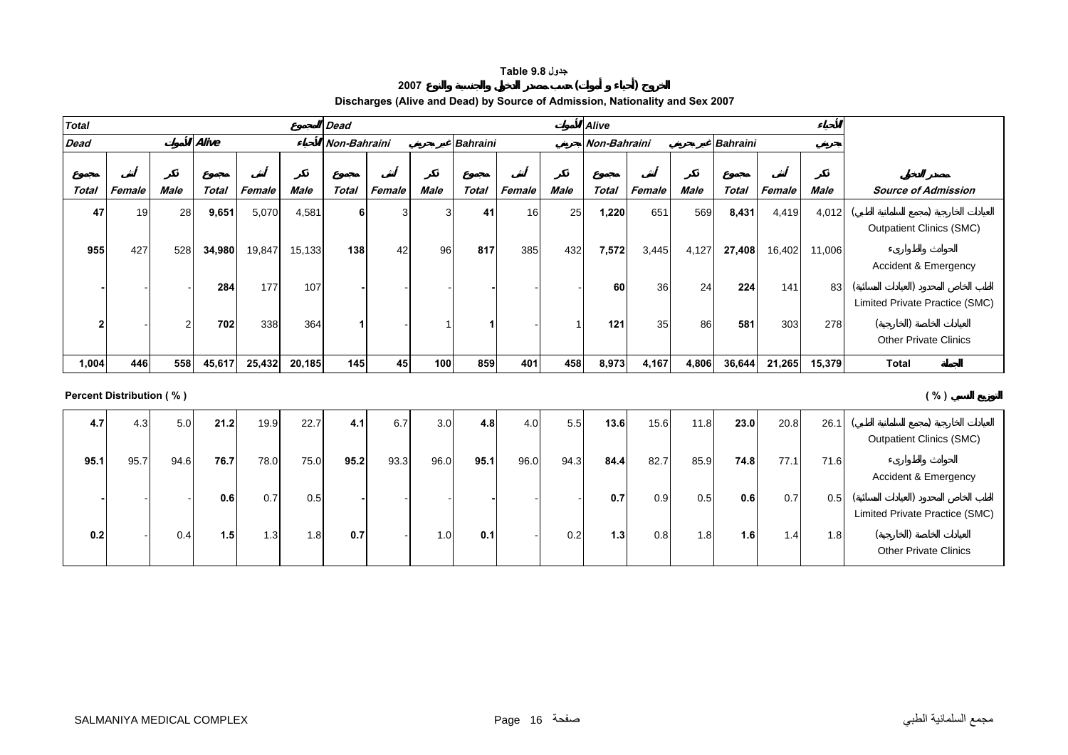#### **جدول 9.8 Table**

#### **<sup>2007</sup> ( )**

#### **Discharges (Alive and Dead) by Source of Admission, Nationality and Sex 2007**

| <b>Total</b> |        |      |        |        |             | <b>Dead</b>  |        |      |                 |        |      | <b>Alive</b> |        |             |                 |        |        |                                 |
|--------------|--------|------|--------|--------|-------------|--------------|--------|------|-----------------|--------|------|--------------|--------|-------------|-----------------|--------|--------|---------------------------------|
| <b>Dead</b>  |        |      | Alive  |        |             | Non-Bahraini |        |      | <b>Bahraini</b> |        |      | Non-Bahraini |        |             | <b>Bahraini</b> |        |        |                                 |
|              |        |      |        |        |             |              |        |      |                 |        |      |              |        |             |                 |        |        |                                 |
| Total        | Female | Male | Total  | Female | <b>Male</b> | <b>Total</b> | Female | Male | <b>Total</b>    | Female | Male | <b>Total</b> | Female | <b>Male</b> | <b>Total</b>    | Female | Male   | <b>Source of Admission</b>      |
| 47           | 19     | 28   | 9,651  | 5,070  | 4,581       |              |        | 3    | -41             | 16     | 25   | 1,220        | 651    | 569         | 8,431           | 4,419  | 4,012  |                                 |
|              |        |      |        |        |             |              |        |      |                 |        |      |              |        |             |                 |        |        | <b>Outpatient Clinics (SMC)</b> |
| 955          | 427    | 528  | 34,980 | 19,847 | 15,133      | 138          | 42     | 96   | 817             | 385    | 432  | 7,572        | 3,445  | 4,127       | 27,408          | 16,402 | 11,006 |                                 |
|              |        |      |        |        |             |              |        |      |                 |        |      |              |        |             |                 |        |        | Accident & Emergency            |
|              |        |      | 284    | 177    | 107         |              |        |      |                 |        |      | 60           | 36     | 24          | 224             | 141    | 83     |                                 |
|              |        |      |        |        |             |              |        |      |                 |        |      |              |        |             |                 |        |        | Limited Private Practice (SMC)  |
|              |        | っ    | 702    | 338    | 364         |              |        |      |                 |        |      | 121          | 35     | 86          | 581             | 303    | 278    |                                 |
|              |        |      |        |        |             |              |        |      |                 |        |      |              |        |             |                 |        |        | <b>Other Private Clinics</b>    |
| 1,004        | 446    | 558  | 45,617 | 25,432 | 20,185      | 145          | 45     | 100  | 859             | 401    | 458  | 8,973        | 4,167  | 4,806       | 36,644          | 21,265 | 15,379 | <b>Total</b>                    |

#### **Percent Distribution ( % ) ( % )**

| 4.7  | 4.3  | 5.0  | 21.2 | 19.9             | 22.7 | 4.1  | 6.7  | 3.0  | 4.8  | 4.0  | 5.5              | 13.6 | 15.6 | 11.8             | 23.0 | 20.8 | 26.1 |                                 |
|------|------|------|------|------------------|------|------|------|------|------|------|------------------|------|------|------------------|------|------|------|---------------------------------|
|      |      |      |      |                  |      |      |      |      |      |      |                  |      |      |                  |      |      |      | <b>Outpatient Clinics (SMC)</b> |
| 95.1 | 95.7 | 94.6 | 76.7 | 78.0             | 75.0 | 95.2 | 93.3 | 96.0 | 95.1 | 96.0 | 94.3             | 84.4 | 82.7 | 85.9             | 74.8 | 77.1 | 71.6 |                                 |
|      |      |      |      |                  |      |      |      |      |      |      |                  |      |      |                  |      |      |      | Accident & Emergency            |
|      |      |      | 0.6  | 0.7              | 0.5  |      |      |      |      |      |                  | 0.7  | 0.9  | 0.5              | 0.6  | 0.7  | 0.5  |                                 |
|      |      |      |      |                  |      |      |      |      |      |      |                  |      |      |                  |      |      |      | Limited Private Practice (SMC)  |
| 0.2  |      | 0.4  | 1.5  | 1.3 <sub>l</sub> | 1.8I | 0.7  |      | 1.0  | 0.1  |      | 0.2 <sub>1</sub> | 1.3  | 0.8  | 1.8 <sub>1</sub> | 1.6  | 1.4  | 8۱.، |                                 |
|      |      |      |      |                  |      |      |      |      |      |      |                  |      |      |                  |      |      |      | <b>Other Private Clinics</b>    |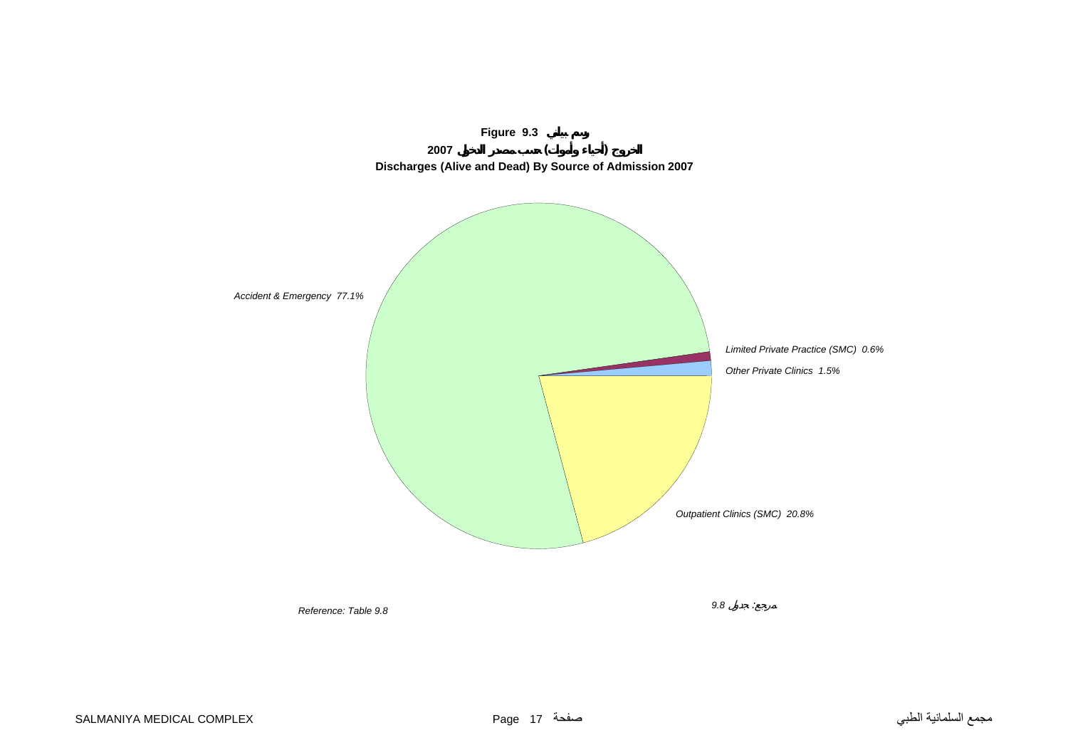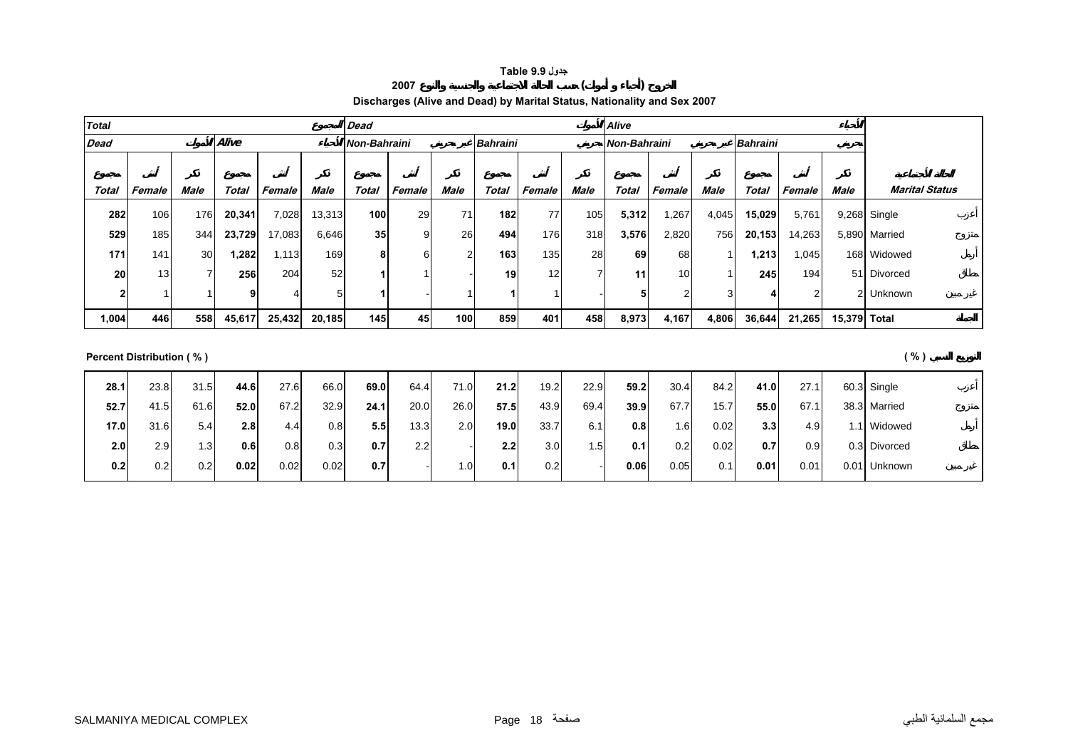#### **جدول 9.9 Table**

#### **Discharges (Alive and Dead) by Marital Status, Nationality and Sex 2007**

**<sup>2007</sup> ( )** 

| <b>Total</b> |        |                 |        |        |        | <b>Dead</b>         |        |             |                 |        |             | Alive        |            |             |                 |        |              |                       |
|--------------|--------|-----------------|--------|--------|--------|---------------------|--------|-------------|-----------------|--------|-------------|--------------|------------|-------------|-----------------|--------|--------------|-----------------------|
| <b>Dead</b>  |        |                 | Alive  |        |        | <b>Non-Bahraini</b> |        |             | <b>Bahraini</b> |        |             | Non-Bahraini |            |             | <b>Bahraini</b> |        |              |                       |
|              |        |                 |        |        |        |                     |        |             |                 |        |             |              |            |             |                 |        |              |                       |
| Total        | Female | Male            | Total  | Female | Male   | Total               | Female | <b>Male</b> | Total           | Female | <b>Male</b> | Total        | Female     | <b>Male</b> | Total           | Female | Male         | <b>Marital Status</b> |
| 282          | 106    | 176             | 20,341 | 7,028  | 13,313 | 100                 | 29     | 71          | 182             | 77     | 105         | 5,312        | ,267       | 4,045       | 15,029          | 5,761  |              | 9,268 Single          |
| 529          | 185    | 344             | 23,729 | 17,083 | 6,646  | 35 <sub>1</sub>     | 9      | 26          | 494             | 176    | 318         | 3,576        | 2,820      | 756         | 20,153          | 14,263 |              | 5,890 Married         |
| 171          | 141    | 30 <sup>1</sup> | .282   | 1,113  | 169    | 8                   | 6      | c           | 163             | 135    | 28          | 69           | 68         |             | 1,213           | 0.045  |              | 168 Widowed           |
| 20           | 13     | ⇁               | 256    | 204    | 52     |                     |        |             | 19              | 12     |             | 11           | 10         |             | 245             | 194    |              | 51 Divorced           |
| 2            |        |                 | o      |        | 5      |                     |        |             |                 |        |             | 5            | $\sqrt{2}$ | 3           |                 |        |              | 2 Unknown             |
| 1,004        | 446    | 558             | 45,617 | 25,432 | 20,185 | 145                 | 45     | 100         | 859             | 401    | 458         | 8,973        | 4,167      | 4,806       | 36,644          | 21,265 | 15,379 Total |                       |

**Percent Distribution ( % ) ( % )**

| 28.1 | 23.8 | 31.5             | 44.6 | 27.6 | 66.0 | 69.0 | 64.4 | 71.0 | 21.2 | 19.2             | 22.9 | 59.2 | 30.4 | 84.2 | 41.0 | 27.1 |      | 60.3 Single  |
|------|------|------------------|------|------|------|------|------|------|------|------------------|------|------|------|------|------|------|------|--------------|
| 52.7 | 41.5 | 61.6             | 52.0 | 67.2 | 32.9 | 24.1 | 20.0 | 26.0 | 57.5 | 43.9             | 69.4 | 39.9 | 67.7 | 15.7 | 55.0 | 67.1 |      | 38.3 Married |
| 17.0 | 31.6 | 5.4              | 2.8  | 4.4  | 0.8  | 5.5  | 13.3 | 2.0  | 19.0 | 33.7             | 6.1  | 0.8  | 1.6  | 0.02 | 3.3  | 4.9  |      | 1.1 Widowed  |
| 2.0  | 2.91 | 1.3 <sub>l</sub> | 0.6  | 0.8  | 0.31 | 0.7  | 2.2  |      | 2.2  | 3.0              | 1.5  | 0.1  | 0.2  | 0.02 | 0.7  | 0.9  |      | 0.3 Divorced |
| 0.2  | 0.2  | 0.21             | 0.02 | 0.02 | 0.02 | 0.7  |      | .0   | 0.1  | 0.2 <sub>1</sub> |      | 0.06 | 0.05 | 0.1  | 0.01 | 0.01 | 0.01 | Unknown      |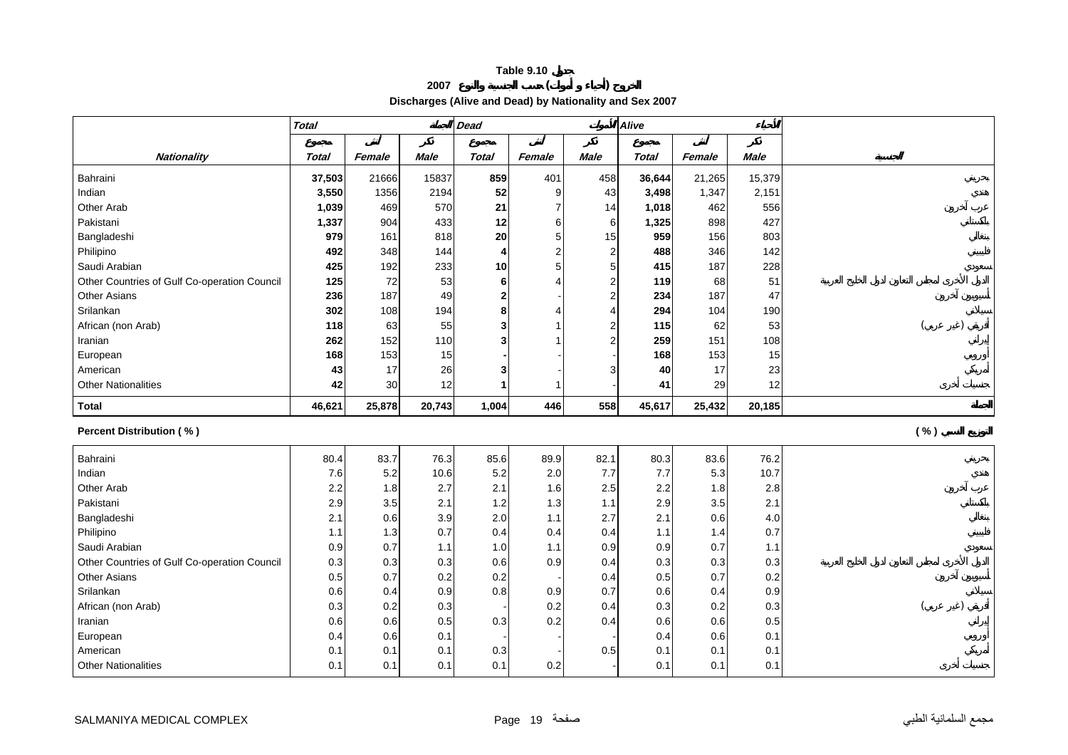#### **Table 9.10 <sup>2007</sup> ( )**

**Discharges (Alive and Dead) by Nationality and Sex 2007** 

|                                              | <b>Total</b> |            |             | <b>Dead</b>    |            |                | Alive        |            |             |      |
|----------------------------------------------|--------------|------------|-------------|----------------|------------|----------------|--------------|------------|-------------|------|
|                                              |              |            |             |                |            |                |              |            |             |      |
| <b>Nationality</b>                           | <b>Total</b> | Female     | <b>Male</b> | <b>Total</b>   | Female     | <b>Male</b>    | <b>Total</b> | Female     | <b>Male</b> |      |
| Bahraini                                     | 37,503       | 21666      | 15837       | 859            | 401        | 458            | 36,644       | 21,265     | 15,379      |      |
| Indian                                       | 3,550        | 1356       | 2194        | 52             | 9          | 43             | 3,498        | 1,347      | 2,151       |      |
| Other Arab                                   | 1,039        | 469        | 570         | 21             |            | 14             | 1,018        | 462        | 556         |      |
| Pakistani                                    | 1,337        | 904        | 433         | 12             | 6          | 6              | 1,325        | 898        | 427         |      |
| Bangladeshi                                  | 979          | 161        | 818         | 20             | 5          | 15             | 959          | 156        | 803         |      |
| Philipino                                    | 492          | 348        | 144         | 4              | 2          | $\overline{2}$ | 488          | 346        | 142         |      |
| Saudi Arabian                                | 425          | 192        | 233         | 10             | 5          | 5              | 415          | 187        | 228         |      |
| Other Countries of Gulf Co-operation Council | 125          | 72         | 53          | 6              |            | $\overline{2}$ | 119          | 68         | 51          |      |
| <b>Other Asians</b>                          | 236          | 187        | 49          | 2 <sub>l</sub> |            | $\overline{2}$ | 234          | 187        | 47          |      |
| Srilankan                                    | 302          | 108        | 194         | 8              |            | 4              | 294          | 104        | 190         |      |
| African (non Arab)                           | 118          | 63         | 55          | 3              |            | $\overline{2}$ | 115          | 62         | 53          |      |
| Iranian                                      | 262          | 152        | 110         | 3              |            | $\overline{2}$ | 259          | 151        | 108         |      |
| European                                     | 168          | 153        | 15          |                |            |                | 168          | 153        | 15          |      |
| American                                     | 43           | 17         | 26          | 3              |            | 3              | 40           | 17         | 23          |      |
| <b>Other Nationalities</b>                   | 42           | 30         | 12          |                |            |                | 41           | 29         | 12          |      |
| <b>Total</b>                                 | 46,621       | 25,878     | 20,743      | 1,004          | 446        | 558            | 45,617       | 25,432     | 20,185      |      |
|                                              |              |            |             |                |            |                |              |            |             |      |
| <b>Percent Distribution (%)</b>              |              |            |             |                |            |                |              |            |             | ( %) |
|                                              |              |            |             |                |            |                |              |            |             |      |
| Bahraini                                     | 80.4         | 83.7       | 76.3        | 85.6           | 89.9       | 82.1           | 80.3         | 83.6       | 76.2        |      |
| Indian                                       | 7.6          | 5.2        | 10.6        | 5.2            | 2.0        | 7.7            | 7.7          | 5.3        | 10.7        |      |
| Other Arab                                   | 2.2          | 1.8        | 2.7<br>2.1  | 2.1<br>1.2     | 1.6<br>1.3 | 2.5<br>1.1     | 2.2          | 1.8        | 2.8<br>2.1  |      |
| Pakistani                                    | 2.9          | 3.5        |             |                | 1.1        | 2.7            | 2.9          | 3.5        |             |      |
| Bangladeshi<br>Philipino                     | 2.1<br>1.1   | 0.6<br>1.3 | 3.9<br>0.7  | 2.0<br>0.4     | 0.4        | 0.4            | 2.1<br>1.1   | 0.6<br>1.4 | 4.0<br>0.7  |      |
| Saudi Arabian                                | 0.9          | 0.7        | 1.1         | 1.0            | 1.1        | 0.9            | 0.9          | 0.7        | 1.1         |      |
| Other Countries of Gulf Co-operation Council | 0.3          | 0.3        | 0.3         | 0.6            | 0.9        | 0.4            | 0.3          | 0.3        | 0.3         |      |
| <b>Other Asians</b>                          | 0.5          | 0.7        | 0.2         | 0.2            |            | 0.4            | 0.5          | 0.7        | 0.2         |      |
| Srilankan                                    | 0.6          | 0.4        | 0.9         | 0.8            | 0.9        | 0.7            | 0.6          | 0.4        | 0.9         |      |
| African (non Arab)                           | 0.3          | 0.2        | 0.3         |                | 0.2        | 0.4            | 0.3          | 0.2        | 0.3         |      |
| Iranian                                      | 0.6          | 0.6        | 0.5         | 0.3            | 0.2        | 0.4            | 0.6          | 0.6        | 0.5         |      |
| European                                     | 0.4          | 0.6        | 0.1         |                |            |                | 0.4          | 0.6        | 0.1         |      |
| American                                     | 0.1          | 0.1        | 0.1         | 0.3            |            | 0.5            | 0.1          | 0.1        | 0.1         |      |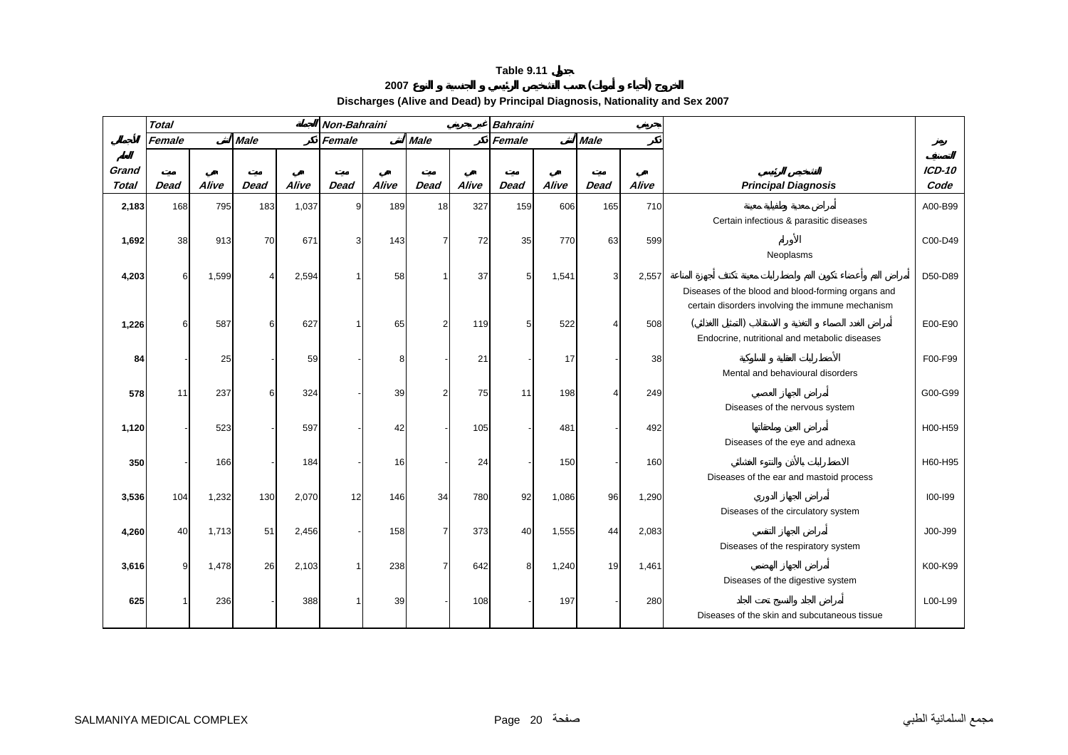#### **<sup>2007</sup> ( )**

**Discharges (Alive and Dead) by Principal Diagnosis, Nationality and Sex 2007** 

|              | <b>Total</b> |       |             |       | Non-Bahraini |       |                |       | <b>Bahraini</b> |       |                |       |                                                                                                        |          |
|--------------|--------------|-------|-------------|-------|--------------|-------|----------------|-------|-----------------|-------|----------------|-------|--------------------------------------------------------------------------------------------------------|----------|
|              | Female       |       | <b>Male</b> |       | Female       |       | <b>Male</b>    |       | Female          |       | <b>Male</b>    |       |                                                                                                        |          |
| Grand        |              |       |             |       |              |       |                |       |                 |       |                |       |                                                                                                        | $ICD-10$ |
| <b>Total</b> | <b>Dead</b>  | Alive | <b>Dead</b> | Alive | <b>Dead</b>  | Alive | <b>Dead</b>    | Alive | <b>Dead</b>     | Alive | <b>Dead</b>    | Alive | <b>Principal Diagnosis</b>                                                                             | Code     |
| 2,183        | 168          | 795   | 183         | 1,037 | 9            | 189   | 18             | 327   | 159             | 606   | 165            | 710   | Certain infectious & parasitic diseases                                                                | A00-B99  |
| 1,692        | 38           | 913   | 70          | 671   | 3            | 143   | $\overline{7}$ | 72    | 35              | 770   | 63             | 599   | Neoplasms                                                                                              | C00-D49  |
| 4,203        | 6            | 1,599 | 4           | 2,594 | 1            | 58    | 1              | 37    | 5               | 1,541 | $\overline{3}$ | 2,557 | Diseases of the blood and blood-forming organs and<br>certain disorders involving the immune mechanism | D50-D89  |
| 1,226        | ี่ค          | 587   | 6           | 627   |              | 65    | 2              | 119   | 5 <sub>5</sub>  | 522   | 4              | 508   | Endocrine, nutritional and metabolic diseases                                                          | E00-E90  |
| 84           |              | 25    |             | 59    |              | 8     |                | 21    |                 | 17    |                | 38    | Mental and behavioural disorders                                                                       | F00-F99  |
| 578          | 11           | 237   | 6           | 324   |              | 39    | 2              | 75    | 11              | 198   | 4              | 249   | Diseases of the nervous system                                                                         | G00-G99  |
| 1,120        |              | 523   |             | 597   |              | 42    |                | 105   |                 | 481   |                | 492   | Diseases of the eye and adnexa                                                                         | H00-H59  |
| 350          |              | 166   |             | 184   |              | 16    |                | 24    |                 | 150   |                | 160   | Diseases of the ear and mastoid process                                                                | H60-H95  |
| 3,536        | 104          | 1,232 | 130         | 2,070 | 12           | 146   | 34             | 780   | 92              | 1,086 | 96             | 1,290 | Diseases of the circulatory system                                                                     | 100-199  |
| 4,260        | 40           | 1,713 | 51          | 2,456 |              | 158   | $\overline{7}$ | 373   | 40              | 1,555 | 44             | 2,083 | Diseases of the respiratory system                                                                     | J00-J99  |
| 3,616        | 9            | 1,478 | 26          | 2,103 | 1            | 238   | 7              | 642   | 8               | 1,240 | 19             | 1,461 | Diseases of the digestive system                                                                       | K00-K99  |
| 625          |              | 236   |             | 388   |              | 39    |                | 108   |                 | 197   |                | 280   | Diseases of the skin and subcutaneous tissue                                                           | L00-L99  |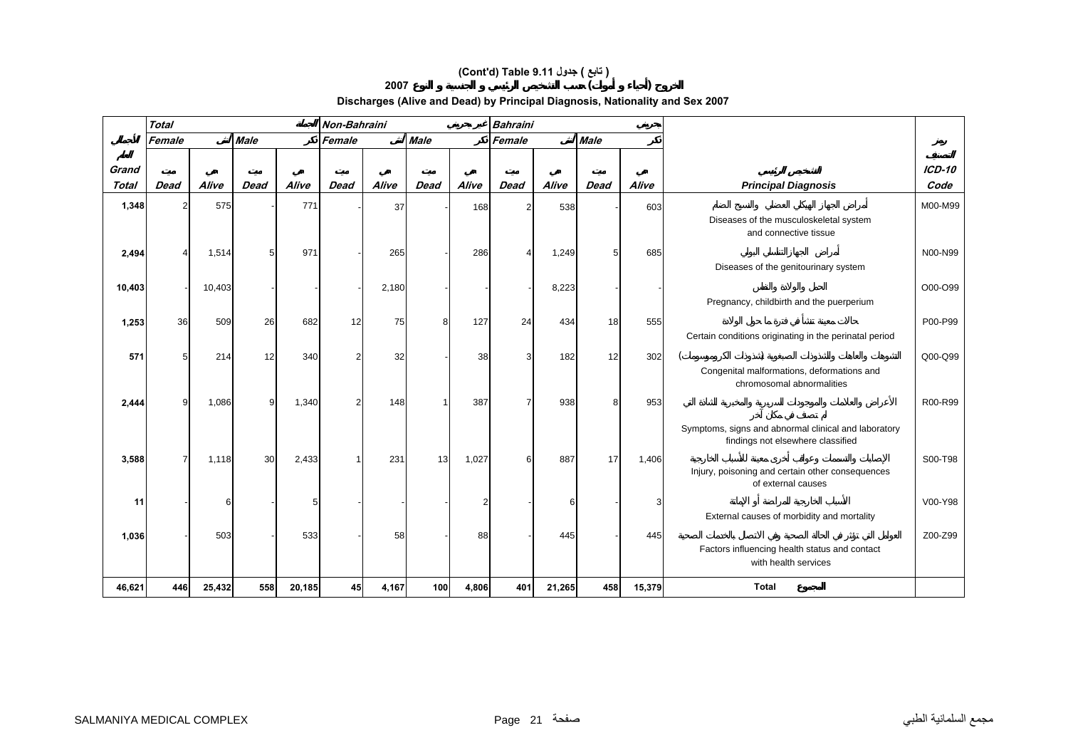## **(Cont'd) Table 9.11 جدول ) تابع(**

**<sup>2007</sup> ( )** 

#### **Discharges (Alive and Dead) by Principal Diagnosis, Nationality and Sex 2007**

|                | <b>Total</b> |        |             |        | Non-Bahraini   |       |             |       | <b>Bahraini</b> |        |             |        |                                                                                           |                       |
|----------------|--------------|--------|-------------|--------|----------------|-------|-------------|-------|-----------------|--------|-------------|--------|-------------------------------------------------------------------------------------------|-----------------------|
|                | Female       |        | <b>Male</b> |        | Female         |       | <b>Male</b> |       | Female          |        | <b>Male</b> |        |                                                                                           |                       |
|                |              |        |             |        |                |       |             |       |                 |        |             |        |                                                                                           |                       |
| Grand<br>Total | <b>Dead</b>  | Alive  | <b>Dead</b> | Alive  | <b>Dead</b>    | Alive | <b>Dead</b> | Alive | <b>Dead</b>     | Alive  | <b>Dead</b> | Alive  | <b>Principal Diagnosis</b>                                                                | <b>ICD-10</b><br>Code |
|                |              |        |             |        |                |       |             |       |                 |        |             |        |                                                                                           |                       |
| 1,348          | っ            | 575    |             | 771    |                | 37    |             | 168   |                 | 538    |             | 603    | Diseases of the musculoskeletal system<br>and connective tissue                           | M00-M99               |
| 2,494          |              | 1,514  | 5           | 971    |                | 265   |             | 286   |                 | 1,249  |             | 685    |                                                                                           | N00-N99               |
|                |              |        |             |        |                |       |             |       |                 |        |             |        | Diseases of the genitourinary system                                                      |                       |
| 10,403         |              | 10,403 |             |        |                | 2,180 |             |       |                 | 8,223  |             |        |                                                                                           | O00-O99               |
|                |              |        |             |        |                |       |             |       |                 |        |             |        | Pregnancy, childbirth and the puerperium                                                  |                       |
| 1,253          | 36           | 509    | 26          | 682    | 12             | 75    | 8           | 127   | 24              | 434    | 18          | 555    |                                                                                           | P00-P99               |
|                |              |        |             |        |                |       |             |       |                 |        |             |        | Certain conditions originating in the perinatal period                                    |                       |
| 571            |              | 214    | 12          | 340    | $\overline{2}$ | 32    |             | 38    | ٩               | 182    | 12          | 302    |                                                                                           | Q00-Q99               |
|                |              |        |             |        |                |       |             |       |                 |        |             |        | Congenital malformations, deformations and<br>chromosomal abnormalities                   |                       |
| 2,444          | Q            | 1,086  | 9           | 1,340  | $\overline{2}$ | 148   | $\mathbf 1$ | 387   | 7               | 938    | 8           | 953    |                                                                                           | R00-R99               |
|                |              |        |             |        |                |       |             |       |                 |        |             |        | Symptoms, signs and abnormal clinical and laboratory<br>findings not elsewhere classified |                       |
| 3,588          |              | 1,118  | 30          | 2,433  |                | 231   | 13          | 1,027 | 6               | 887    | 17          | 1,406  |                                                                                           | S00-T98               |
|                |              |        |             |        |                |       |             |       |                 |        |             |        | Injury, poisoning and certain other consequences<br>of external causes                    |                       |
| 11             |              | 6      |             | 5      |                |       |             |       |                 | 6      |             | 3      |                                                                                           | V00-Y98               |
|                |              |        |             |        |                |       |             |       |                 |        |             |        | External causes of morbidity and mortality                                                |                       |
| 1,036          |              | 503    |             | 533    |                | 58    |             | 88    |                 | 445    |             | 445    |                                                                                           | Z00-Z99               |
|                |              |        |             |        |                |       |             |       |                 |        |             |        | Factors influencing health status and contact<br>with health services                     |                       |
|                |              |        |             |        |                |       |             |       |                 |        |             |        |                                                                                           |                       |
| 46,621         | 446          | 25,432 | 558         | 20,185 | 45             | 4,167 | 100         | 4,806 | 401             | 21,265 | 458         | 15,379 | <b>Total</b>                                                                              |                       |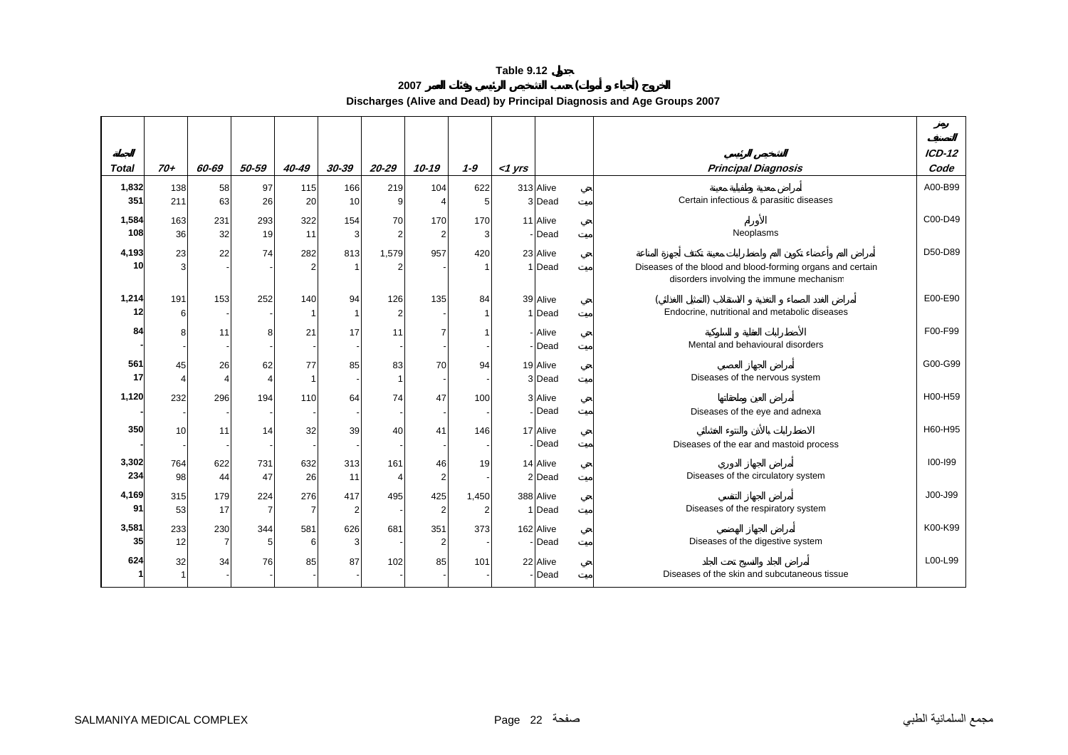**<sup>2007</sup> ( ) Discharges (Alive and Dead) by Principal Diagnosis and Age Groups 2007** 

|              |       |       |                       |                |                |           |                |                |           |                    |                                                            | $ICD-12$    |
|--------------|-------|-------|-----------------------|----------------|----------------|-----------|----------------|----------------|-----------|--------------------|------------------------------------------------------------|-------------|
| <b>Total</b> | $70+$ | 60-69 | 50-59                 | 40-49          | $30 - 39$      | $20 - 29$ | $10 - 19$      | $1 - 9$        | $<$ 1 yrs |                    | <b>Principal Diagnosis</b>                                 | Code        |
| 1,832        | 138   | 58    | 97                    | 115            | 166            | 219       | 104            | 622            |           | 313 Alive          |                                                            | A00-B99     |
| 351          | 211   | 63    | 26                    | 20             | 10             |           |                | 5              |           | 3 Dead             | Certain infectious & parasitic diseases                    |             |
| 1,584        | 163   | 231   | 293                   | 322            | 154            | 70        | 170            | 170            |           | 11 Alive           |                                                            | C00-D49     |
| 108          | 36    | 32    | 19                    | 11             | 3              |           | $\overline{2}$ |                |           | - Dead             | Neoplasms                                                  |             |
| 4,193        | 23    | 22    | 74                    | 282            | 813            | 1,579     | 957            | 420            |           | 23 Alive           |                                                            | D50-D89     |
| 10           | 3     |       |                       |                | $\overline{1}$ |           |                |                |           | 1 Dead             | Diseases of the blood and blood-forming organs and certain |             |
|              |       |       |                       |                |                |           |                |                |           |                    | disorders involving the immune mechanism                   |             |
| 1,214        | 191   | 153   | 252                   | 140            | 94             | 126       | 135            | 84             |           | 39 Alive           |                                                            | E00-E90     |
| 12           | 6     |       |                       |                | $\overline{1}$ |           |                |                |           | 1 Dead             | Endocrine, nutritional and metabolic diseases              |             |
| 84           | 8     | 11    | 8                     | 21             | 17             | 11        | $\overline{7}$ |                |           | - Alive            |                                                            | F00-F99     |
|              |       |       |                       |                |                |           |                |                |           | - Dead             | Mental and behavioural disorders                           |             |
| 561          | 45    | 26    | 62                    | 77             | 85             | 83        | 70             | 94             |           | 19 Alive           |                                                            | G00-G99     |
| 17           |       | 4     | $\boldsymbol{\Delta}$ |                |                |           |                |                |           | 3 Dead             | Diseases of the nervous system                             |             |
| 1,120        | 232   | 296   | 194                   | 110            | 64             | 74        | 47             | 100            |           | 3 Alive            |                                                            | H00-H59     |
|              |       |       |                       |                |                |           |                |                |           | - Dead             | Diseases of the eye and adnexa                             |             |
|              |       |       |                       |                |                |           |                |                |           |                    |                                                            |             |
| 350          | 10    | 11    | 14                    | 32             | 39             | 40        | 41             | 146            |           | 17 Alive<br>- Dead |                                                            | H60-H95     |
|              |       |       |                       |                |                |           |                |                |           |                    | Diseases of the ear and mastoid process                    |             |
| 3,302        | 764   | 622   | 731                   | 632            | 313            | 161       | 46             | 19             |           | 14 Alive           |                                                            | $100 - 199$ |
| 234          | 98    | 44    | 47                    | 26             | 11             |           | $\overline{2}$ |                |           | 2 Dead             | Diseases of the circulatory system                         |             |
| 4,169        | 315   | 179   | 224                   | 276            | 417            | 495       | 425            | 1,450          |           | 388 Alive          |                                                            | J00-J99     |
| 91           | 53    | 17    | $\overline{7}$        | $\overline{7}$ | $\overline{2}$ |           | $\overline{2}$ | $\overline{2}$ |           | 1 Dead             | Diseases of the respiratory system                         |             |
| 3,581        | 233   | 230   | 344                   | 581            | 626            | 681       | 351            | 373            |           | 162 Alive          |                                                            | K00-K99     |
| 35           | 12    |       | 5                     | 6              | 3              |           | $\overline{2}$ |                |           | - Dead             | Diseases of the digestive system                           |             |
| 624          | 32    | 34    | 76                    | 85             | 87             | 102       | 85             | 101            |           | 22 Alive           |                                                            | L00-L99     |
|              |       |       |                       |                |                |           |                |                |           | - Dead             | Diseases of the skin and subcutaneous tissue               |             |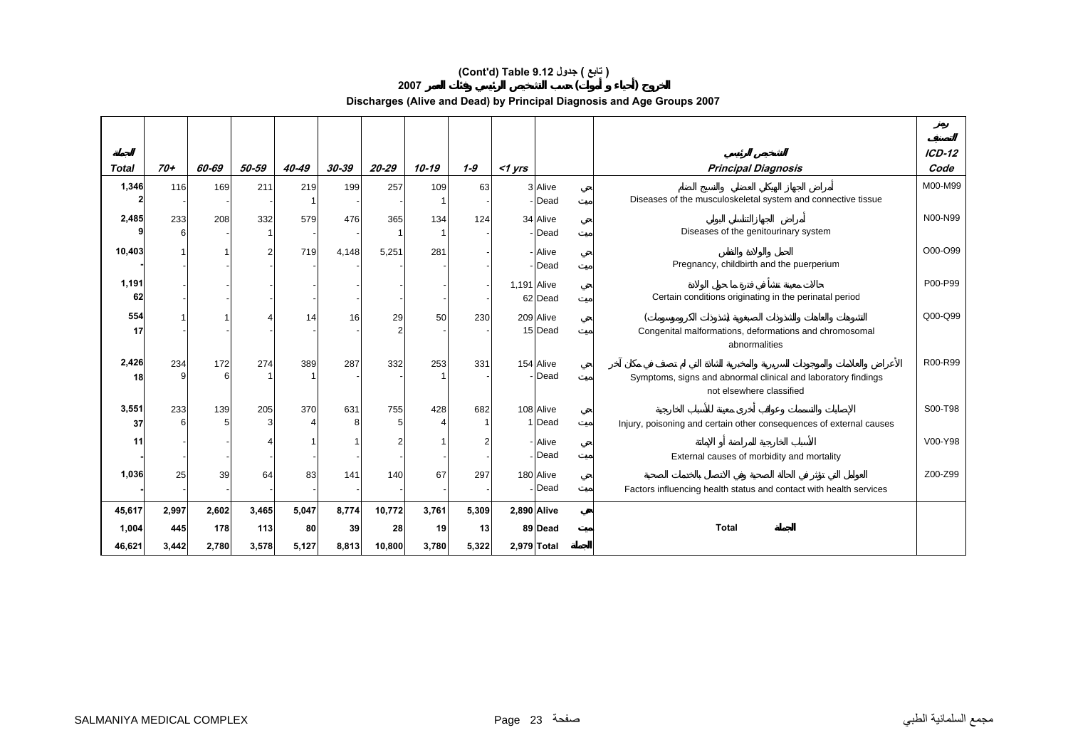## **(Cont'd) Table 9.12 جدول ) تابع(**

**<sup>2007</sup> ( )** 

**Discharges (Alive and Dead) by Principal Diagnosis and Age Groups 2007** 

|              |          |       |       |       |          |         |       |         |             |                      |                                                                                           | $ICD-12$ |
|--------------|----------|-------|-------|-------|----------|---------|-------|---------|-------------|----------------------|-------------------------------------------------------------------------------------------|----------|
| <b>Total</b> | $70+$    | 60-69 | 50-59 | 40-49 | 30-39    | 20-29   | 10-19 | $1 - 9$ | $<$ 1 yrs   |                      | <b>Principal Diagnosis</b>                                                                | Code     |
| 1,346        | 116      | 169   | 211   | 219   | 199      | 257     | 109   | 63      |             | 3 Alive<br>Dead      | Diseases of the musculoskeletal system and connective tissue                              | M00-M99  |
| 2,485        | 233<br>6 | 208   | 332   | 579   | 476      | 365     | 134   | 124     |             | 34 Alive<br>- Dead   | Diseases of the genitourinary system                                                      | N00-N99  |
| 10,403       |          |       | 2     | 719   | 4,148    | 5,251   | 281   |         |             | - Alive<br>Dead      | Pregnancy, childbirth and the puerperium                                                  | O00-O99  |
| 1,191<br>62  |          |       |       |       |          |         |       |         | 1,191 Alive | 62 Dead              | Certain conditions originating in the perinatal period                                    | P00-P99  |
| 554<br>17    |          |       |       | 14    | 16       | 29<br>2 | 50    | 230     |             | 209 Alive<br>15 Dead | Congenital malformations, deformations and chromosomal<br>abnormalities                   | Q00-Q99  |
| 2,426<br>18  | 234      | 172   | 274   | 389   | 287      | 332     | 253   | 331     |             | 154 Alive<br>Dead    | Symptoms, signs and abnormal clinical and laboratory findings<br>not elsewhere classified | R00-R99  |
| 3,551<br>37  | 233      | 139   | 205   | 370   | 631<br>8 | 755     | 428   | 682     |             | 108 Alive<br>1 Dead  | Injury, poisoning and certain other consequences of external causes                       | S00-T98  |
| 11           |          |       |       |       |          |         |       | 2       |             | - Alive<br>- Dead    | External causes of morbidity and mortality                                                | V00-Y98  |
| 1,036        | 25       | 39    | 64    | 83    | 141      | 140     | 67    | 297     |             | 180 Alive<br>Dead    | Factors influencing health status and contact with health services                        | Z00-Z99  |
| 45,617       | 2,997    | 2,602 | 3,465 | 5,047 | 8,774    | 10,772  | 3,761 | 5,309   | 2,890 Alive |                      |                                                                                           |          |
| 1,004        | 445      | 178   | 113   | 80    | 39       | 28      | 19    | 13      |             | 89 Dead              | <b>Total</b>                                                                              |          |
| 46,621       | 3,442    | 2,780 | 3,578 | 5,127 | 8,813    | 10,800  | 3,780 | 5,322   | 2,979 Total |                      |                                                                                           |          |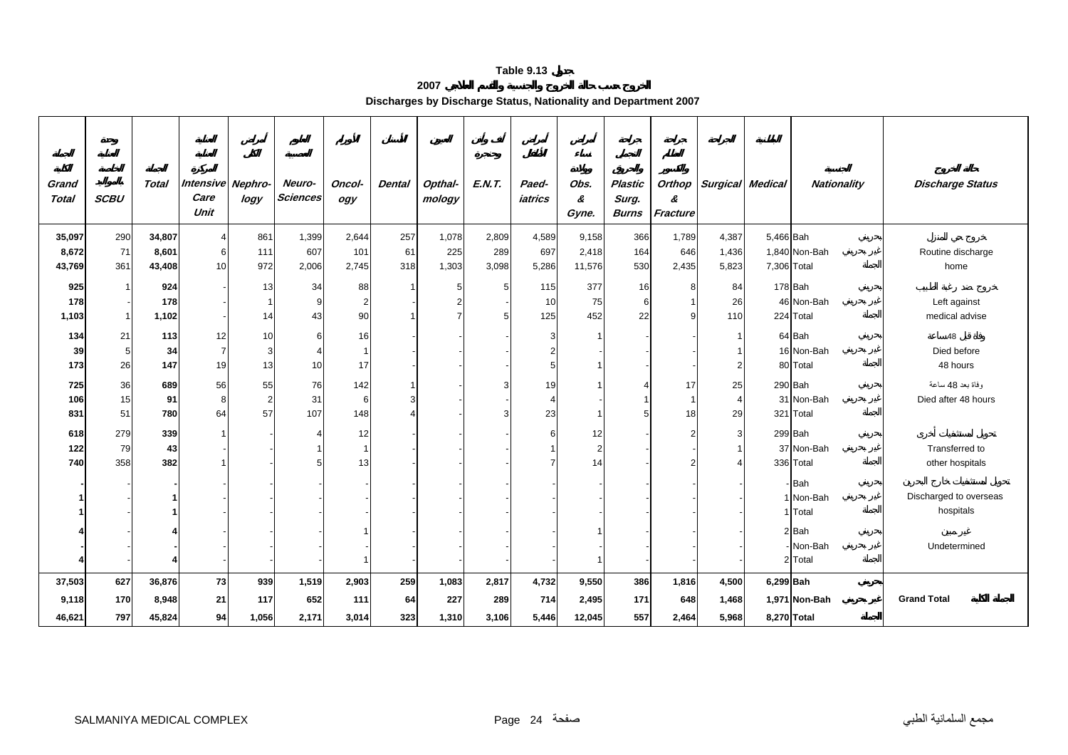#### **2007**

**Discharges by Discharge Status, Nationality and Department 2007** 

| Grand<br><b>Total</b> | <b>SCBU</b> | <b>Total</b> | Intensive Nephro-<br>Care<br>Unit | logy           | Neuro-<br><b>Sciences</b> | Oncol-<br>ogy  | <b>Dental</b> | Opthal-<br>mology | E.N.T. | Paed-<br>iatrics | Obs.<br>&<br>Gyne. | <b>Plastic</b><br>Surg.<br><b>Burns</b> | Orthop<br>&<br>Fracture | <b>Surgical</b> | Medical     | <b>Nationality</b>   | <b>Discharge Status</b> |
|-----------------------|-------------|--------------|-----------------------------------|----------------|---------------------------|----------------|---------------|-------------------|--------|------------------|--------------------|-----------------------------------------|-------------------------|-----------------|-------------|----------------------|-------------------------|
| 35,097                | 290         | 34,807       | 4                                 | 861            | 1,399                     | 2,644          | 257           | 1,078             | 2,809  | 4,589            | 9,158              | 366                                     | 1,789                   | 4,387           | 5,466 Bah   |                      |                         |
| 8,672                 | 71          | 8,601        | 6                                 | 111            | 607                       | 101            | 61            | 225               | 289    | 697              | 2,418              | 164                                     | 646                     | 1,436           |             | 1,840 Non-Bah        | Routine discharge       |
| 43,769                | 361         | 43,408       | 10                                | 972            | 2,006                     | 2,745          | 318           | 1,303             | 3,098  | 5,286            | 11,576             | 530                                     | 2,435                   | 5,823           | 7,306 Total |                      | home                    |
| 925                   |             | 924          |                                   | 13             | 34                        | 88             | $\mathbf{1}$  | 5                 | 5      | 115              | 377                | 16                                      |                         | 84              |             | 178 Bah              |                         |
| 178                   |             | 178          |                                   |                |                           | $\overline{2}$ |               |                   |        | 10               | 75                 | 6                                       |                         | 26              |             | 46 Non-Bah           | Left against            |
| 1,103                 | $\mathbf 1$ | 1,102        |                                   | 14             | 43                        | 90             |               |                   |        | 125              | 452                | 22                                      |                         | 110             |             | 224 Total            | medical advise          |
|                       |             |              |                                   |                |                           |                |               |                   |        |                  |                    |                                         |                         |                 |             |                      |                         |
| 134<br>39             | 21<br>5     | 113<br>34    | 12<br>$\overline{7}$              | 10<br>3        | 6                         | 16             |               |                   |        | 3                |                    |                                         |                         |                 |             | 64 Bah<br>16 Non-Bah | 48<br>Died before       |
| 173                   | 26          | 147          | 19                                | 13             | 10                        | 17             |               |                   |        |                  |                    |                                         |                         | 2               |             | 80 Total             | 48 hours                |
|                       |             |              |                                   |                |                           |                |               |                   |        |                  |                    |                                         |                         |                 |             |                      |                         |
| 725                   | 36          | 689          | 56                                | 55             | 76                        | 142            |               |                   |        | 19               |                    |                                         | 17                      | 25              |             | 290 Bah              | وفاة بعد 48 ساعة        |
| 106                   | 15          | 91           | 8                                 | $\overline{2}$ | 31                        | 6              |               |                   |        | 4                |                    |                                         |                         | 4               |             | 31 Non-Bah           | Died after 48 hours     |
| 831                   | 51          | 780          | 64                                | 57             | 107                       | 148            |               |                   |        | 23               |                    |                                         | 18                      | 29              |             | 321 Total            |                         |
| 618                   | 279         | 339          | 1                                 |                |                           | 12             |               |                   |        | 6                | 12                 |                                         |                         | 3               |             | 299 Bah              |                         |
| 122                   | 79          | 43           |                                   |                |                           |                |               |                   |        |                  | $\overline{2}$     |                                         |                         |                 |             | 37 Non-Bah           | Transferred to          |
| 740                   | 358         | 382          |                                   |                |                           | 13             |               |                   |        |                  | 14                 |                                         |                         |                 |             | 336 Total            | other hospitals         |
|                       |             |              |                                   |                |                           |                |               |                   |        |                  |                    |                                         |                         |                 |             | - Bah                |                         |
|                       |             |              |                                   |                |                           |                |               |                   |        |                  |                    |                                         |                         |                 |             | 1 Non-Bah            | Discharged to overseas  |
|                       |             |              |                                   |                |                           |                |               |                   |        |                  |                    |                                         |                         |                 |             | 1 Total              | hospitals               |
|                       |             |              |                                   |                |                           |                |               |                   |        |                  |                    |                                         |                         |                 |             | 2 Bah                |                         |
|                       |             |              |                                   |                |                           |                |               |                   |        |                  |                    |                                         |                         |                 |             | Non-Bah              | Undetermined            |
|                       |             |              |                                   |                |                           |                |               |                   |        |                  |                    |                                         |                         |                 |             | 2 Total              |                         |
| 37,503                | 627         | 36,876       | 73                                | 939            | 1,519                     | 2,903          | 259           | 1,083             | 2,817  | 4,732            | 9,550              | 386                                     | 1,816                   | 4,500           | 6,299 Bah   |                      |                         |
| 9,118                 | 170         | 8,948        | 21                                | 117            | 652                       | 111            | 64            | 227               | 289    | 714              | 2,495              | 171                                     | 648                     | 1,468           |             | 1,971 Non-Bah        | <b>Grand Total</b>      |
| 46,621                | 797         | 45,824       | 94                                | 1,056          | 2,171                     | 3,014          | 323           | 1,310             | 3,106  | 5,446            | 12,045             | 557                                     | 2,464                   | 5,968           | 8,270 Total |                      |                         |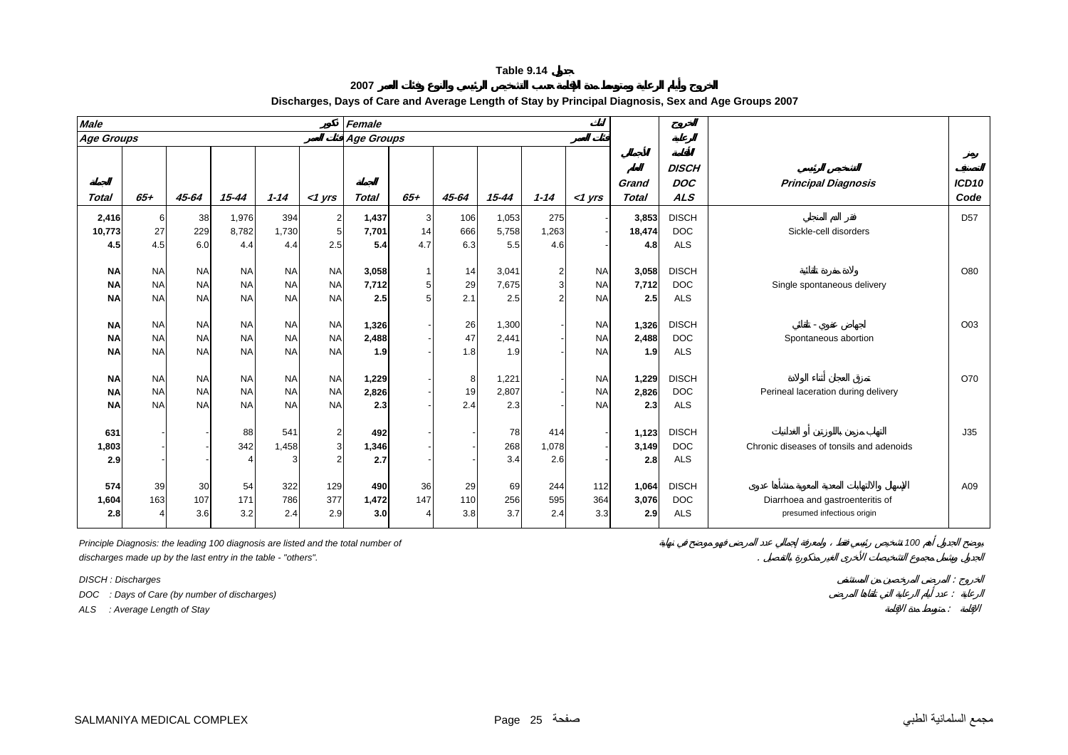**2007**

| <b>Male</b>       |           |           |           |           |                | Female       |                |       |           |                |           |              |                            |                                          |                   |
|-------------------|-----------|-----------|-----------|-----------|----------------|--------------|----------------|-------|-----------|----------------|-----------|--------------|----------------------------|------------------------------------------|-------------------|
| <b>Age Groups</b> |           |           |           |           |                | Age Groups   |                |       |           |                |           |              |                            |                                          |                   |
|                   |           |           |           |           |                |              |                |       |           |                |           | Grand        | <b>DISCH</b><br><b>DOC</b> | <b>Principal Diagnosis</b>               | ICD <sub>10</sub> |
| Total             | $65+$     | $45 - 64$ | $15 - 44$ | $1 - 14$  | $<$ 1 yrs      | <b>Total</b> | $65+$          | 45-64 | $15 - 44$ | $1 - 14$       | $<$ 1 yrs | <b>Total</b> | <b>ALS</b>                 |                                          | Code              |
| 2,416             | 6         | 38        | 1,976     | 394       | $\overline{2}$ | 1,437        | 3              | 106   | 1,053     | 275            |           | 3,853        | <b>DISCH</b>               |                                          | D <sub>57</sub>   |
| 10,773            | 27        | 229       | 8,782     | 1,730     | 5              | 7,701        | 14             | 666   | 5,758     | 1,263          |           | 18,474       | <b>DOC</b>                 | Sickle-cell disorders                    |                   |
| 4.5               | 4.5       | 6.0       | 4.4       | 4.4       | 2.5            | 5.4          | 4.7            | 6.3   | 5.5       | 4.6            |           | 4.8          | <b>ALS</b>                 |                                          |                   |
| ΝA                | <b>NA</b> | <b>NA</b> | <b>NA</b> | <b>NA</b> | <b>NA</b>      | 3,058        |                | 14    | 3,041     | $\overline{2}$ | <b>NA</b> | 3,058        | <b>DISCH</b>               |                                          | O80               |
| <b>NA</b>         | <b>NA</b> | <b>NA</b> | <b>NA</b> | <b>NA</b> | <b>NA</b>      | 7,712        | 5 <sub>l</sub> | 29    | 7,675     | 3              | <b>NA</b> | 7,712        | <b>DOC</b>                 | Single spontaneous delivery              |                   |
| <b>NA</b>         | <b>NA</b> | <b>NA</b> | <b>NA</b> | <b>NA</b> | <b>NA</b>      | 2.5          | 5              | 2.1   | 2.5       | 2              | <b>NA</b> | 2.5          | <b>ALS</b>                 |                                          |                   |
|                   |           |           |           |           |                |              |                |       |           |                |           |              |                            |                                          |                   |
| <b>NA</b>         | <b>NA</b> | <b>NA</b> | <b>NA</b> | <b>NA</b> | <b>NA</b>      | 1,326        |                | 26    | 1,300     |                | <b>NA</b> | 1,326        | <b>DISCH</b>               |                                          | O <sub>03</sub>   |
| <b>NA</b>         | <b>NA</b> | <b>NA</b> | <b>NA</b> | <b>NA</b> | <b>NA</b>      | 2.488        |                | 47    | 2,441     |                | <b>NA</b> | 2.488        | <b>DOC</b>                 | Spontaneous abortion                     |                   |
| <b>NA</b>         | <b>NA</b> | <b>NA</b> | <b>NA</b> | <b>NA</b> | <b>NA</b>      | 1.9          |                | 1.8   | 1.9       |                | <b>NA</b> | 1.9          | <b>ALS</b>                 |                                          |                   |
| <b>NA</b>         | <b>NA</b> | <b>NA</b> | <b>NA</b> | <b>NA</b> | <b>NA</b>      | 1,229        |                | 8     | 1,221     |                | <b>NA</b> | 1,229        | <b>DISCH</b>               |                                          | O70               |
| <b>NA</b>         | <b>NA</b> | <b>NA</b> | <b>NA</b> | <b>NA</b> | <b>NA</b>      | 2,826        |                | 19    | 2,807     |                | <b>NA</b> | 2,826        | <b>DOC</b>                 | Perineal laceration during delivery      |                   |
| <b>NA</b>         | <b>NA</b> | <b>NA</b> | <b>NA</b> | <b>NA</b> | <b>NA</b>      | 2.3          |                | 2.4   | 2.3       |                | <b>NA</b> | 2.3          | <b>ALS</b>                 |                                          |                   |
|                   |           |           |           |           |                |              |                |       |           |                |           |              |                            |                                          |                   |
| 631               |           |           | 88        | 541       | $\overline{2}$ | 492          |                |       | 78        | 414            |           | 1,123        | <b>DISCH</b>               |                                          | J35               |
| 1,803             |           |           | 342       | 1,458     | 3              | 1,346        |                |       | 268       | 1,078          |           | 3,149        | <b>DOC</b>                 | Chronic diseases of tonsils and adenoids |                   |
| 2.9               |           |           |           |           | $\overline{2}$ | 2.7          |                |       | 3.4       | 2.6            |           | 2.8          | <b>ALS</b>                 |                                          |                   |
|                   |           |           |           |           |                |              |                |       |           |                |           |              |                            |                                          |                   |
| 574               | 39        | 30        | 54        | 322       | 129            | 490          | 36             | 29    | 69        | 244            | 112       | 1.064        | <b>DISCH</b>               |                                          | A09               |
| 1,604             | 163       | 107       | 171       | 786       | 377            | 1,472        | 147            | 110   | 256       | 595            | 364       | 3.076        | <b>DOC</b>                 | Diarrhoea and gastroenteritis of         |                   |
| 2.8               |           | 3.6       | 3.2       | 2.4       | 2.9            | 3.0          |                | 3.8   | 3.7       | 2.4            | 3.3       | 2.9          | <b>ALS</b>                 | presumed infectious origin               |                   |

#### **Discharges, Days of Care and Average Length of Stay by Principal Diagnosis, Sex and Age Groups 2007**

*Principle Diagnosis: the leading 100 diagnosis are listed and the total number of 100 discharges made up by the last entry in the table - "others".* .

*DISCH : Discharges* :

*DOC : Days of Care (by number of discharges)* :

*ALS : Average Length of Stay* :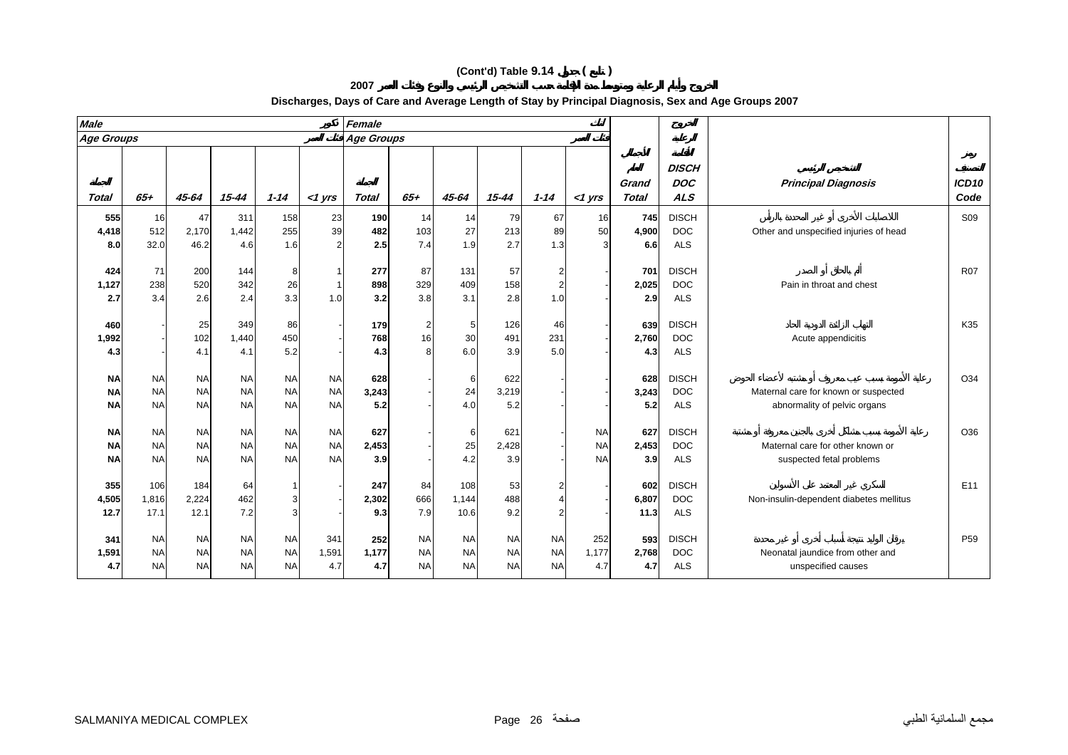| <b>Male</b>                         |                                     |                                     |                                     |                                     |                                     | Female              |                                     |                                     |                                     |                                     |                                     |                       |                                          |                                                                      |                           |
|-------------------------------------|-------------------------------------|-------------------------------------|-------------------------------------|-------------------------------------|-------------------------------------|---------------------|-------------------------------------|-------------------------------------|-------------------------------------|-------------------------------------|-------------------------------------|-----------------------|------------------------------------------|----------------------------------------------------------------------|---------------------------|
| <b>Age Groups</b>                   |                                     |                                     |                                     |                                     |                                     | Age Groups          |                                     |                                     |                                     |                                     |                                     |                       |                                          |                                                                      |                           |
| <b>Total</b>                        | $65+$                               | $45 - 64$                           | $15 - 44$                           | $1 - 14$                            | $<$ 1 yrs                           | <b>Total</b>        | $65+$                               | 45-64                               | $15 - 44$                           | $1 - 14$                            | $<$ 1 yrs                           | Grand<br><b>Total</b> | <b>DISCH</b><br><b>DOC</b><br><b>ALS</b> | <b>Principal Diagnosis</b>                                           | ICD <sub>10</sub><br>Code |
| 555<br>4,418<br>8.0                 | <b>16</b><br>512<br>32.0            | 47<br>2,170<br>46.2                 | 311<br>1,442<br>4.6                 | 158<br>255<br>1.6                   | 23<br>39                            | 190<br>482<br>2.5   | 14<br>103<br>7.4                    | 14<br>27<br>1.9                     | 79<br>213<br>2.7                    | 67<br>89<br>1.3                     | 16<br>50                            | 745<br>4,900<br>6.6   | <b>DISCH</b><br><b>DOC</b><br><b>ALS</b> | Other and unspecified injuries of head                               | S09                       |
| 424<br>1,127<br>2.7                 | 71<br>238<br>3.4                    | 200<br>520<br>2.6                   | 144<br>342<br>2.4                   | 8<br>26<br>3.3                      | 1.0                                 | 277<br>898<br>3.2   | 87<br>329<br>3.8                    | 131<br>409<br>3.1                   | 57<br>158<br>2.8                    | 1.0                                 |                                     | 701<br>2,025<br>2.9   | <b>DISCH</b><br><b>DOC</b><br><b>ALS</b> | Pain in throat and chest                                             | <b>R07</b>                |
| 460<br>1,992<br>4.3                 |                                     | 25<br>102<br>4.1                    | 349<br>1,440<br>4.1                 | 86<br>450<br>5.2                    |                                     | 179<br>768<br>4.3   | $\overline{2}$<br>16<br>8           | 5<br>30<br>6.0                      | 126<br>491<br>3.9                   | 46<br>231<br>5.0                    |                                     | 639<br>2,760<br>4.3   | <b>DISCH</b><br><b>DOC</b><br><b>ALS</b> | Acute appendicitis                                                   | K35                       |
| <b>NA</b><br><b>NA</b><br><b>NA</b> | <b>NA</b><br><b>NA</b><br><b>NA</b> | <b>NA</b><br><b>NA</b><br><b>NA</b> | <b>NA</b><br><b>NA</b><br><b>NA</b> | <b>NA</b><br><b>NA</b><br><b>NA</b> | <b>NA</b><br><b>NA</b><br><b>NA</b> | 628<br>3,243<br>5.2 |                                     | 6<br>24<br>4.0                      | 622<br>3,219<br>5.2                 |                                     |                                     | 628<br>3,243<br>5.2   | <b>DISCH</b><br><b>DOC</b><br><b>ALS</b> | Maternal care for known or suspected<br>abnormality of pelvic organs | O34                       |
| <b>NA</b><br><b>NA</b><br><b>NA</b> | <b>NA</b><br><b>NA</b><br><b>NA</b> | <b>NA</b><br><b>NA</b><br><b>NA</b> | <b>NA</b><br><b>NA</b><br><b>NA</b> | <b>NA</b><br><b>NA</b><br><b>NA</b> | <b>NA</b><br><b>NA</b><br><b>NA</b> | 627<br>2,453<br>3.9 |                                     | 6<br>25<br>4.2                      | 621<br>2,428<br>3.9                 |                                     | <b>NA</b><br><b>NA</b><br><b>NA</b> | 627<br>2,453<br>3.9   | <b>DISCH</b><br><b>DOC</b><br><b>ALS</b> | Maternal care for other known or<br>suspected fetal problems         | O36                       |
| 355<br>4,505<br>12.7                | 106<br>1,816<br>17.1                | 184<br>2,224<br>12.1                | 64<br>462<br>7.2                    | -1<br>3<br>3                        |                                     | 247<br>2,302<br>9.3 | 84<br>666<br>7.9                    | 108<br>1,144<br>10.6                | 53<br>488<br>9.2                    |                                     |                                     | 602<br>6,807<br>11.3  | <b>DISCH</b><br><b>DOC</b><br><b>ALS</b> | Non-insulin-dependent diabetes mellitus                              | E11                       |
| 341<br>1,591<br>4.7                 | <b>NA</b><br><b>NA</b><br><b>NA</b> | <b>NA</b><br><b>NA</b><br><b>NA</b> | <b>NA</b><br><b>NA</b><br><b>NA</b> | <b>NA</b><br><b>NA</b><br><b>NA</b> | 341<br>1,591<br>4.7                 | 252<br>1,177<br>4.7 | <b>NA</b><br><b>NA</b><br><b>NA</b> | <b>NA</b><br><b>NA</b><br><b>NA</b> | <b>NA</b><br><b>NA</b><br><b>NA</b> | <b>NA</b><br><b>NA</b><br><b>NA</b> | 252<br>1,177<br>4.7                 | 593<br>2,768<br>4.7   | <b>DISCH</b><br><b>DOC</b><br><b>ALS</b> | Neonatal jaundice from other and<br>unspecified causes               | P <sub>59</sub>           |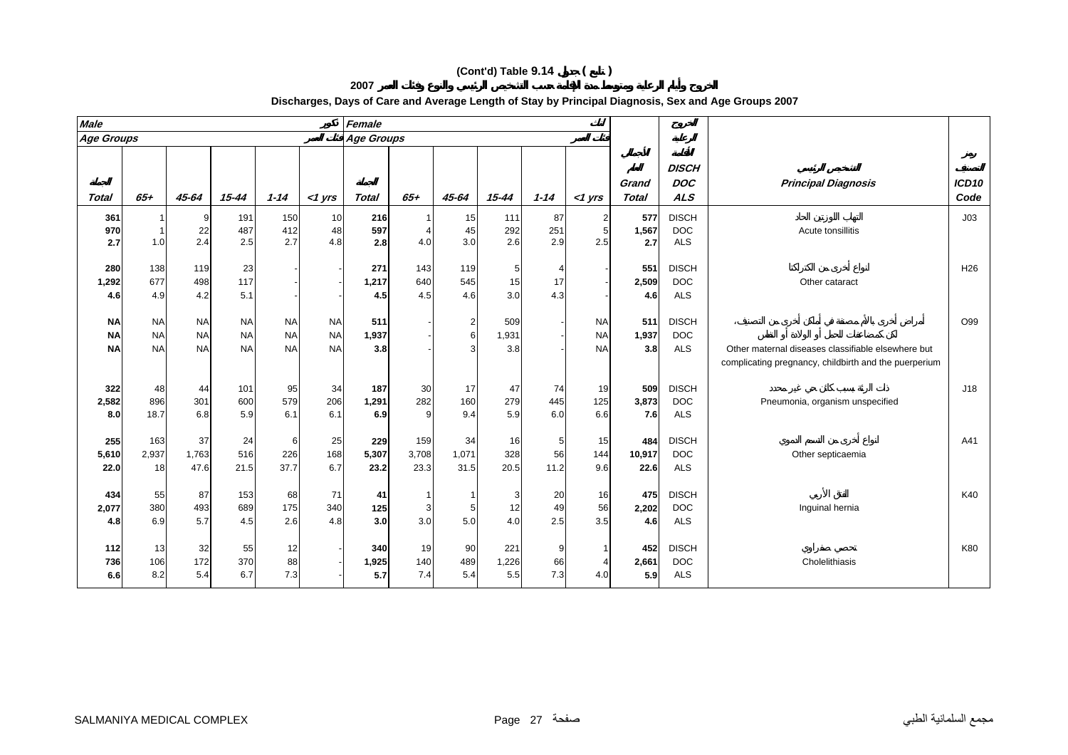| <b>Male</b>  |           |           |           |           |           | Female       |          |       |           |          |           |                       |                                          |                                                                                                             |                           |
|--------------|-----------|-----------|-----------|-----------|-----------|--------------|----------|-------|-----------|----------|-----------|-----------------------|------------------------------------------|-------------------------------------------------------------------------------------------------------------|---------------------------|
| Age Groups   |           |           |           |           |           | Age Groups   |          |       |           |          |           |                       |                                          |                                                                                                             |                           |
| <b>Total</b> | $65+$     | 45-64     | $15 - 44$ | $1 - 14$  | $<$ 1 yrs | <b>Total</b> | 65+      | 45-64 | $15 - 44$ | $1 - 14$ | <1 yrs    | Grand<br><b>Total</b> | <b>DISCH</b><br><b>DOC</b><br><b>ALS</b> | <b>Principal Diagnosis</b>                                                                                  | ICD <sub>10</sub><br>Code |
| 361          |           |           | 191       | 150       | 10        | 216          |          | 15    | 111       | 87       |           | 577                   | <b>DISCH</b>                             |                                                                                                             | J03                       |
| 970          |           | 22        | 487       | 412       | 48        | 597          |          | 45    | 292       | 251      | 5         | 1,567                 | <b>DOC</b>                               | Acute tonsillitis                                                                                           |                           |
| 2.7          | 1.0       | 2.4       | 2.5       | 2.7       | 4.8       | 2.8          | 4.0      | 3.0   | 2.6       | 2.9      | 2.5       | 2.7                   | <b>ALS</b>                               |                                                                                                             |                           |
|              |           |           |           |           |           |              |          |       |           |          |           |                       |                                          |                                                                                                             |                           |
| 280          | 138       | 119       | 23        |           |           | 271          | 143      | 119   |           |          |           | 551                   | <b>DISCH</b>                             |                                                                                                             | H <sub>26</sub>           |
| 1,292        | 677       | 498       | 117       |           |           | 1,217        | 640      | 545   | 15        | 17       |           | 2,509                 | <b>DOC</b>                               | Other cataract                                                                                              |                           |
| 4.6          | 4.9       | 4.2       | 5.1       |           |           | 4.5          | 4.5      | 4.6   | 3.0       | 4.3      |           | 4.6                   | <b>ALS</b>                               |                                                                                                             |                           |
| <b>NA</b>    | <b>NA</b> | <b>NA</b> | <b>NA</b> | <b>NA</b> | <b>NA</b> | 511          |          | 2     | 509       |          | <b>NA</b> | 511                   | <b>DISCH</b>                             |                                                                                                             | O99                       |
| <b>NA</b>    | <b>NA</b> | <b>NA</b> | <b>NA</b> | <b>NA</b> | <b>NA</b> | 1,937        |          | 6     | 1,931     |          | <b>NA</b> | 1,937                 | <b>DOC</b>                               |                                                                                                             |                           |
| <b>NA</b>    | <b>NA</b> | <b>NA</b> | <b>NA</b> | <b>NA</b> | <b>NA</b> | 3.8          |          | 3     | 3.8       |          | <b>NA</b> | 3.8                   | <b>ALS</b>                               | Other maternal diseases classifiable elsewhere but<br>complicating pregnancy, childbirth and the puerperium |                           |
| 322          | 48        | 44        | 101       | 95        | 34        | 187          | 30       | 17    | 47        | 74       | 19        | 509                   | <b>DISCH</b>                             |                                                                                                             | J18                       |
| 2,582        | 896       | 301       | 600       | 579       | 206       | 1,291        | 282      | 160   | 279       | 445      | 125       | 3,873                 | <b>DOC</b>                               | Pneumonia, organism unspecified                                                                             |                           |
| 8.0          | 18.7      | 6.8       | 5.9       | 6.1       | 6.1       | 6.9          | $\Omega$ | 9.4   | 5.9       | 6.0      | 6.6       | 7.6                   | <b>ALS</b>                               |                                                                                                             |                           |
| 255          | 163       | 37        | 24        | 6         | 25        | 229          | 159      | 34    | 16        | 5        | 15        | 484                   | <b>DISCH</b>                             |                                                                                                             | A41                       |
| 5,610        | 2,937     | 1,763     | 516       | 226       | 168       | 5,307        | 3,708    | 1,071 | 328       | 56       | 144       | 10,917                | <b>DOC</b>                               | Other septicaemia                                                                                           |                           |
| 22.0         | 18        | 47.6      | 21.5      | 37.7      | 6.7       | 23.2         | 23.3     | 31.5  | 20.5      | 11.2     | 9.6       | 22.6                  | <b>ALS</b>                               |                                                                                                             |                           |

**2007**

6.9 5.7 4.5 2.6 4.8 **3.0** 3.0 5.0 4.0 2.5 3.5 **4.6** ALS

8.2 5.4 6.7 7.3 - **5.7** 7.4 5.4 5.5 7.3 4.0 **5.9** ALS

#### **Discharges, Days of Care and Average Length of Stay by Principal Diagnosis, Sex and Age Groups 2007**

**434**

**4.8**

**112**

**736**

**6.6**

 55 87 153 68 71 **41** 1 1 3 20 16 **475** DISCH K40 **2,077** 380 493 689 175 340 **125** 3 5 12 49 56 **2,202** DOC Inguinal hernia

13 32 55 12 - **340** 19 90 221 9 1 **452** DISCH K80

106 172 370 88 - **1,925** 140 489 1,226 66 4 **2,661** DOC Cholelithiasis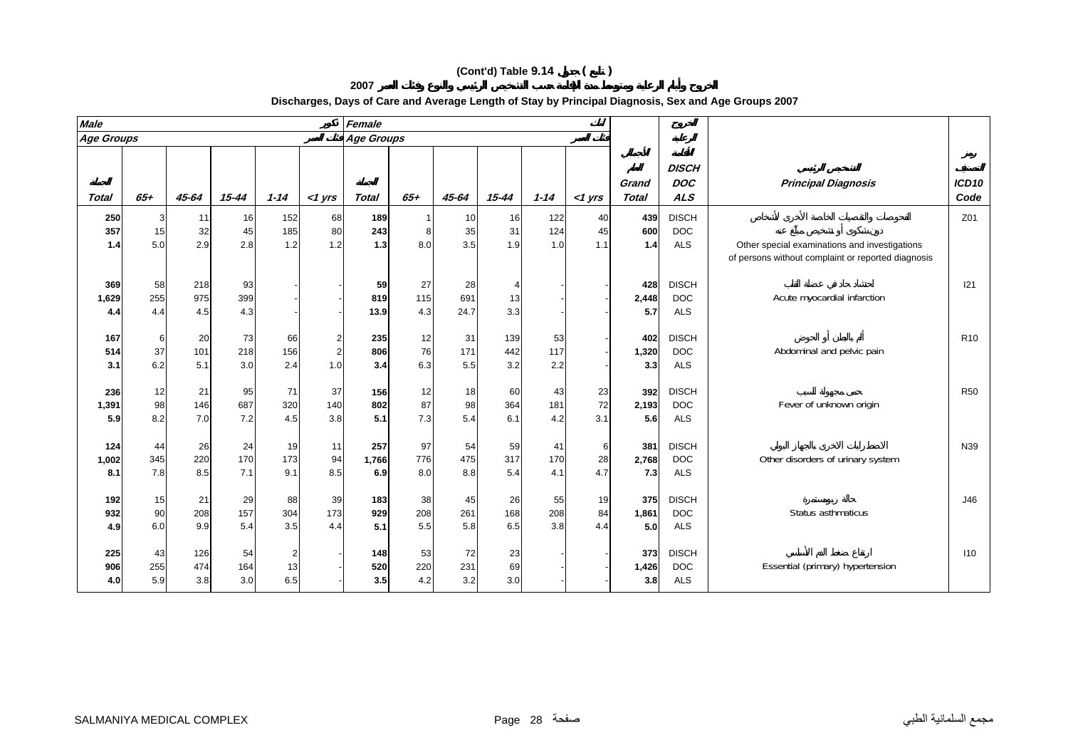**2007**

| <b>Male</b>  |       |       |           |          |                | Female            |       |           |                |          |           |                       |                                          |                                                                                                     |                           |
|--------------|-------|-------|-----------|----------|----------------|-------------------|-------|-----------|----------------|----------|-----------|-----------------------|------------------------------------------|-----------------------------------------------------------------------------------------------------|---------------------------|
| Age Groups   |       |       |           |          |                | <b>Age Groups</b> |       |           |                |          |           |                       |                                          |                                                                                                     |                           |
| <b>Total</b> | $65+$ | 45-64 | $15 - 44$ | $1 - 14$ | $<$ 1 yrs      | <b>Total</b>      | $65+$ | $45 - 64$ | $15 - 44$      | $1 - 14$ | $<$ 1 yrs | Grand<br><b>Total</b> | <b>DISCH</b><br><b>DOC</b><br><b>ALS</b> | <b>Principal Diagnosis</b>                                                                          | ICD <sub>10</sub><br>Code |
| 250          | 3     | 11    | 16        | 152      | 68             | 189               |       | 10        | 16             | 122      | 40        | 439                   | <b>DISCH</b>                             |                                                                                                     | Z01                       |
| 357          | 15    | 32    | 45        | 185      | 80             | 243               | 8     | 35        | 31             | 124      | 45        | 600                   | <b>DOC</b>                               |                                                                                                     |                           |
| 1.4          | 5.0   | 2.9   | 2.8       | 1.2      | 1.2            | $1.3$             | 8.0   | 3.5       | 1.9            | 1.0      | 1.1       | 1.4                   | <b>ALS</b>                               | Other special examinations and investigations<br>of persons without complaint or reported diagnosis |                           |
| 369          | 58    | 218   | 93        |          |                | 59                | 27    | 28        | $\overline{4}$ |          |           | 428                   | <b>DISCH</b>                             |                                                                                                     | 121                       |
| 1,629        | 255   | 975   | 399       |          |                | 819               | 115   | 691       | 13             |          |           | 2,448                 | <b>DOC</b>                               | Acute myocardial infarction                                                                         |                           |
| 4.4          | 4.4   | 4.5   | 4.3       |          |                | 13.9              | 4.3   | 24.7      | 3.3            |          |           | 5.7                   | <b>ALS</b>                               |                                                                                                     |                           |
| 167          | 6     | 20    | 73        | 66       | $\overline{a}$ | 235               | 12    | 31        | 139            | 53       |           | 402                   | <b>DISCH</b>                             |                                                                                                     | R <sub>10</sub>           |
| 514          | 37    | 101   | 218       | 156      | $\overline{2}$ | 806               | 76    | 171       | 442            | 117      |           | 1,320                 | <b>DOC</b>                               | Abdominal and pelvic pain                                                                           |                           |
| 3.1          | 6.2   | 5.1   | 3.0       | 2.4      | 1.0            | 3.4               | 6.3   | 5.5       | 3.2            | 2.2      |           | 3.3                   | <b>ALS</b>                               |                                                                                                     |                           |
| 236          | 12    | 21    | 95        | 71       | 37             | 156               | 12    | 18        | 60             | 43       | 23        | 392                   | <b>DISCH</b>                             |                                                                                                     | <b>R50</b>                |
| 1,391        | 98    | 146   | 687       | 320      | 140            | 802               | 87    | 98        | 364            | 181      | 72        | 2,193                 | <b>DOC</b>                               | Fever of unknown origin                                                                             |                           |
| 5.9          | 8.2   | 7.0   | 7.2       | 4.5      | 3.8            | 5.1               | 7.3   | 5.4       | 6.1            | 4.2      | 3.1       | 5.6                   | <b>ALS</b>                               |                                                                                                     |                           |
| 124          | 44    | 26    | 24        | 19       | 11             | 257               | 97    | 54        | 59             | 41       | 6         | 381                   | <b>DISCH</b>                             |                                                                                                     | N39                       |
| 1,002        | 345   | 220   | 170       | 173      | 94             | 1,766             | 776   | 475       | 317            | 170      | 28        | 2,768                 | <b>DOC</b>                               | Other disorders of urinary system                                                                   |                           |
| 8.1          | 7.8   | 8.5   | 7.1       | 9.1      | 8.5            | 6.9               | 8.0   | 8.8       | 5.4            | 4.1      | 4.7       | 7.3                   | <b>ALS</b>                               |                                                                                                     |                           |
| 192          | 15    | 21    | 29        | 88       | 39             | 183               | 38    | 45        | 26             | 55       | 19        | 375                   | <b>DISCH</b>                             |                                                                                                     | J46                       |
| 932          | 90    | 208   | 157       | 304      | 173            | 929               | 208   | 261       | 168            | 208      | 84        | 1,861                 | <b>DOC</b>                               | Status asthmaticus                                                                                  |                           |
| 4.9          | 6.0   | 9.9   | 5.4       | 3.5      | 4.4            | 5.1               | 5.5   | 5.8       | 6.5            | 3.8      | 4.4       | 5.0                   | <b>ALS</b>                               |                                                                                                     |                           |
| 225          | 43    | 126   | 54        |          |                | 148               | 53    | 72        | 23             |          |           | 373                   | <b>DISCH</b>                             |                                                                                                     | 110                       |
| 906          | 255   | 474   | 164       | 13       |                | 520               | 220   | 231       | 69             |          |           | 1,426                 | <b>DOC</b>                               | Essential (primary) hypertension                                                                    |                           |
| 4.0          | 5.9   | 3.8   | 3.0       | 6.5      |                | 3.5               | 4.2   | 3.2       | 3.0            |          |           | 3.8                   | <b>ALS</b>                               |                                                                                                     |                           |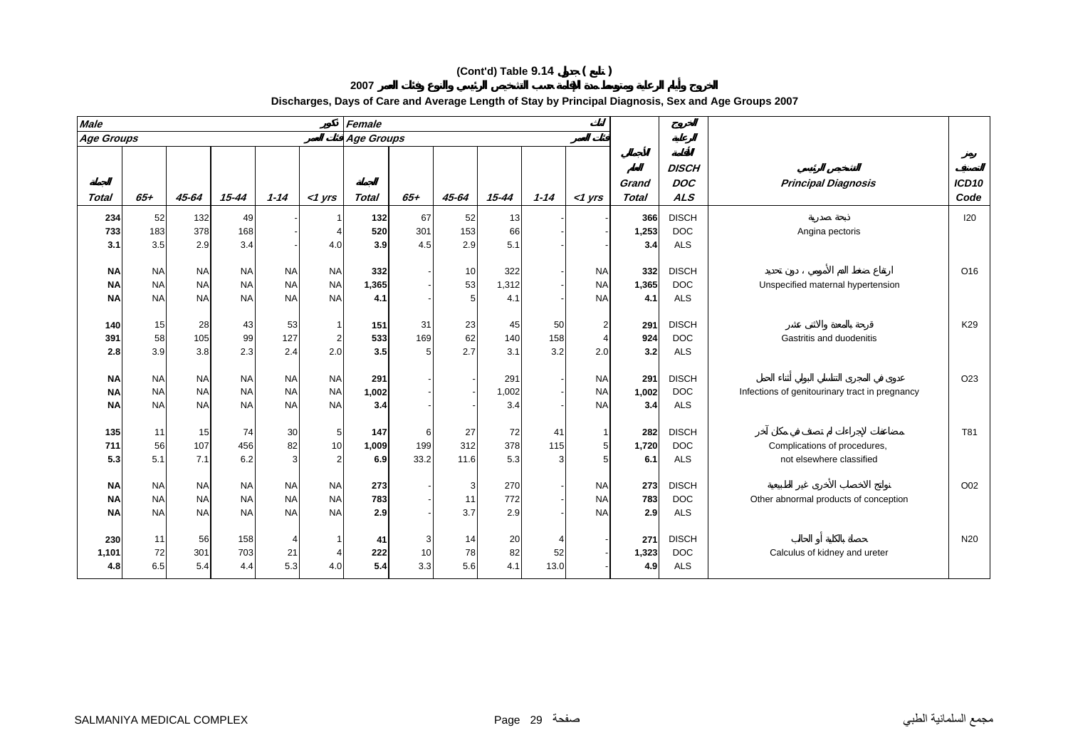| <b>Male</b>  |           |                        |           |           |                | Female            |                 |       |           |          |                |                       |                                          |                                                |                           |
|--------------|-----------|------------------------|-----------|-----------|----------------|-------------------|-----------------|-------|-----------|----------|----------------|-----------------------|------------------------------------------|------------------------------------------------|---------------------------|
| Age Groups   |           |                        |           |           |                | <b>Age Groups</b> |                 |       |           |          |                |                       |                                          |                                                |                           |
| <b>Total</b> | $65 +$    | 45-64                  | $15 - 44$ | $1 - 14$  | $<$ 1 yrs      | <b>Total</b>      | $65 +$          | 45-64 | $15 - 44$ | $1 - 14$ | $<$ 1 yrs      | Grand<br><b>Total</b> | <b>DISCH</b><br><b>DOC</b><br><b>ALS</b> | <b>Principal Diagnosis</b>                     | ICD <sub>10</sub><br>Code |
| 234          | 52        | 132                    | 49        |           |                | 132               | 67              | 52    | 13        |          |                | 366                   | <b>DISCH</b>                             |                                                | 120                       |
| 733          | 183       | 378                    | 168       |           |                | 520               | 301             | 153   | 66        |          |                | 1,253                 | <b>DOC</b>                               | Angina pectoris                                |                           |
| 3.1          | 3.5       | 2.9                    | 3.4       |           | 4.0            | 3.9               | 4.5             | 2.9   | 5.1       |          |                | 3.4                   | <b>ALS</b>                               |                                                |                           |
|              |           |                        |           |           |                |                   |                 |       |           |          |                |                       |                                          |                                                |                           |
| <b>NA</b>    | <b>NA</b> | <b>NA</b>              | <b>NA</b> | <b>NA</b> | <b>NA</b>      | 332               |                 | 10    | 322       |          | <b>NA</b>      | 332                   | <b>DISCH</b>                             |                                                | O16                       |
| <b>NA</b>    | <b>NA</b> | <b>NA</b>              | <b>NA</b> | <b>NA</b> | <b>NA</b>      | 1,365             |                 | 53    | 1,312     |          | <b>NA</b>      | 1,365                 | <b>DOC</b>                               | Unspecified maternal hypertension              |                           |
| <b>NA</b>    | <b>NA</b> | <b>NA</b>              | <b>NA</b> | <b>NA</b> | <b>NA</b>      | 4.1               |                 | 5     | 4.1       |          | <b>NA</b>      | 4.1                   | <b>ALS</b>                               |                                                |                           |
|              |           |                        |           |           |                |                   |                 |       |           |          |                |                       |                                          |                                                |                           |
| 140          | 15        | 28                     | 43        | 53        | 1              | 151               | 31              | 23    | 45        | 50       | $\overline{2}$ | 291                   | <b>DISCH</b>                             |                                                | K29                       |
| 391          | 58        | 105                    | 99        | 127       | $\overline{a}$ | 533               | 169             | 62    | 140       | 158      |                | 924                   | <b>DOC</b>                               | Gastritis and duodenitis                       |                           |
| 2.8          | 3.9       | 3.8                    | 2.3       | 2.4       | 2.0            | 3.5               | 5               | 2.7   | 3.1       | 3.2      | 2.0            | 3.2                   | <b>ALS</b>                               |                                                |                           |
|              |           |                        |           |           |                |                   |                 |       |           |          |                |                       |                                          |                                                |                           |
| <b>NA</b>    | <b>NA</b> | <b>NA</b>              | <b>NA</b> | <b>NA</b> | <b>NA</b>      | 291               |                 |       | 291       |          | <b>NA</b>      | 291                   | <b>DISCH</b>                             |                                                | O <sub>23</sub>           |
| <b>NA</b>    | <b>NA</b> | <b>NA</b><br><b>NA</b> | <b>NA</b> | <b>NA</b> | <b>NA</b>      | 1,002             |                 |       | 1,002     |          | <b>NA</b>      | 1,002                 | <b>DOC</b>                               | Infections of genitourinary tract in pregnancy |                           |
| <b>NA</b>    | <b>NA</b> |                        | <b>NA</b> | <b>NA</b> | <b>NA</b>      | 3.4               |                 |       | 3.4       |          | <b>NA</b>      | 3.4                   | <b>ALS</b>                               |                                                |                           |
| 135          | 11        | 15                     | 74        | 30        | 5              | 147               | 6               | 27    | 72        | 41       |                | 282                   | <b>DISCH</b>                             |                                                | T81                       |
| 711          | 56        | 107                    | 456       | 82        | 10             | 1,009             | 199             | 312   | 378       | 115      | 5              | 1,720                 | <b>DOC</b>                               | Complications of procedures,                   |                           |
| 5.3          | 5.1       | 7.1                    | 6.2       | 3         | $\overline{2}$ | 6.9               | 33.2            | 11.6  | 5.3       |          | 5 <sup>5</sup> | 6.1                   | <b>ALS</b>                               | not elsewhere classified                       |                           |
|              |           |                        |           |           |                |                   |                 |       |           |          |                |                       |                                          |                                                |                           |
| <b>NA</b>    | <b>NA</b> | <b>NA</b>              | <b>NA</b> | <b>NA</b> | <b>NA</b>      | 273               |                 | 3     | 270       |          | <b>NA</b>      | 273                   | <b>DISCH</b>                             |                                                | O02                       |
| <b>NA</b>    | <b>NA</b> | <b>NA</b>              | <b>NA</b> | <b>NA</b> | <b>NA</b>      | 783               |                 | 11    | 772       |          | <b>NA</b>      | 783                   | <b>DOC</b>                               | Other abnormal products of conception          |                           |
| <b>NA</b>    | <b>NA</b> | <b>NA</b>              | <b>NA</b> | <b>NA</b> | <b>NA</b>      | 2.9               |                 | 3.7   | 2.9       |          | <b>NA</b>      | 2.9                   | <b>ALS</b>                               |                                                |                           |
|              |           |                        |           |           |                |                   |                 |       |           |          |                |                       |                                          |                                                |                           |
| 230          | 11        | 56                     | 158       |           |                | 41                | 3               | 14    | 20        |          |                | 271                   | <b>DISCH</b>                             |                                                | N <sub>20</sub>           |
| 1,101        | 72        | 301                    | 703       | 21        | $\overline{4}$ | 222               | 10 <sup>1</sup> | 78    | 82        | 52       |                | 1,323                 | <b>DOC</b>                               | Calculus of kidney and ureter                  |                           |

6.5 5.4 4.4 5.3 4.0 **5.4** 3.3 5.6 4.1 13.0 - **4.9** ALS

**2007**

#### **Discharges, Days of Care and Average Length of Stay by Principal Diagnosis, Sex and Age Groups 2007**

**4.8**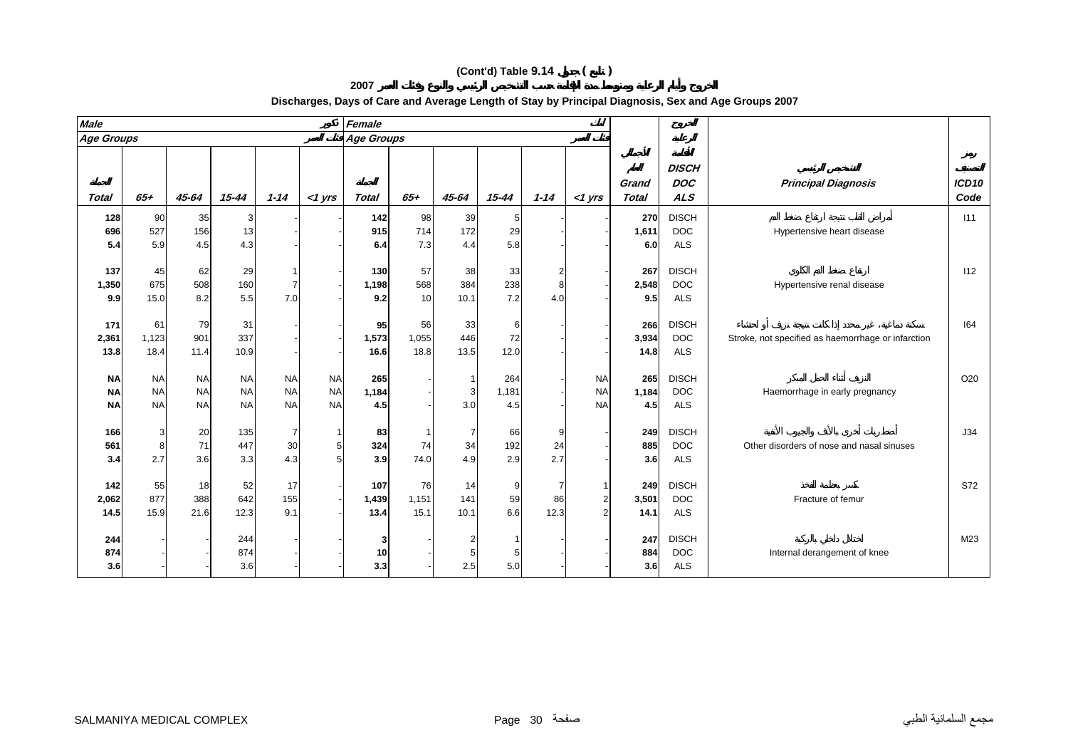| <b>Male</b>                         |                                     |                                     |                                     |                                     |                                     | Female               |                     |                                     |                     |                |                                              |                       |                                          |                                                    |                           |
|-------------------------------------|-------------------------------------|-------------------------------------|-------------------------------------|-------------------------------------|-------------------------------------|----------------------|---------------------|-------------------------------------|---------------------|----------------|----------------------------------------------|-----------------------|------------------------------------------|----------------------------------------------------|---------------------------|
| <b>Age Groups</b>                   |                                     |                                     |                                     |                                     |                                     | Age Groups           |                     |                                     |                     |                |                                              |                       |                                          |                                                    |                           |
| <b>Total</b>                        | $65+$                               | $45 - 64$                           | $15 - 44$                           | $1 - 14$                            | $<$ 1 yrs                           | <b>Total</b>         | $65+$               | 45-64                               | $15 - 44$           | $1 - 14$       | $<$ 1 yrs                                    | Grand<br><b>Total</b> | <b>DISCH</b><br><b>DOC</b><br><b>ALS</b> | <b>Principal Diagnosis</b>                         | ICD <sub>10</sub><br>Code |
| 128<br>696<br>5.4                   | 90<br>527<br>5.9                    | 35<br>156<br>4.5                    | 3<br>13<br>4.3                      |                                     |                                     | 142<br>915<br>6.4    | 98<br>714<br>7.3    | 39<br>172<br>4.4                    | 5<br>29<br>5.8      |                |                                              | 270<br>1,611<br>6.0   | <b>DISCH</b><br><b>DOC</b><br>ALS        | Hypertensive heart disease                         | 111                       |
| 137<br>1,350<br>9.9                 | 45<br>675<br>15.0                   | 62<br>508<br>8.2                    | 29<br>160<br>5.5                    | 7.0                                 |                                     | 130<br>1,198<br>9.2  | 57<br>568<br>10     | 38<br>384<br>10.1                   | 33<br>238<br>7.2    | 2<br>8<br>4.0  |                                              | 267<br>2,548<br>9.5   | <b>DISCH</b><br><b>DOC</b><br><b>ALS</b> | Hypertensive renal disease                         | 112                       |
| 171<br>2,361<br>13.8                | 61<br>1,123<br>18.4                 | 79<br>901<br>11.4                   | 31<br>337<br>10.9                   |                                     |                                     | 95<br>1,573<br>16.6  | 56<br>1,055<br>18.8 | 33<br>446<br>13.5                   | 6<br>72<br>12.0     |                |                                              | 266<br>3,934<br>14.8  | <b>DISCH</b><br><b>DOC</b><br><b>ALS</b> | Stroke, not specified as haemorrhage or infarction | 164                       |
| <b>NA</b><br><b>NA</b><br><b>NA</b> | <b>NA</b><br><b>NA</b><br><b>NA</b> | <b>NA</b><br><b>NA</b><br><b>NA</b> | <b>NA</b><br><b>NA</b><br><b>NA</b> | <b>NA</b><br><b>NA</b><br><b>NA</b> | <b>NA</b><br><b>NA</b><br><b>NA</b> | 265<br>1,184<br>4.5  |                     | 3<br>3.0                            | 264<br>1,181<br>4.5 |                | <b>NA</b><br><b>NA</b><br><b>NA</b>          | 265<br>1,184<br>4.5   | <b>DISCH</b><br><b>DOC</b><br><b>ALS</b> | Haemorrhage in early pregnancy                     | O20                       |
| 166<br>561<br>3.4                   | 3<br>8<br>2.7                       | 20<br>71<br>3.6                     | 135<br>447<br>3.3                   | 30<br>4.3                           | -1<br>5<br>5                        | 83<br>324<br>3.9     | 74<br>74.0          | $\overline{7}$<br>34<br>4.9         | 66<br>192<br>2.9    | 9<br>24<br>2.7 |                                              | 249<br>885<br>3.6     | <b>DISCH</b><br><b>DOC</b><br>ALS        | Other disorders of nose and nasal sinuses          | J34                       |
| 142<br>2,062<br>14.5                | 55<br>877<br>15.9                   | 18<br>388<br>21.6                   | 52<br>642<br>12.3                   | 17<br>155<br>9.1                    |                                     | 107<br>1,439<br>13.4 | 76<br>1,151<br>15.1 | 14<br>141<br>10.1                   | 9<br>59<br>6.6      | 86<br>12.3     | $\mathbf{1}$<br>$\sqrt{2}$<br>$\overline{2}$ | 249<br>3,501<br>14.1  | <b>DISCH</b><br><b>DOC</b><br><b>ALS</b> | Fracture of femur                                  | S72                       |
| 244<br>874<br>3.6                   |                                     |                                     | 244<br>874<br>3.6                   |                                     |                                     | 3<br>10<br>3.3       |                     | $\overline{2}$<br>$\sqrt{5}$<br>2.5 | -1<br>5.0           |                |                                              | 247<br>884<br>3.6     | <b>DISCH</b><br><b>DOC</b><br><b>ALS</b> | Internal derangement of knee                       | M23                       |

**2007**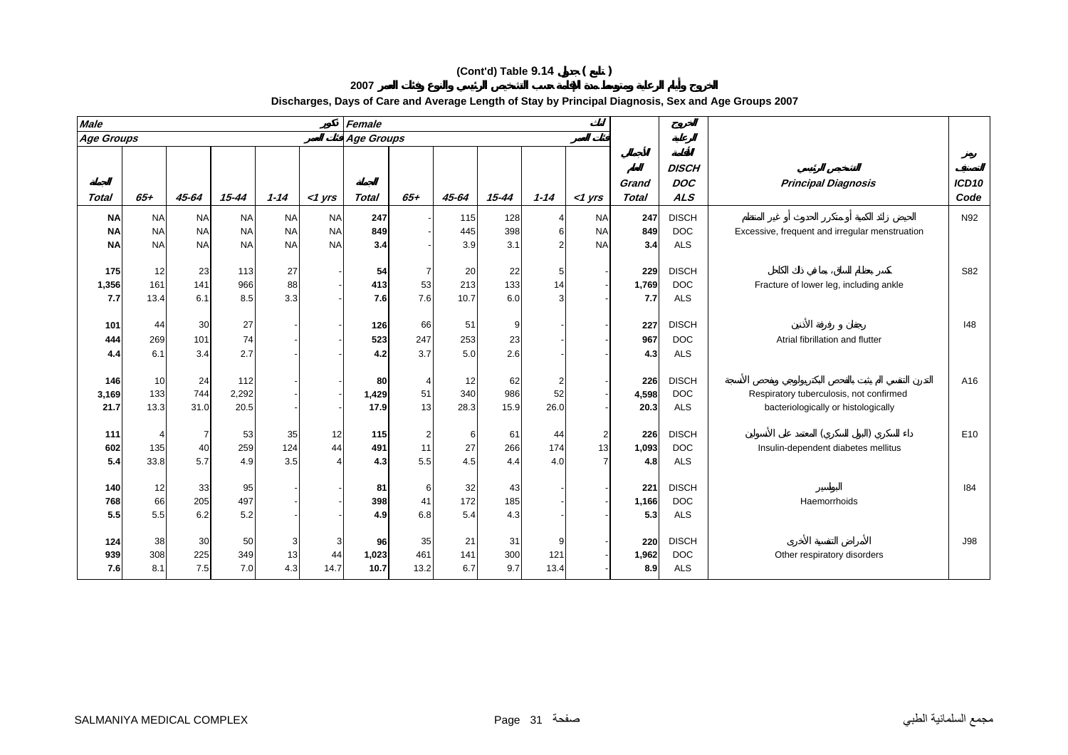| <b>Male</b>         |                   |                  |                   |                 |           | Female            |                             |                   |                  |              |           |                       |                                          |                                                                                |                           |
|---------------------|-------------------|------------------|-------------------|-----------------|-----------|-------------------|-----------------------------|-------------------|------------------|--------------|-----------|-----------------------|------------------------------------------|--------------------------------------------------------------------------------|---------------------------|
| Age Groups          |                   |                  |                   |                 |           | <b>Age Groups</b> |                             |                   |                  |              |           |                       |                                          |                                                                                |                           |
| Total               | $65+$             | $45 - 64$        | $15 - 44$         | $1 - 14$        | $<$ 1 yrs | <b>Total</b>      | $65+$                       | 45-64             | $15 - 44$        | $1 - 14$     | $<$ 1 yrs | Grand<br><b>Total</b> | <b>DISCH</b><br><b>DOC</b><br><b>ALS</b> | <b>Principal Diagnosis</b>                                                     | ICD <sub>10</sub><br>Code |
| <b>NA</b>           | <b>NA</b>         | <b>NA</b>        | <b>NA</b>         | <b>NA</b>       | <b>NA</b> | 247               |                             | 115               | 128              |              | <b>NA</b> | 247                   | <b>DISCH</b>                             |                                                                                | N92                       |
| <b>NA</b>           | <b>NA</b>         | <b>NA</b>        | <b>NA</b>         | <b>NA</b>       | <b>NA</b> | 849               |                             | 445               | 398              | 6            | <b>NA</b> | 849                   | <b>DOC</b>                               | Excessive, frequent and irregular menstruation                                 |                           |
| <b>NA</b>           | <b>NA</b>         | <b>NA</b>        | <b>NA</b>         | <b>NA</b>       | <b>NA</b> | 3.4               |                             | 3.9               | 3.1              |              | <b>NA</b> | 3.4                   | <b>ALS</b>                               |                                                                                |                           |
| 175<br>1,356<br>7.7 | 12<br>161<br>13.4 | 23<br>141<br>6.1 | 113<br>966<br>8.5 | 27<br>88<br>3.3 |           | 54<br>413<br>7.6  | $\overline{7}$<br>53<br>7.6 | 20<br>213<br>10.7 | 22<br>133<br>6.0 | 5<br>14<br>3 |           | 229<br>1,769<br>7.7   | <b>DISCH</b><br><b>DOC</b><br><b>ALS</b> | Fracture of lower leg, including ankle                                         | S82                       |
| 101                 | 44                | 30               | 27                |                 |           | 126               | 66                          | 51                | 9                |              |           | 227                   | <b>DISCH</b>                             |                                                                                | 148                       |
| 444                 | 269               | 101              | 74                |                 |           | 523               | 247                         | 253               | 23               |              |           | 967                   | <b>DOC</b>                               | Atrial fibrillation and flutter                                                |                           |
| 4.4                 | 6.1               | 3.4              | 2.7               |                 |           | 4.2               | 3.7                         | 5.0               | 2.6              |              |           | 4.3                   | <b>ALS</b>                               |                                                                                |                           |
|                     |                   |                  |                   |                 |           |                   |                             |                   |                  |              |           |                       |                                          |                                                                                |                           |
| 146                 | 10                | 24<br>744        | 112               |                 |           | 80                | 4<br>51                     | 12<br>340         | 62<br>986        | 52           |           | 226                   | <b>DISCH</b><br><b>DOC</b>               |                                                                                | A16                       |
| 3,169<br>21.7       | 133<br>13.3       | 31.0             | 2,292<br>20.5     |                 |           | 1,429<br>17.9     | 13                          | 28.3              | 15.9             | 26.0         |           | 4,598<br>20.3         | <b>ALS</b>                               | Respiratory tuberculosis, not confirmed<br>bacteriologically or histologically |                           |
|                     |                   |                  |                   |                 |           |                   |                             |                   |                  |              |           |                       |                                          |                                                                                |                           |
| 111                 |                   |                  | 53                | 35              | 12        | 115               | 2                           | 6                 | 61               | 44           |           | 226                   | <b>DISCH</b>                             |                                                                                | E10                       |
| 602                 | 135               | 40               | 259               | 124             | 44        | 491               | 11                          | 27                | 266              | 174          | 13        | 1,093                 | <b>DOC</b>                               | Insulin-dependent diabetes mellitus                                            |                           |
| 5.4                 | 33.8              | 5.7              | 4.9               | 3.5             |           | 4.3               | 5.5                         | 4.5               | 4.4              | 4.0          |           | 4.8                   | <b>ALS</b>                               |                                                                                |                           |
| 140                 | 12                | 33               | 95                |                 |           | 81                | 6                           | 32                | 43               |              |           | 221                   | <b>DISCH</b>                             |                                                                                | 184                       |
| 768                 | 66                | 205              | 497               |                 |           | 398               | 41                          | 172               | 185              |              |           | 1,166                 | <b>DOC</b>                               | Haemorrhoids                                                                   |                           |
| 5.5                 | 5.5               | 6.2              | 5.2               |                 |           | 4.9               | 6.8                         | 5.4               | 4.3              |              |           | 5.3                   | <b>ALS</b>                               |                                                                                |                           |

#### **Discharges, Days of Care and Average Length of Stay by Principal Diagnosis, Sex and Age Groups 2007**

**124**

**939**

**7.6**

38 30 50 3 3 **96** 35 21 31 9 - **220** DISCH J98

30 50 3 3 96 35 21 31 9<br>
308 225 349 13 44 1**,023** 461 141 300 121 - **1,962** DOC Other respiratory disorders<br>
8.1 7.5 7.0 4.3 14.7 **10.7** 13.2 6.7 9.7 13.4 - **8.9** ALS

8.1 7.5 7.0 4.3 14.7 **10.7** 13.2 6.7 9.7 13.4 - **8.9** ALS

**2007**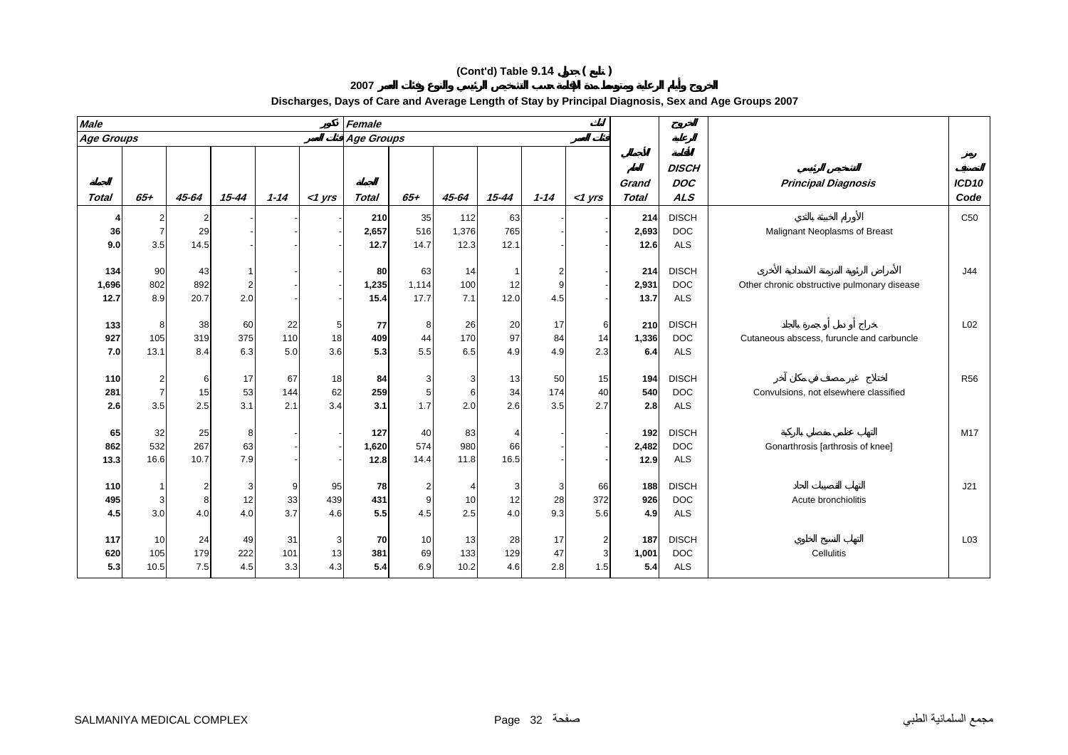**2007**

| <b>Male</b>       |                |           |           |            |           | Female            |          |                         |                          |           |           |                       |                                          |                                             |                           |
|-------------------|----------------|-----------|-----------|------------|-----------|-------------------|----------|-------------------------|--------------------------|-----------|-----------|-----------------------|------------------------------------------|---------------------------------------------|---------------------------|
| <b>Age Groups</b> |                |           |           |            |           | <b>Age Groups</b> |          |                         |                          |           |           |                       |                                          |                                             |                           |
| <b>Total</b>      | $65 +$         | $45 - 64$ | $15 - 44$ | $1 - 14$   | $<$ 1 yrs | <b>Total</b>      | $65 +$   | 45-64                   | $15 - 44$                | $1 - 14$  | $<$ 1 yrs | Grand<br><b>Total</b> | <b>DISCH</b><br><b>DOC</b><br><b>ALS</b> | <b>Principal Diagnosis</b>                  | ICD <sub>10</sub><br>Code |
|                   |                |           |           |            |           | 210               | 35       | 112                     | 63                       |           |           | 214                   | <b>DISCH</b>                             |                                             | C <sub>50</sub>           |
| 36                | $\overline{7}$ | 29        |           |            |           | 2,657             | 516      | 1,376                   | 765                      |           |           | 2,693                 | <b>DOC</b>                               | Malignant Neoplasms of Breast               |                           |
| 9.0               | 3.5            | 14.5      |           |            |           | 12.7              | 14.7     | 12.3                    | 12.1                     |           |           | 12.6                  | <b>ALS</b>                               |                                             |                           |
|                   |                |           |           |            |           |                   |          |                         |                          |           |           |                       |                                          |                                             |                           |
| 134               | 90             | 43        |           |            |           | 80                | 63       | 14                      |                          |           |           | 214                   | <b>DISCH</b>                             |                                             | J44                       |
| 1,696             | 802            | 892       | 2         |            |           | 1,235             | 1,114    | 100                     | 12                       |           |           | 2,931                 | <b>DOC</b>                               | Other chronic obstructive pulmonary disease |                           |
| 12.7              | 8.9            | 20.7      | 2.0       |            |           | 15.4              | 17.7     | 7.1                     | 12.0                     | 4.5       |           | 13.7                  | <b>ALS</b>                               |                                             |                           |
|                   |                |           |           |            |           |                   |          |                         |                          |           |           |                       |                                          |                                             |                           |
| 133               | 8              | 38        | 60        | 22         | 5         | 77                | 8        | 26                      | 20                       | 17        | 6         | 210                   | <b>DISCH</b>                             |                                             | L <sub>02</sub>           |
| 927               | 105            | 319       | 375       | 110        | 18        | 409               | 44       | 170                     | 97                       | 84        | 14        | 1,336                 | <b>DOC</b>                               | Cutaneous abscess, furuncle and carbuncle   |                           |
| 7.0               | 13.1           | 8.4       | 6.3       | 5.0        | 3.6       | 5.3               | 5.5      | 6.5                     | 4.9                      | 4.9       | 2.3       | 6.4                   | <b>ALS</b>                               |                                             |                           |
|                   |                |           |           |            |           |                   |          |                         |                          |           |           |                       |                                          |                                             |                           |
| 110               |                | 6<br>15   | 17        | 67         | 18<br>62  | 84                | 3        | 3                       | 13                       | 50<br>174 | 15<br>40  | 194<br>540            | <b>DISCH</b><br><b>DOC</b>               |                                             | <b>R56</b>                |
| 281               | 3.5            | 2.5       | 53<br>3.1 | 144<br>2.1 | 3.4       | 259<br>3.1        | 5<br>1.7 | $6 \overline{6}$<br>2.0 | 34<br>2.6                | 3.5       | 2.7       | 2.8                   | <b>ALS</b>                               | Convulsions, not elsewhere classified       |                           |
| 2.6               |                |           |           |            |           |                   |          |                         |                          |           |           |                       |                                          |                                             |                           |
| 65                | 32             | 25        | 8         |            |           | 127               | 40       | 83                      | $\boldsymbol{\varDelta}$ |           |           | 192                   | <b>DISCH</b>                             |                                             | M17                       |
| 862               | 532            | 267       | 63        |            |           | 1,620             | 574      | 980                     | 66                       |           |           | 2,482                 | <b>DOC</b>                               | Gonarthrosis [arthrosis of knee]            |                           |
| 13.3              | 16.6           | 10.7      | 7.9       |            |           | 12.8              | 14.4     | 11.8                    | 16.5                     |           |           | 12.9                  | <b>ALS</b>                               |                                             |                           |
|                   |                |           |           |            |           |                   |          |                         |                          |           |           |                       |                                          |                                             |                           |
| 110               |                |           | 3         | 9          | 95        | 78                | 2        |                         | 3                        | 3         | 66        | 188                   | <b>DISCH</b>                             |                                             | J21                       |
| 495               |                | 8         | 12        | 33         | 439       | 431               | 9        | 10                      | 12                       | 28        | 372       | 926                   | <b>DOC</b>                               | Acute bronchiolitis                         |                           |
| 4.5               | 3.0            | 4.0       | 4.0       | 3.7        | 4.6       | 5.5               | 4.5      | 2.5                     | 4.0                      | 9.3       | 5.6       | 4.9                   | <b>ALS</b>                               |                                             |                           |
|                   |                |           |           |            |           |                   |          |                         |                          |           |           |                       |                                          |                                             |                           |
| 117               | 10             | 24        | 49        | 31         | 3         | 70                | 10       | 13                      | 28                       | 17        | 2         | 187                   | <b>DISCH</b>                             |                                             | L <sub>03</sub>           |
| 620               | 105            | 179       | 222       | 101        | 13        | 381               | 69       | 133                     | 129                      | 47        | 3         | 1,001                 | <b>DOC</b>                               | Cellulitis                                  |                           |
| 5.3               | 10.5           | 7.5       | 4.5       | 3.3        | 4.3       | 5.4               | 6.9      | 10.2                    | 4.6                      | 2.8       | 1.5       | 5.4                   | ALS                                      |                                             |                           |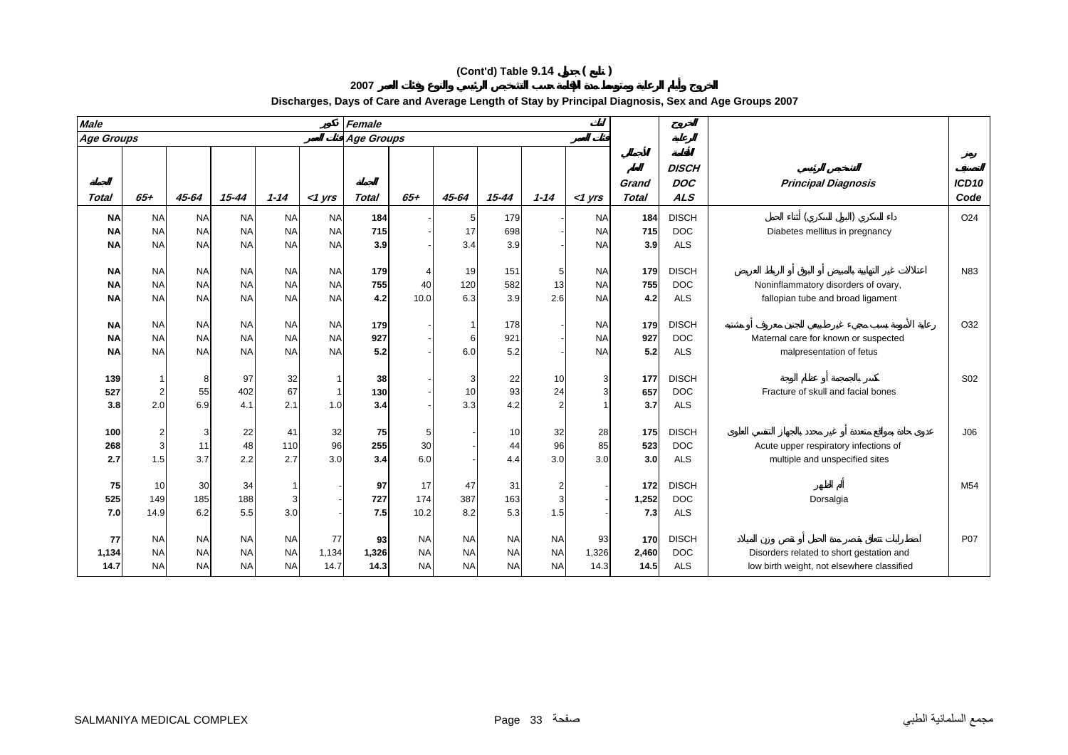| <b>Male</b>       |                |           |           |            |                         | Female       |           |                |           |           |             |                       |                          |                                            |                           |
|-------------------|----------------|-----------|-----------|------------|-------------------------|--------------|-----------|----------------|-----------|-----------|-------------|-----------------------|--------------------------|--------------------------------------------|---------------------------|
| <b>Age Groups</b> |                |           |           |            |                         | Age Groups   |           |                |           |           |             |                       |                          |                                            |                           |
|                   |                |           |           |            |                         |              |           |                |           |           |             |                       | <b>DISCH</b>             |                                            |                           |
| Total             | $65+$          | $45 - 64$ | 15-44     | $1 - 14$   | $<$ 1 yrs               | <b>Total</b> | $65+$     | 45-64          | $15 - 44$ | $1 - 14$  | $<$ 1 $Vrs$ | Grand<br><b>Total</b> | <b>DOC</b><br><b>ALS</b> | <b>Principal Diagnosis</b>                 | ICD <sub>10</sub><br>Code |
| <b>NA</b>         | <b>NA</b>      | <b>NA</b> | <b>NA</b> | <b>NA</b>  | <b>NA</b>               | 184          |           | $\overline{5}$ | 179       |           | <b>NA</b>   | 184                   | <b>DISCH</b>             |                                            | O <sub>24</sub>           |
| <b>NA</b>         | <b>NA</b>      | <b>NA</b> | <b>NA</b> | <b>NA</b>  | <b>NA</b>               | 715          |           | 17             | 698       |           | <b>NA</b>   | 715                   | <b>DOC</b>               | Diabetes mellitus in pregnancy             |                           |
| <b>NA</b>         | <b>NA</b>      | <b>NA</b> | <b>NA</b> | <b>NA</b>  | <b>NA</b>               | 3.9          |           | 3.4            | 3.9       |           | <b>NA</b>   | 3.9                   | <b>ALS</b>               |                                            |                           |
|                   |                |           |           |            |                         |              |           |                |           |           |             |                       |                          |                                            |                           |
| <b>NA</b>         | <b>NA</b>      | <b>NA</b> | <b>NA</b> | <b>NA</b>  | <b>NA</b>               | 179          |           | 19             | 151       | 5         | <b>NA</b>   | 179                   | <b>DISCH</b>             |                                            | N83                       |
| <b>NA</b>         | <b>NA</b>      | <b>NA</b> | <b>NA</b> | <b>NA</b>  | <b>NA</b>               | 755          | 40        | 120            | 582       | 13        | <b>NA</b>   | 755                   | <b>DOC</b>               | Noninflammatory disorders of ovary,        |                           |
| <b>NA</b>         | <b>NA</b>      | <b>NA</b> | <b>NA</b> | <b>NA</b>  | <b>NA</b>               | 4.2          | 10.0      | 6.3            | 3.9       | 2.6       | <b>NA</b>   | 4.2                   | <b>ALS</b>               | fallopian tube and broad ligament          |                           |
|                   |                |           |           |            |                         |              |           |                |           |           |             |                       |                          |                                            |                           |
| <b>NA</b>         | <b>NA</b>      | <b>NA</b> | <b>NA</b> | <b>NA</b>  | <b>NA</b>               | 179          |           | $\mathbf 1$    | 178       |           | <b>NA</b>   | 179                   | <b>DISCH</b>             |                                            | O32                       |
| <b>NA</b>         | <b>NA</b>      | <b>NA</b> | <b>NA</b> | <b>NA</b>  | <b>NA</b>               | 927          |           | 6              | 921       |           | <b>NA</b>   | 927                   | <b>DOC</b>               | Maternal care for known or suspected       |                           |
| <b>NA</b>         | <b>NA</b>      | <b>NA</b> | <b>NA</b> | <b>NA</b>  | <b>NA</b>               | 5.2          |           | 6.0            | 5.2       |           | <b>NA</b>   | 5.2                   | <b>ALS</b>               | malpresentation of fetus                   |                           |
|                   |                |           |           |            |                         |              |           |                |           |           |             |                       |                          |                                            |                           |
| 139               |                | 8         | 97        | 32         |                         | 38           |           | 3              | 22        | 10        |             | 177                   | <b>DISCH</b>             |                                            | S02                       |
| 527               |                | 55        | 402       | 67         | $\overline{\mathbf{1}}$ | 130          |           | 10             | 93        | 24        |             | 657                   | <b>DOC</b>               | Fracture of skull and facial bones         |                           |
| 3.8               | 2.0            | 6.9       | 4.1       | 2.1        | 1.0                     | 3.4          |           | 3.3            | 4.2       |           |             | 3.7                   | <b>ALS</b>               |                                            |                           |
|                   |                |           |           |            |                         |              |           |                |           |           |             |                       |                          |                                            |                           |
| 100               | $\overline{c}$ | 3         | 22        | 41         | 32                      | 75           | 5         |                | 10        | 32        | 28          | 175                   | <b>DISCH</b>             |                                            | J06                       |
| 268               | 3              | 11<br>3.7 | 48        | 110<br>2.7 | 96                      | 255          | 30        |                | 44        | 96        | 85          | 523                   | <b>DOC</b>               | Acute upper respiratory infections of      |                           |
| 2.7               | 1.5            |           | 2.2       |            | 3.0                     | 3.4          | 6.0       |                | 4.4       | 3.0       | 3.0         | 3.0                   | <b>ALS</b>               | multiple and unspecified sites             |                           |
| 75                | 10             | 30        | 34        | 1          |                         | 97           | 17        | 47             | 31        |           |             | 172                   | <b>DISCH</b>             |                                            | M54                       |
| 525               | 149            | 185       | 188       | 3          |                         | 727          | 174       | 387            | 163       |           |             | 1,252                 | <b>DOC</b>               | Dorsalgia                                  |                           |
| 7.0               | 14.9           | 6.2       | 5.5       | 3.0        |                         | 7.5          | 10.2      | 8.2            | 5.3       | 1.5       |             | 7.3                   | <b>ALS</b>               |                                            |                           |
|                   |                |           |           |            |                         |              |           |                |           |           |             |                       |                          |                                            |                           |
| 77                | <b>NA</b>      | <b>NA</b> | <b>NA</b> | <b>NA</b>  | 77                      | 93           | <b>NA</b> | <b>NA</b>      | <b>NA</b> | <b>NA</b> | 93          | 170                   | <b>DISCH</b>             |                                            | <b>P07</b>                |
| 1,134             | <b>NA</b>      | <b>NA</b> | <b>NA</b> | <b>NA</b>  | 1,134                   | 1,326        | <b>NA</b> | <b>NA</b>      | <b>NA</b> | <b>NA</b> | 1,326       | 2,460                 | <b>DOC</b>               | Disorders related to short gestation and   |                           |
| 14.7              | <b>NA</b>      | <b>NA</b> | <b>NA</b> | <b>NA</b>  | 14.7                    | 14.3         | <b>NA</b> | <b>NA</b>      | <b>NA</b> | <b>NA</b> | 14.3        | 14.5                  | <b>ALS</b>               | low birth weight, not elsewhere classified |                           |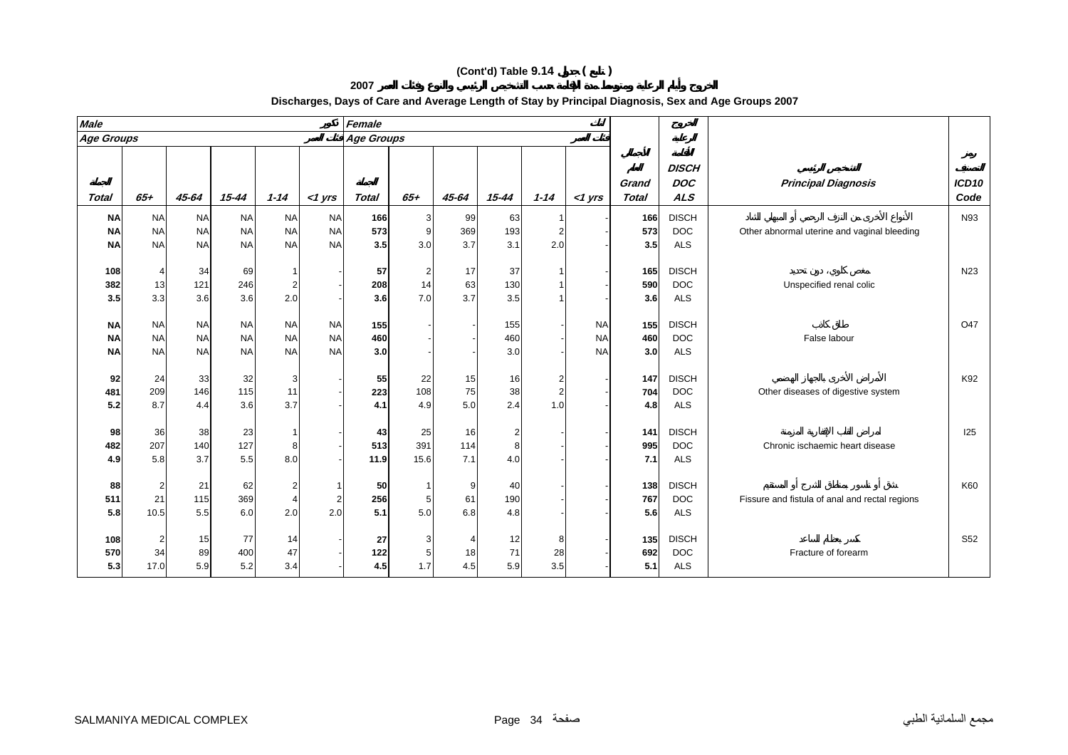| <b>Male</b>                         |                                     |                                     |                                     |                                     |                                     | Female            |                     |                  |                            |                            |                                     |                       |                                          |                                                |                           |
|-------------------------------------|-------------------------------------|-------------------------------------|-------------------------------------|-------------------------------------|-------------------------------------|-------------------|---------------------|------------------|----------------------------|----------------------------|-------------------------------------|-----------------------|------------------------------------------|------------------------------------------------|---------------------------|
| <b>Age Groups</b>                   |                                     |                                     |                                     |                                     |                                     | Age Groups        |                     |                  |                            |                            |                                     |                       |                                          |                                                |                           |
| <b>Total</b>                        | $65+$                               | 45-64                               | 15-44                               | $1 - 14$                            | $<$ 1 yrs                           | <b>Total</b>      | $65+$               | 45-64            | $15 - 44$                  | $1 - 14$                   | $<$ 1 yrs                           | Grand<br><b>Total</b> | <b>DISCH</b><br><b>DOC</b><br><b>ALS</b> | <b>Principal Diagnosis</b>                     | ICD <sub>10</sub><br>Code |
| <b>NA</b>                           | <b>NA</b>                           | <b>NA</b>                           | <b>NA</b>                           | <b>NA</b>                           | <b>NA</b>                           | 166               | 3                   | 99               | 63                         |                            |                                     | 166                   | <b>DISCH</b>                             |                                                | N93                       |
| <b>NA</b>                           | <b>NA</b>                           | <b>NA</b>                           | <b>NA</b>                           | <b>NA</b>                           | <b>NA</b>                           | 573               | 9                   | 369              | 193                        |                            |                                     | 573                   | <b>DOC</b>                               | Other abnormal uterine and vaginal bleeding    |                           |
| <b>NA</b>                           | <b>NA</b>                           | <b>NA</b>                           | <b>NA</b>                           | <b>NA</b>                           | <b>NA</b>                           | 3.5               | 3.0                 | 3.7              | 3.1                        | 2.0                        |                                     | 3.5                   | <b>ALS</b>                               |                                                |                           |
| 108<br>382<br>3.5                   | 4<br>13<br>3.3                      | 34<br>121<br>3.6                    | 69<br>246<br>3.6                    | 2<br>2.0                            |                                     | 57<br>208<br>3.6  | 2<br>14<br>7.0      | 17<br>63<br>3.7  | 37<br>130<br>3.5           |                            |                                     | 165<br>590<br>3.6     | <b>DISCH</b><br><b>DOC</b><br><b>ALS</b> | Unspecified renal colic                        | N <sub>23</sub>           |
| <b>NA</b><br><b>NA</b><br><b>NA</b> | <b>NA</b><br><b>NA</b><br><b>NA</b> | <b>NA</b><br><b>NA</b><br><b>NA</b> | <b>NA</b><br><b>NA</b><br><b>NA</b> | <b>NA</b><br><b>NA</b><br><b>NA</b> | <b>NA</b><br><b>NA</b><br><b>NA</b> | 155<br>460<br>3.0 |                     |                  | 155<br>460<br>3.0          |                            | <b>NA</b><br><b>NA</b><br><b>NA</b> | 155<br>460<br>3.0     | <b>DISCH</b><br><b>DOC</b><br><b>ALS</b> | False labour                                   | O47                       |
| 92<br>481<br>5.2                    | 24<br>209<br>8.7                    | 33<br>146<br>4.4                    | 32<br>115<br>3.6                    | 3<br>11<br>3.7                      |                                     | 55<br>223<br>4.1  | 22<br>108<br>4.9    | 15<br>75<br>5.0  | 16<br>38<br>2.4            | 2<br>$\overline{2}$<br>1.0 |                                     | 147<br>704<br>4.8     | <b>DISCH</b><br><b>DOC</b><br><b>ALS</b> | Other diseases of digestive system             | K92                       |
| 98<br>482<br>4.9                    | 36<br>207<br>5.8                    | 38<br>140<br>3.7                    | 23<br>127<br>5.5                    | 8<br>8.0                            |                                     | 43<br>513<br>11.9 | 25<br>391<br>15.6   | 16<br>114<br>7.1 | $\overline{2}$<br>8<br>4.0 |                            |                                     | 141<br>995<br>7.1     | <b>DISCH</b><br><b>DOC</b><br><b>ALS</b> | Chronic ischaemic heart disease                | 125                       |
| 88<br>511<br>5.8                    | 2<br>21<br>10.5                     | 21<br>115<br>5.5                    | 62<br>369<br>6.0                    | 2<br>$\boldsymbol{\Delta}$<br>2.0   | 2<br>2.0                            | 50<br>256<br>5.1  | 5<br>5.0            | 9<br>61<br>6.8   | 40<br>190<br>4.8           |                            |                                     | 138<br>767<br>5.6     | <b>DISCH</b><br><b>DOC</b><br><b>ALS</b> | Fissure and fistula of anal and rectal regions | K60                       |
| 108<br>570                          | 2<br>34                             | 15<br>89                            | 77<br>400                           | 14<br>47                            |                                     | 27<br>122         | 3<br>5 <sup>1</sup> | 18               | 12<br>71                   | 8<br>28                    |                                     | 135<br>692            | <b>DISCH</b><br><b>DOC</b>               | Fracture of forearm                            | S52                       |

17.0 5.9 5.2 3.4 - **4.5** 1.7 4.5 5.9 3.5 - **5.1** ALS

**2007**

#### **Discharges, Days of Care and Average Length of Stay by Principal Diagnosis, Sex and Age Groups 2007**

**5.3**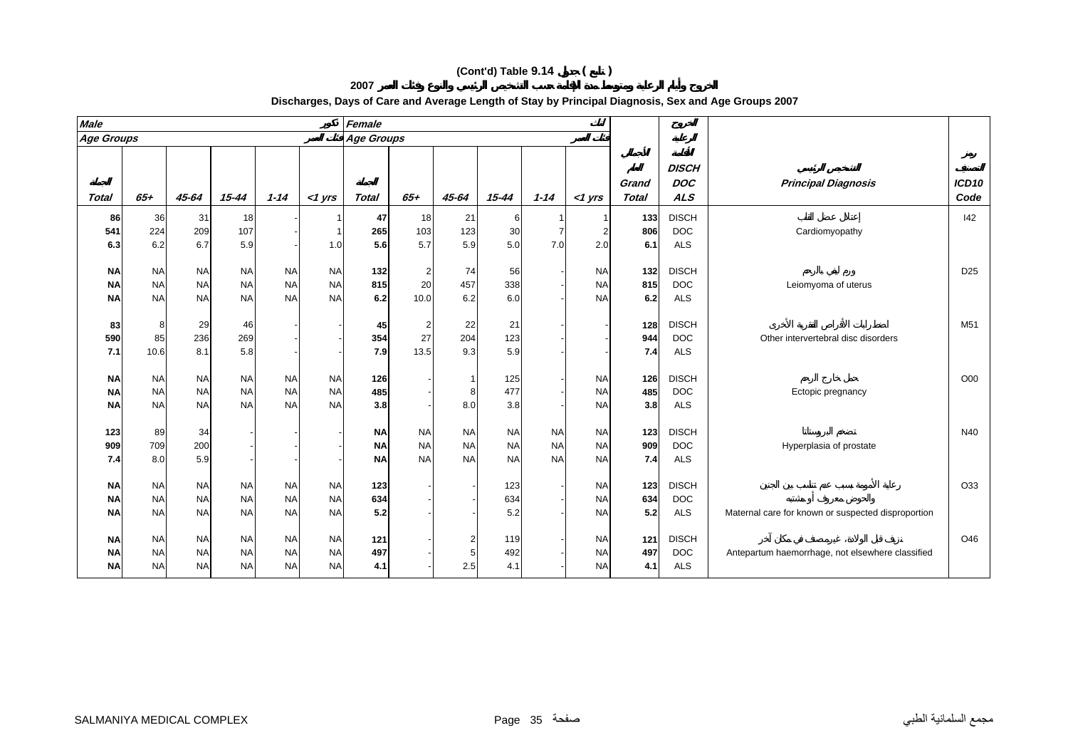**2007**

| <b>Male</b>  |           |           |           |           |           | Female       |                |                |           |           |           |                       |                                          |                                                    |                           |
|--------------|-----------|-----------|-----------|-----------|-----------|--------------|----------------|----------------|-----------|-----------|-----------|-----------------------|------------------------------------------|----------------------------------------------------|---------------------------|
| Age Groups   |           |           |           |           |           | Age Groups   |                |                |           |           |           |                       |                                          |                                                    |                           |
| <b>Total</b> | $65 +$    | $45 - 64$ | $15 - 44$ | $1 - 14$  | $<$ 1 yrs | <b>Total</b> | $65 +$         | 45-64          | $15 - 44$ | $1 - 14$  | $<$ 1 yrs | Grand<br><b>Total</b> | <b>DISCH</b><br><b>DOC</b><br><b>ALS</b> | <b>Principal Diagnosis</b>                         | ICD <sub>10</sub><br>Code |
| 86           | 36        | 31        | 18        |           |           | 47           | 18             | 21             | 6         |           |           | 133                   | <b>DISCH</b>                             |                                                    | 142                       |
| 541          | 224       | 209       | 107       |           |           | 265          | 103            | 123            | 30        |           |           | 806                   | <b>DOC</b>                               | Cardiomyopathy                                     |                           |
| 6.3          | 6.2       | 6.7       | 5.9       |           | 1.0       | 5.6          | 5.7            | 5.9            | 5.0       | 7.0       | 2.0       | 6.1                   | <b>ALS</b>                               |                                                    |                           |
|              |           |           |           |           |           |              |                |                |           |           |           |                       |                                          |                                                    |                           |
| <b>NA</b>    | <b>NA</b> | <b>NA</b> | <b>NA</b> | <b>NA</b> | <b>NA</b> | 132          | $\overline{2}$ | 74             | 56        |           | <b>NA</b> | 132                   | <b>DISCH</b>                             |                                                    | D <sub>25</sub>           |
| <b>NA</b>    | <b>NA</b> | <b>NA</b> | <b>NA</b> | <b>NA</b> | <b>NA</b> | 815          | 20             | 457            | 338       |           | <b>NA</b> | 815                   | <b>DOC</b>                               | Leiomyoma of uterus                                |                           |
| <b>NA</b>    | <b>NA</b> | <b>NA</b> | <b>NA</b> | <b>NA</b> | <b>NA</b> | 6.2          | 10.0           | 6.2            | 6.0       |           | <b>NA</b> | 6.2                   | <b>ALS</b>                               |                                                    |                           |
| 83           | 8         | 29        | 46        |           |           | 45           | $\overline{2}$ | 22             | 21        |           |           | 128                   | <b>DISCH</b>                             |                                                    | M51                       |
| 590          | 85        | 236       | 269       |           |           | 354          | 27             | 204            | 123       |           |           | 944                   | <b>DOC</b>                               | Other intervertebral disc disorders                |                           |
| 7.1          | 10.6      | 8.1       | 5.8       |           |           | 7.9          | 13.5           | 9.3            | 5.9       |           |           | 7.4                   | <b>ALS</b>                               |                                                    |                           |
|              |           |           |           |           |           |              |                |                |           |           |           |                       |                                          |                                                    |                           |
| <b>NA</b>    | <b>NA</b> | <b>NA</b> | <b>NA</b> | <b>NA</b> | <b>NA</b> | 126          |                |                | 125       |           | <b>NA</b> | 126                   | <b>DISCH</b>                             |                                                    | O00                       |
| <b>NA</b>    | <b>NA</b> | <b>NA</b> | <b>NA</b> | <b>NA</b> | <b>NA</b> | 485          |                | 8              | 477       |           | <b>NA</b> | 485                   | <b>DOC</b>                               | Ectopic pregnancy                                  |                           |
| <b>NA</b>    | <b>NA</b> | <b>NA</b> | <b>NA</b> | <b>NA</b> | <b>NA</b> | 3.8          |                | 8.0            | 3.8       |           | <b>NA</b> | 3.8                   | <b>ALS</b>                               |                                                    |                           |
| 123          | 89        | 34        |           |           |           | <b>NA</b>    | <b>NA</b>      | <b>NA</b>      | <b>NA</b> | <b>NA</b> | <b>NA</b> | 123                   | <b>DISCH</b>                             |                                                    | N40                       |
| 909          | 709       | 200       |           |           |           | <b>NA</b>    | <b>NA</b>      | <b>NA</b>      | <b>NA</b> | <b>NA</b> | <b>NA</b> | 909                   | <b>DOC</b>                               | Hyperplasia of prostate                            |                           |
| 7.4          | 8.0       | 5.9       |           |           |           | <b>NA</b>    | <b>NA</b>      | <b>NA</b>      | <b>NA</b> | <b>NA</b> | <b>NA</b> | 7.4                   | <b>ALS</b>                               |                                                    |                           |
| <b>NA</b>    | <b>NA</b> | <b>NA</b> | <b>NA</b> | <b>NA</b> | <b>NA</b> | 123          |                |                | 123       |           | <b>NA</b> | 123                   | <b>DISCH</b>                             |                                                    | O33                       |
| <b>NA</b>    | <b>NA</b> | <b>NA</b> | <b>NA</b> | <b>NA</b> | <b>NA</b> | 634          |                |                | 634       |           | <b>NA</b> | 634                   | <b>DOC</b>                               |                                                    |                           |
| ΝA           | <b>NA</b> | <b>NA</b> | <b>NA</b> | <b>NA</b> | <b>NA</b> | 5.2          |                |                | 5.2       |           | <b>NA</b> | 5.2                   | <b>ALS</b>                               | Maternal care for known or suspected disproportion |                           |
|              |           |           |           |           |           |              |                |                |           |           |           |                       |                                          |                                                    |                           |
| <b>NA</b>    | <b>NA</b> | <b>NA</b> | <b>NA</b> | <b>NA</b> | <b>NA</b> | 121          |                | $\overline{a}$ | 119       |           | <b>NA</b> | 121                   | <b>DISCH</b>                             |                                                    | O46                       |
| <b>NA</b>    | <b>NA</b> | <b>NA</b> | <b>NA</b> | <b>NA</b> | <b>NA</b> | 497          |                | $\overline{5}$ | 492       |           | <b>NA</b> | 497                   | <b>DOC</b>                               | Antepartum haemorrhage, not elsewhere classified   |                           |
| <b>NA</b>    | <b>NA</b> | <b>NA</b> | <b>NA</b> | <b>NA</b> | <b>NA</b> | 4.1          |                | 2.5            | 4.1       |           | <b>NA</b> | 4.1                   | <b>ALS</b>                               |                                                    |                           |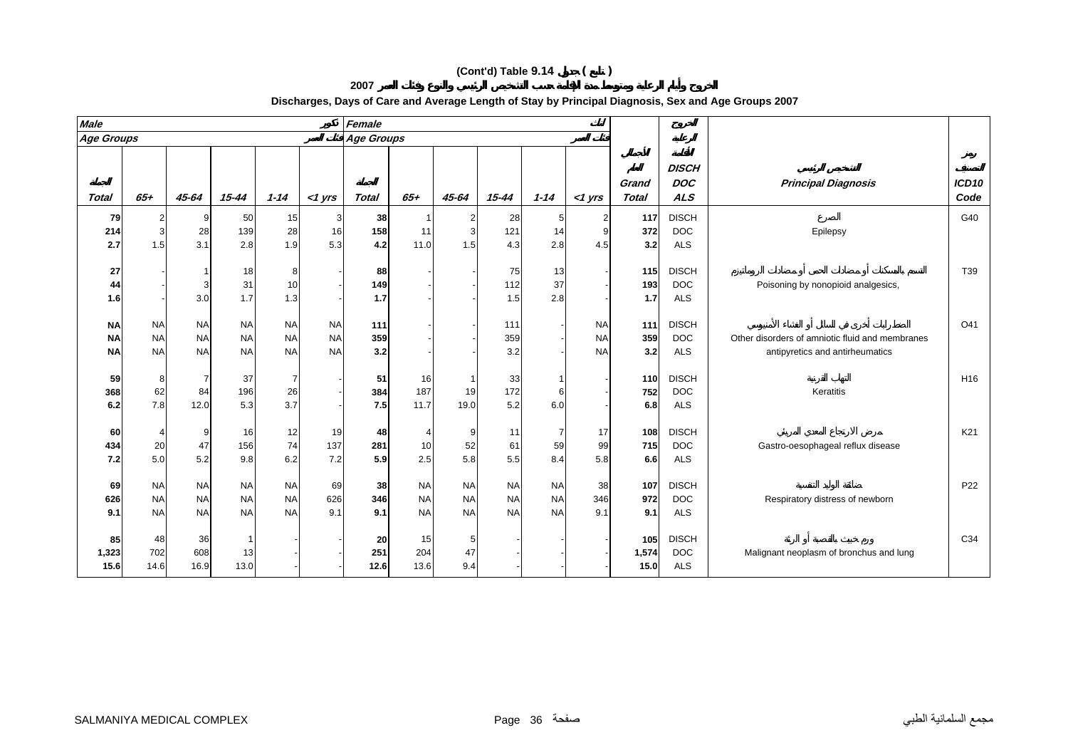**2007**

| <b>Male</b>                         |                                     |                                     |                                     |                                     |                                     | Female            |                                     |                                     |                                     |                                     |                                     |                       |                                          |                                                                                    |                 |
|-------------------------------------|-------------------------------------|-------------------------------------|-------------------------------------|-------------------------------------|-------------------------------------|-------------------|-------------------------------------|-------------------------------------|-------------------------------------|-------------------------------------|-------------------------------------|-----------------------|------------------------------------------|------------------------------------------------------------------------------------|-----------------|
| <b>Age Groups</b>                   |                                     |                                     |                                     |                                     |                                     | <b>Age Groups</b> |                                     |                                     |                                     |                                     |                                     |                       |                                          |                                                                                    |                 |
| <b>Total</b>                        | $65+$                               | 45-64                               | $15 - 44$                           | $1 - 14$                            | $<$ 1 yrs                           | <b>Total</b>      | $65+$                               | 45-64                               | $15 - 44$                           | $1 - 14$                            | $<$ 1 yrs                           | Grand<br><b>Total</b> | <b>DISCH</b><br><b>DOC</b><br><b>ALS</b> | <b>Principal Diagnosis</b>                                                         | ICD10<br>Code   |
| 79<br>214<br>2.7                    | $\overline{a}$<br>3<br>1.5          | 9<br>28<br>3.1                      | 50<br>139<br>2.8                    | 15<br>28<br>1.9                     | 3<br>16<br>5.3                      | 38<br>158<br>4.2  | 11<br>11.0                          | 2<br>3<br>1.5                       | 28<br>121<br>4.3                    | 14<br>2.8                           | 9<br>4.5                            | 117<br>372<br>3.2     | <b>DISCH</b><br><b>DOC</b><br><b>ALS</b> | Epilepsy                                                                           | G40             |
| 27<br>44<br>1.6                     |                                     | 3<br>3.0                            | 18<br>31<br>1.7                     | 8<br>10<br>1.3                      |                                     | 88<br>149<br>1.7  |                                     |                                     | 75<br>112<br>1.5                    | 13<br>37<br>2.8                     |                                     | 115<br>193<br>1.7     | <b>DISCH</b><br><b>DOC</b><br><b>ALS</b> | Poisoning by nonopioid analgesics,                                                 | T39             |
| <b>NA</b><br><b>NA</b><br><b>NA</b> | <b>NA</b><br><b>NA</b><br><b>NA</b> | <b>NA</b><br><b>NA</b><br><b>NA</b> | <b>NA</b><br><b>NA</b><br><b>NA</b> | <b>NA</b><br><b>NA</b><br><b>NA</b> | <b>NA</b><br><b>NA</b><br><b>NA</b> | 111<br>359<br>3.2 |                                     |                                     | 111<br>359<br>3.2                   |                                     | <b>NA</b><br><b>NA</b><br><b>NA</b> | 111<br>359<br>3.2     | <b>DISCH</b><br><b>DOC</b><br><b>ALS</b> | Other disorders of amniotic fluid and membranes<br>antipyretics and antirheumatics | O41             |
| 59<br>368<br>6.2                    | 8<br>62<br>7.8                      | 7<br>84<br>12.0                     | 37<br>196<br>5.3                    | 26<br>3.7                           |                                     | 51<br>384<br>7.5  | 16<br>187<br>11.7                   | $\mathbf{1}$<br>19<br>19.0          | 33<br>172<br>5.2                    | 6<br>6.0                            |                                     | 110<br>752<br>6.8     | <b>DISCH</b><br><b>DOC</b><br><b>ALS</b> | Keratitis                                                                          | H <sub>16</sub> |
| 60<br>434<br>7.2                    | 20<br>5.0                           | 9<br>47<br>5.2                      | 16<br>156<br>9.8                    | 12<br>74<br>6.2                     | 19<br>137<br>7.2                    | 48<br>281<br>5.9  | 10<br>2.5                           | 9<br>52<br>5.8                      | 11<br>61<br>5.5                     | 59<br>8.4                           | 17<br>99<br>5.8                     | 108<br>715<br>6.6     | <b>DISCH</b><br><b>DOC</b><br><b>ALS</b> | Gastro-oesophageal reflux disease                                                  | K21             |
| 69<br>626<br>9.1                    | <b>NA</b><br><b>NA</b><br><b>NA</b> | <b>NA</b><br><b>NA</b><br><b>NA</b> | <b>NA</b><br><b>NA</b><br><b>NA</b> | <b>NA</b><br><b>NA</b><br><b>NA</b> | 69<br>626<br>9.1                    | 38<br>346<br>9.1  | <b>NA</b><br><b>NA</b><br><b>NA</b> | <b>NA</b><br><b>NA</b><br><b>NA</b> | <b>NA</b><br><b>NA</b><br><b>NA</b> | <b>NA</b><br><b>NA</b><br><b>NA</b> | 38<br>346<br>9.1                    | 107<br>972<br>9.1     | <b>DISCH</b><br><b>DOC</b><br><b>ALS</b> | Respiratory distress of newborn                                                    | P22             |
| 85<br>1,323<br>15.6                 | 48<br>702<br>14.6                   | 36<br>608<br>16.9                   | 13<br>13.0                          |                                     |                                     | 20<br>251<br>12.6 | 15<br>204<br>13.6                   | 5<br>47<br>9.4                      |                                     |                                     |                                     | 105<br>1,574<br>15.0  | <b>DISCH</b><br><b>DOC</b><br><b>ALS</b> | Malignant neoplasm of bronchus and lung                                            | C34             |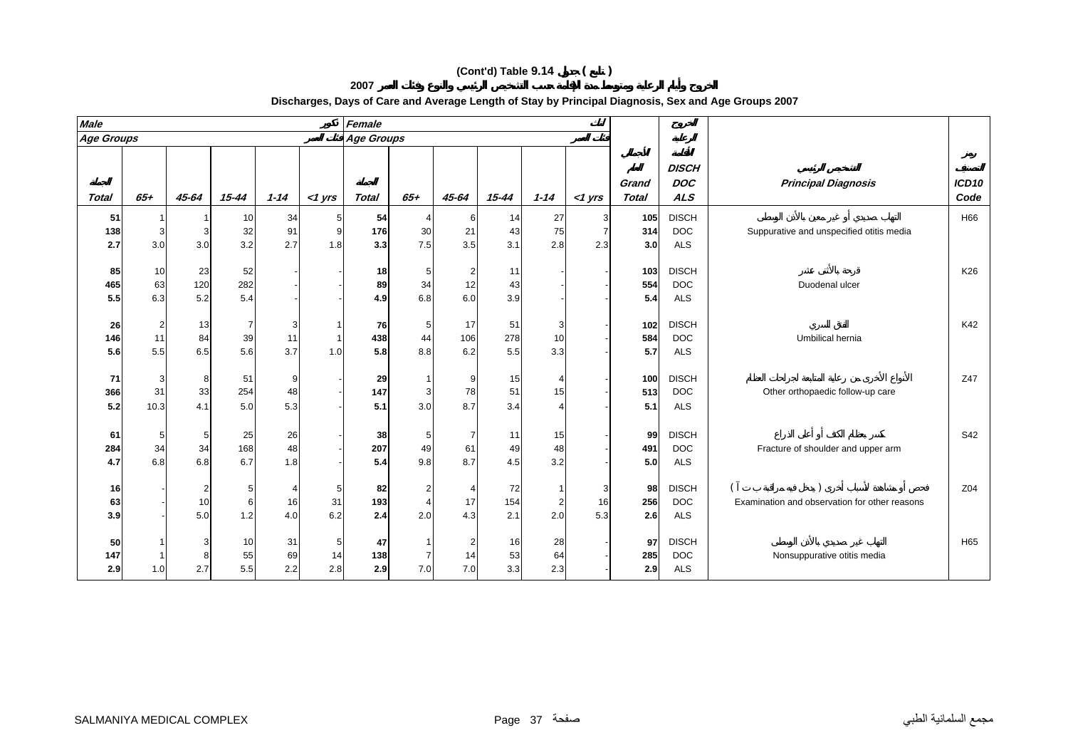**2007**

| <b>Male</b>       |         |                         |                |          |             | Female            |                         |                |           |          |           |                |                                          |                                               |                           |
|-------------------|---------|-------------------------|----------------|----------|-------------|-------------------|-------------------------|----------------|-----------|----------|-----------|----------------|------------------------------------------|-----------------------------------------------|---------------------------|
| <b>Age Groups</b> |         |                         |                |          |             | <b>Age Groups</b> |                         |                |           |          |           |                |                                          |                                               |                           |
| Total             | $65+$   | 45-64                   | 15-44          | $1 - 14$ | $<$ 1 yrs   | Total             | $65 +$                  | 45-64          | $15 - 44$ | $1 - 14$ | $<$ 1 yrs | Grand<br>Total | <b>DISCH</b><br><b>DOC</b><br><b>ALS</b> | <b>Principal Diagnosis</b>                    | ICD <sub>10</sub><br>Code |
| 51                |         |                         | 10             | 34       | 5           | 54                | $\mathbf 4$             | 6              | 14        | 27       | 3         | 105            | <b>DISCH</b>                             |                                               | H66                       |
| 138               | 3       | 3                       | 32             | 91       | 9           | 176               | 30                      | 21             | 43        | 75       | 7         | 314            | <b>DOC</b>                               | Suppurative and unspecified otitis media      |                           |
| 2.7               | 3.0     | 3.0                     | 3.2            | 2.7      | 1.8         | 3.3               | 7.5                     | 3.5            | 3.1       | 2.8      | 2.3       | 3.0            | <b>ALS</b>                               |                                               |                           |
|                   |         |                         |                |          |             |                   |                         |                |           |          |           |                |                                          |                                               |                           |
| 85                | 10      | 23                      | 52             |          |             | 18                | $5\phantom{.0}$         | $\overline{a}$ | 11        |          |           | 103            | <b>DISCH</b>                             |                                               | K26                       |
| 465               | 63      | 120                     | 282            |          |             | 89                | 34                      | 12             | 43        |          |           | 554            | <b>DOC</b>                               | Duodenal ulcer                                |                           |
| 5.5               | 6.3     | 5.2                     | 5.4            |          |             | 4.9               | 6.8                     | 6.0            | 3.9       |          |           | 5.4            | <b>ALS</b>                               |                                               |                           |
|                   |         |                         |                |          |             |                   |                         |                |           |          |           |                |                                          |                                               |                           |
| 26                | 2       | 13                      | $\overline{7}$ |          |             | 76                | 5 <sub>5</sub>          | 17             | 51        |          |           | 102            | <b>DISCH</b>                             |                                               | K42                       |
| 146               | 11      | 84                      | 39             | 11       | $\mathbf 1$ | 438               | 44                      | 106            | 278       | 10       |           | 584            | <b>DOC</b>                               | Umbilical hernia                              |                           |
| 5.6               | 5.5     | 6.5                     | 5.6            | 3.7      | 1.0         | 5.8               | 8.8                     | 6.2            | 5.5       | 3.3      |           | 5.7            | <b>ALS</b>                               |                                               |                           |
|                   |         |                         |                |          |             |                   |                         |                |           |          |           |                |                                          |                                               |                           |
| 71<br>366         | 3<br>31 | 8<br>33                 | 51<br>254      | 9<br>48  |             | 29<br>147         | 3                       | 9<br>78        | 15<br>51  | 15       |           | 100<br>513     | <b>DISCH</b><br><b>DOC</b>               | Other orthopaedic follow-up care              | Z47                       |
| 5.2               |         | 4.1                     | 5.0            | 5.3      |             | 5.1               |                         | 8.7            | 3.4       |          |           | 5.1            | <b>ALS</b>                               |                                               |                           |
|                   | 10.3    |                         |                |          |             |                   | 3.0                     |                |           |          |           |                |                                          |                                               |                           |
| 61                | 5       | 5                       | 25             | 26       |             | 38                | 5                       | $\overline{7}$ | 11        | 15       |           | 99             | <b>DISCH</b>                             |                                               | S42                       |
| 284               | 34      | 34                      | 168            | 48       |             | 207               | 49                      | 61             | 49        | 48       |           | 491            | <b>DOC</b>                               | Fracture of shoulder and upper arm            |                           |
| 4.7               | 6.8     | 6.8                     | 6.7            | 1.8      |             | 5.4               | 9.8                     | 8.7            | 4.5       | 3.2      |           | 5.0            | <b>ALS</b>                               |                                               |                           |
|                   |         |                         |                |          |             |                   |                         |                |           |          |           |                |                                          |                                               |                           |
| 16                |         | $\overline{\mathbf{c}}$ | 5              |          | 5           | 82                | $\overline{2}$          | $\overline{4}$ | 72        |          | 3         | 98             | <b>DISCH</b>                             |                                               | Z04                       |
| 63                |         | 10                      | 6              | 16       | 31          | 193               | $\overline{\mathbf{A}}$ | 17             | 154       | 2        | 16        | 256            | <b>DOC</b>                               | Examination and observation for other reasons |                           |
| 3.9               |         | 5.0                     | 1.2            | 4.0      | 6.2         | 2.4               | 2.0                     | 4.3            | 2.1       | 2.0      | 5.3       | 2.6            | <b>ALS</b>                               |                                               |                           |
|                   |         |                         |                |          |             |                   |                         |                |           |          |           |                |                                          |                                               |                           |
| 50                |         | 3                       | 10             | 31       | 5           | 47                |                         | $\overline{a}$ | 16        | 28       |           | 97             | <b>DISCH</b>                             |                                               | H65                       |
| 147               |         | 8                       | 55             | 69       | 14          | 138               |                         | 14             | 53        | 64       |           | 285            | <b>DOC</b>                               | Nonsuppurative otitis media                   |                           |
| 2.9               | 1.0     | 2.7                     | 5.5            | 2.2      | 2.8         | 2.9               | 7.0                     | 7.0            | 3.3       | 2.3      |           | 2.9            | <b>ALS</b>                               |                                               |                           |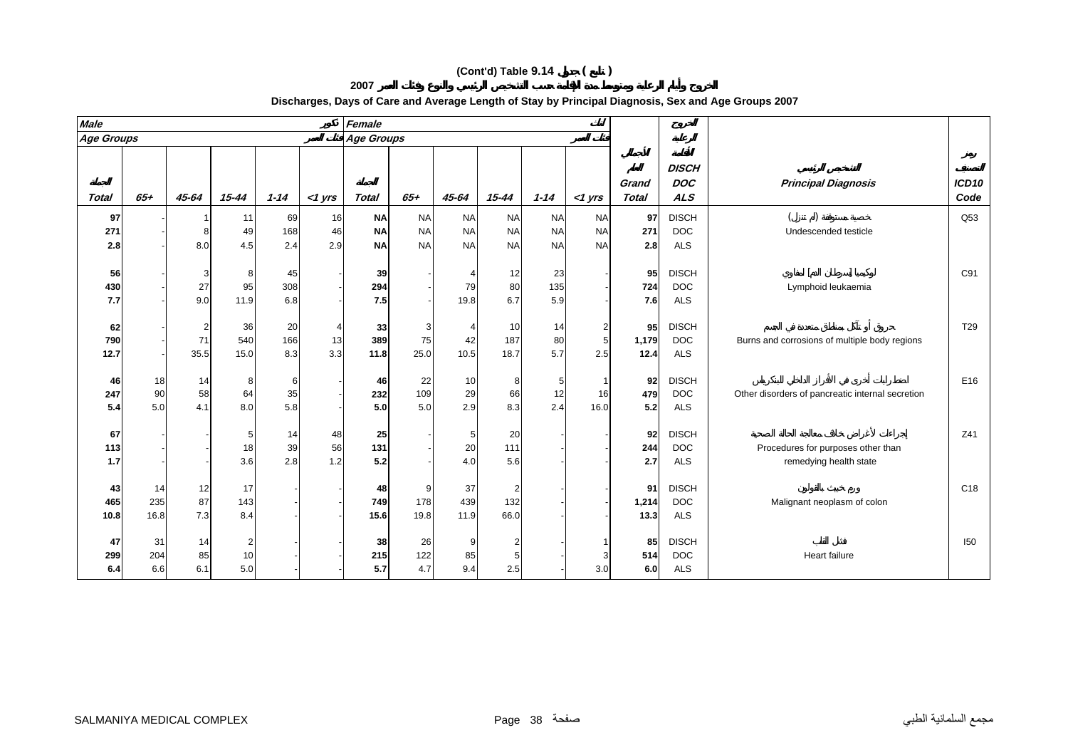**2007**

| <b>Male</b>       |                   |                 |                             |                  |                 | Female            |                   |                   |                               |                  |               |                       |                                          |                                                              |                           |
|-------------------|-------------------|-----------------|-----------------------------|------------------|-----------------|-------------------|-------------------|-------------------|-------------------------------|------------------|---------------|-----------------------|------------------------------------------|--------------------------------------------------------------|---------------------------|
| <b>Age Groups</b> |                   |                 |                             |                  |                 | <b>Age Groups</b> |                   |                   |                               |                  |               |                       |                                          |                                                              |                           |
| <b>Total</b>      | $65+$             | 45-64           | $15 - 44$                   | $1 - 14$         | $<$ 1 yrs       | Total             | $65+$             | 45-64             | $15 - 44$                     | $1 - 14$         | $<$ 1 yrs     | Grand<br><b>Total</b> | <b>DISCH</b><br><b>DOC</b><br><b>ALS</b> | <b>Principal Diagnosis</b>                                   | ICD <sub>10</sub><br>Code |
| 97                |                   |                 | 11                          | 69               | 16              | <b>NA</b>         | <b>NA</b>         | <b>NA</b>         | <b>NA</b>                     | <b>NA</b>        | <b>NA</b>     | 97                    | <b>DISCH</b>                             |                                                              | Q53                       |
| 271               |                   |                 | 49                          | 168              | 46              | <b>NA</b>         | <b>NA</b>         | <b>NA</b>         | <b>NA</b>                     | <b>NA</b>        | <b>NA</b>     | 271                   | <b>DOC</b>                               | Undescended testicle                                         |                           |
| 2.8               |                   | 8.0             | 4.5                         | 2.4              | 2.9             | <b>NA</b>         | <b>NA</b>         | <b>NA</b>         | <b>NA</b>                     | <b>NA</b>        | <b>NA</b>     | 2.8                   | <b>ALS</b>                               |                                                              |                           |
| 56<br>430<br>7.7  |                   | 27<br>9.0       | 8<br>95<br>11.9             | 45<br>308<br>6.8 |                 | 39<br>294<br>7.5  |                   | 79<br>19.8        | 12<br>80<br>6.7               | 23<br>135<br>5.9 |               | 95<br>724<br>7.6      | <b>DISCH</b><br><b>DOC</b><br><b>ALS</b> | Lymphoid leukaemia                                           | C91                       |
| 62<br>790<br>12.7 |                   | 2<br>71<br>35.5 | 36<br>540<br>15.0           | 20<br>166<br>8.3 | 4<br>13<br>3.3  | 33<br>389<br>11.8 | 3<br>75<br>25.0   | 42<br>10.5        | 10<br>187<br>18.7             | 14<br>80<br>5.7  | 2<br>5<br>2.5 | 95<br>1,179<br>12.4   | <b>DISCH</b><br><b>DOC</b><br><b>ALS</b> | Burns and corrosions of multiple body regions                | T29                       |
| 46<br>247<br>5.4  | 18<br>90<br>5.0   | 14<br>58<br>4.1 | 8<br>64<br>8.0              | 6<br>35<br>5.8   |                 | 46<br>232<br>5.0  | 22<br>109<br>5.0  | 10<br>29<br>2.9   | 8<br>66<br>8.3                | 12<br>2.4        | 16<br>16.0    | 92<br>479<br>5.2      | <b>DISCH</b><br><b>DOC</b><br><b>ALS</b> | Other disorders of pancreatic internal secretion             | E16                       |
| 67<br>113<br>1.7  |                   |                 | 5<br>18<br>3.6              | 14<br>39<br>2.8  | 48<br>56<br>1.2 | 25<br>131<br>5.2  |                   | 5<br>20<br>4.0    | 20<br>111<br>5.6              |                  |               | 92<br>244<br>2.7      | <b>DISCH</b><br><b>DOC</b><br><b>ALS</b> | Procedures for purposes other than<br>remedying health state | Z41                       |
| 43<br>465<br>10.8 | 14<br>235<br>16.8 | 12<br>87<br>7.3 | 17<br>143<br>8.4            |                  |                 | 48<br>749<br>15.6 | 9.<br>178<br>19.8 | 37<br>439<br>11.9 | $\overline{2}$<br>132<br>66.0 |                  |               | 91<br>1,214<br>13.3   | <b>DISCH</b><br><b>DOC</b><br><b>ALS</b> | Malignant neoplasm of colon                                  | C <sub>18</sub>           |
| 47<br>299<br>6.4  | 31<br>204<br>6.6  | 14<br>85<br>6.1 | $\overline{2}$<br>10<br>5.0 |                  |                 | 38<br>215<br>5.7  | 26<br>122<br>4.7  | 9<br>85<br>9.4    | $\overline{2}$<br>5<br>2.5    |                  | 3<br>3.0      | 85<br>514<br>6.0      | <b>DISCH</b><br><b>DOC</b><br><b>ALS</b> | Heart failure                                                | 150                       |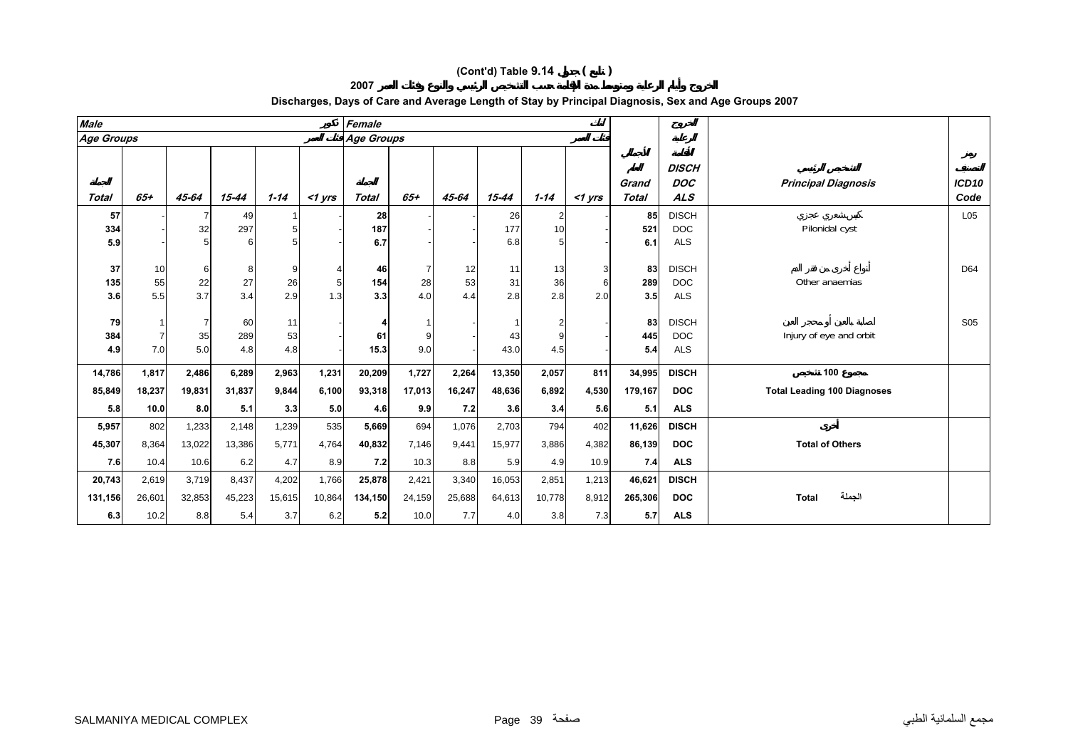**2007**

| <b>Male</b>      |                 |                |                |           |                       | Female            |                |                 |                 |                 |           |                       |                                          |                                    |                           |
|------------------|-----------------|----------------|----------------|-----------|-----------------------|-------------------|----------------|-----------------|-----------------|-----------------|-----------|-----------------------|------------------------------------------|------------------------------------|---------------------------|
| Age Groups       |                 |                |                |           |                       | <b>Age Groups</b> |                |                 |                 |                 |           |                       |                                          |                                    |                           |
| <b>Total</b>     | $65+$           | 45-64          | 15-44          | $1 - 14$  | $<$ 1 yrs             | Total             | $65+$          | 45-64           | $15 - 44$       | $1 - 14$        | $<$ 1 yrs | Grand<br><b>Total</b> | <b>DISCH</b><br><b>DOC</b><br><b>ALS</b> | <b>Principal Diagnosis</b>         | ICD <sub>10</sub><br>Code |
| 57               |                 | 7              | 49             |           |                       | 28                |                |                 | 26              |                 |           | 85                    | <b>DISCH</b>                             |                                    | L <sub>05</sub>           |
| 334              |                 | 32             | 297            |           |                       | 187               |                |                 | 177             | 10              |           | 521                   | <b>DOC</b>                               | Pilonidal cyst                     |                           |
| 5.9              |                 |                |                |           |                       | 6.7               |                |                 | 6.8             |                 |           | 6.1                   | <b>ALS</b>                               |                                    |                           |
| 37<br>135<br>3.6 | 10<br>55<br>5.5 | 6<br>22<br>3.7 | 8<br>27<br>3.4 | 26<br>2.9 | 5 <sub>5</sub><br>1.3 | 46<br>154<br>3.3  | 7<br>28<br>4.0 | 12<br>53<br>4.4 | 11<br>31<br>2.8 | 13<br>36<br>2.8 | 2.0       | 83<br>289<br>3.5      | <b>DISCH</b><br><b>DOC</b><br><b>ALS</b> | Other anaemias                     | D64                       |
| 79               |                 | 7              | 60             | 11        |                       |                   |                |                 |                 | 2               |           | 83                    | <b>DISCH</b>                             |                                    | <b>S05</b>                |
| 384              | $\overline{7}$  | 35             | 289            | 53        |                       | 61                |                |                 | 43              |                 |           | 445                   | <b>DOC</b>                               | Injury of eye and orbit            |                           |
| 4.9              | 7.0             | 5.0            | 4.8            | 4.8       |                       | 15.3              | 9.0            |                 | 43.0            | 4.5             |           | 5.4                   | <b>ALS</b>                               |                                    |                           |
|                  |                 |                |                |           |                       |                   |                |                 |                 |                 |           |                       |                                          |                                    |                           |
| 14,786           | 1,817           | 2,486          | 6,289          | 2,963     | 1,231                 | 20,209            | 1,727          | 2,264           | 13,350          | 2,057           | 811       | 34,995                | <b>DISCH</b>                             | 100                                |                           |
| 85,849           | 18,237          | 19,831         | 31,837         | 9,844     | 6,100                 | 93,318            | 17,013         | 16,247          | 48,636          | 6,892           | 4,530     | 179,167               | <b>DOC</b>                               | <b>Total Leading 100 Diagnoses</b> |                           |
| 5.8              | 10.0            | 8.0            | 5.1            | 3.3       | 5.0                   | 4.6               | 9.9            | 7.2             | 3.6             | 3.4             | 5.6       | 5.1                   | <b>ALS</b>                               |                                    |                           |
| 5,957            | 802             | 1,233          | 2,148          | 1,239     | 535                   | 5,669             | 694            | 1,076           | 2,703           | 794             | 402       | 11,626                | <b>DISCH</b>                             |                                    |                           |
| 45,307           | 8,364           | 13,022         | 13,386         | 5.771     | 4,764                 | 40,832            | 7,146          | 9,441           | 15,977          | 3,886           | 4,382     | 86,139                | <b>DOC</b>                               | <b>Total of Others</b>             |                           |
| 7.6              | 10.4            | 10.6           | 6.2            | 4.7       | 8.9                   | 7.2               | 10.3           | 8.8             | 5.9             | 4.9             | 10.9      | 7.4                   | <b>ALS</b>                               |                                    |                           |
| 20,743           | 2,619           | 3,719          | 8,437          | 4,202     | 1,766                 | 25,878            | 2,421          | 3,340           | 16,053          | 2,851           | 1,213     | 46,621                | <b>DISCH</b>                             |                                    |                           |
| 131,156          | 26,601          | 32,853         | 45,223         | 15,615    | 10,864                | 134,150           | 24,159         | 25,688          | 64,613          | 10,778          | 8,912     | 265,306               | <b>DOC</b>                               | الجملة<br><b>Total</b>             |                           |
| 6.3              | 10.2            | 8.8            | 5.4            | 3.7       | 6.2                   | 5.2               | 10.0           | 7.7             | 4.0             | 3.8             | 7.3       | 5.7                   | <b>ALS</b>                               |                                    |                           |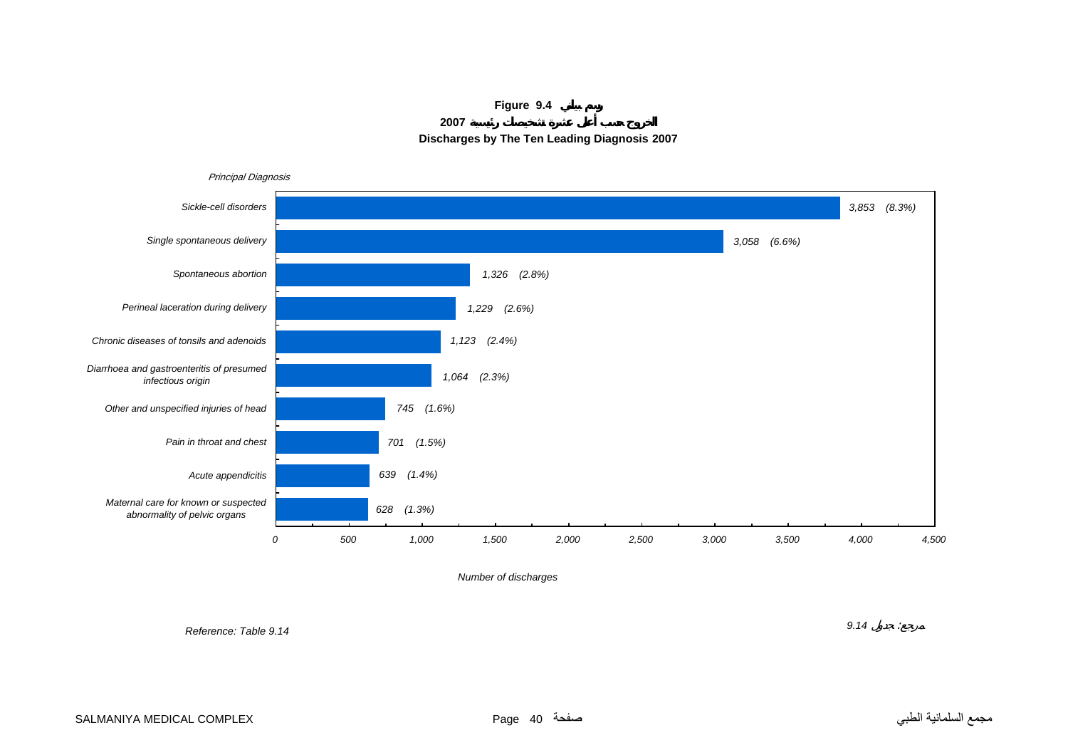





*Number of discharges*

*Reference: Table 9.14*

*9.14* :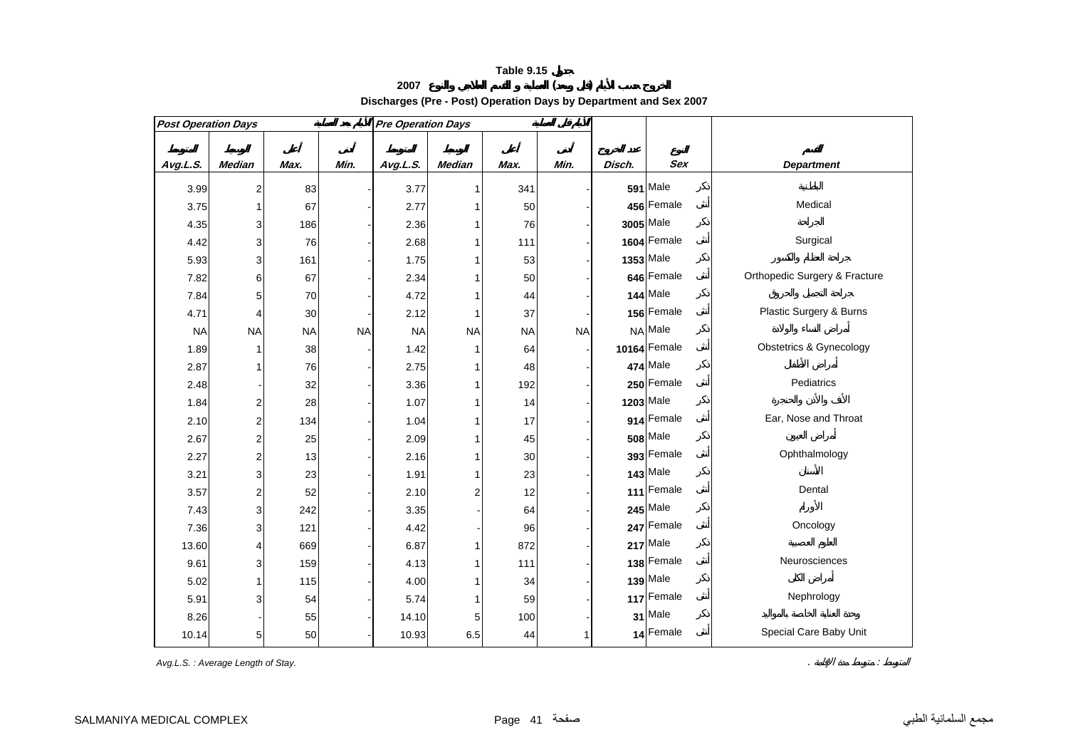**<sup>2007</sup> ( )** 

**Discharges (Pre - Post) Operation Days by Department and Sex 2007**

| <b>Post Operation Days</b> |                         |           |           | <b>Pre Operation Days</b> |                         |           |           |        |                 |                                    |  |  |  |
|----------------------------|-------------------------|-----------|-----------|---------------------------|-------------------------|-----------|-----------|--------|-----------------|------------------------------------|--|--|--|
|                            |                         |           |           |                           |                         |           |           |        |                 |                                    |  |  |  |
| Avg.L.S.                   | <b>Median</b>           | Max.      | Min.      | Avg.L.S.                  | Median                  | Max.      | Min.      | Disch. | <b>Sex</b>      | <b>Department</b>                  |  |  |  |
| 3.99                       | 2                       | 83        |           | 3.77                      | 1                       | 341       |           |        | <b>591 Male</b> |                                    |  |  |  |
| 3.75                       | 1                       | 67        |           | 2.77                      | 1                       | 50        |           |        | 456 Female      | Medical                            |  |  |  |
| 4.35                       | 3                       | 186       |           | 2.36                      | 1                       | 76        |           |        | 3005 Male       |                                    |  |  |  |
| 4.42                       | 3                       | 76        |           | 2.68                      | 1                       | 111       |           |        | 1604 Female     | Surgical                           |  |  |  |
| 5.93                       | 3                       | 161       |           | 1.75                      | 1                       | 53        |           |        | 1353 Male       |                                    |  |  |  |
| 7.82                       | 6                       | 67        |           | 2.34                      | 1                       | 50        |           |        | 646 Female      | Orthopedic Surgery & Fracture      |  |  |  |
| 7.84                       | 5                       | 70        |           | 4.72                      |                         | 44        |           |        | <b>144 Male</b> |                                    |  |  |  |
| 4.71                       | 4                       | 30        |           | 2.12                      | $\mathbf{1}$            | 37        |           |        | 156 Female      | Plastic Surgery & Burns            |  |  |  |
| <b>NA</b>                  | <b>NA</b>               | <b>NA</b> | <b>NA</b> | <b>NA</b>                 | <b>NA</b>               | <b>NA</b> | <b>NA</b> |        | NA Male         |                                    |  |  |  |
| 1.89                       | 1                       | 38        |           | 1.42                      | 1                       | 64        |           |        | 10164 Female    | <b>Obstetrics &amp; Gynecology</b> |  |  |  |
| 2.87                       | 1                       | 76        |           | 2.75                      | 1                       | 48        |           |        | 474 Male        |                                    |  |  |  |
| 2.48                       |                         | 32        |           | 3.36                      | 1                       | 192       |           |        | 250 Female      | Pediatrics                         |  |  |  |
| 1.84                       | 2                       | 28        |           | 1.07                      | 1                       | 14        |           |        | 1203 Male       |                                    |  |  |  |
| 2.10                       | 2                       | 134       |           | 1.04                      | 1                       | 17        |           |        | 914 Female      | Ear, Nose and Throat               |  |  |  |
| 2.67                       | $\boldsymbol{2}$        | 25        |           | 2.09                      | 1                       | 45        |           |        | <b>508 Male</b> |                                    |  |  |  |
| 2.27                       | $\overline{\mathbf{c}}$ | 13        |           | 2.16                      |                         | 30        |           |        | 393 Female      | Ophthalmology                      |  |  |  |
| 3.21                       | 3                       | 23        |           | 1.91                      | 1                       | 23        |           |        | <b>143 Male</b> |                                    |  |  |  |
| 3.57                       | $\overline{\mathbf{c}}$ | 52        |           | 2.10                      | $\overline{\mathbf{c}}$ | 12        |           |        | 111 Female      | Dental                             |  |  |  |
| 7.43                       | 3                       | 242       |           | 3.35                      |                         | 64        |           |        | <b>245 Male</b> |                                    |  |  |  |
| 7.36                       | 3                       | 121       |           | 4.42                      |                         | 96        |           |        | 247 Female      | Oncology                           |  |  |  |
| 13.60                      | 4                       | 669       |           | 6.87                      | 1                       | 872       |           |        | 217 Male        |                                    |  |  |  |
| 9.61                       | 3                       | 159       |           | 4.13                      | 1                       | 111       |           |        | 138 Female      | Neurosciences                      |  |  |  |
| 5.02                       | 1                       | 115       |           | 4.00                      | 1                       | 34        |           |        | 139 Male        |                                    |  |  |  |
| 5.91                       | 3                       | 54        |           | 5.74                      | 1                       | 59        |           |        | 117 Female      | Nephrology                         |  |  |  |
| 8.26                       |                         | 55        |           | 14.10                     | 5                       | 100       |           |        | 31 Male         |                                    |  |  |  |
| 10.14                      | 5                       | 50        |           | 10.93                     | 6.5                     | 44        | 1         |        | 14 Female       | Special Care Baby Unit             |  |  |  |

*Avg.L.S. : Average Length of Stay.* . :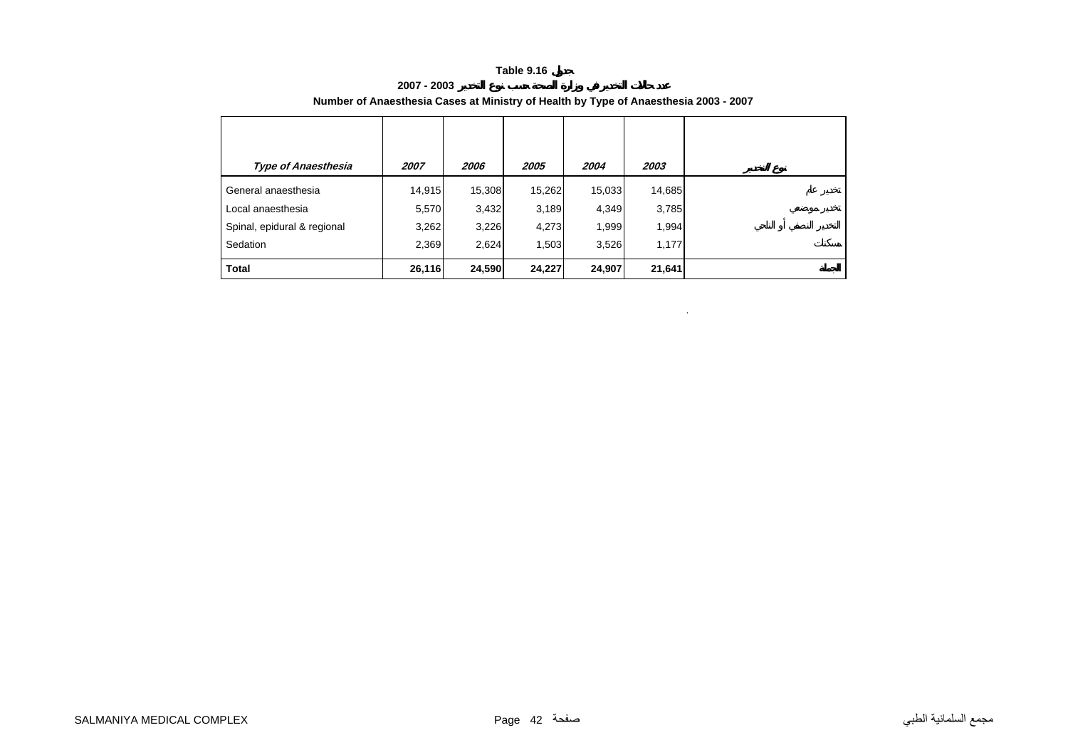**2007 - 2003**

| <b>Type of Anaesthesia</b>  | 2007   | 2006   | 2005   | 2004   | 2003   |
|-----------------------------|--------|--------|--------|--------|--------|
| General anaesthesia         | 14,915 | 15,308 | 15,262 | 15,033 | 14,685 |
| Local anaesthesia           | 5,570  | 3,432  | 3,189  | 4,349  | 3,785  |
| Spinal, epidural & regional | 3,262  | 3,226  | 4,273  | 1,999  | 1,994  |
| Sedation                    | 2,369  | 2,624  | 1,503  | 3,526  | 1,177  |
| <b>Total</b>                | 26,116 | 24,590 | 24,227 | 24,907 | 21,641 |

.

#### **Number of Anaesthesia Cases at Ministry of Health by Type of Anaesthesia 2003 - 2007**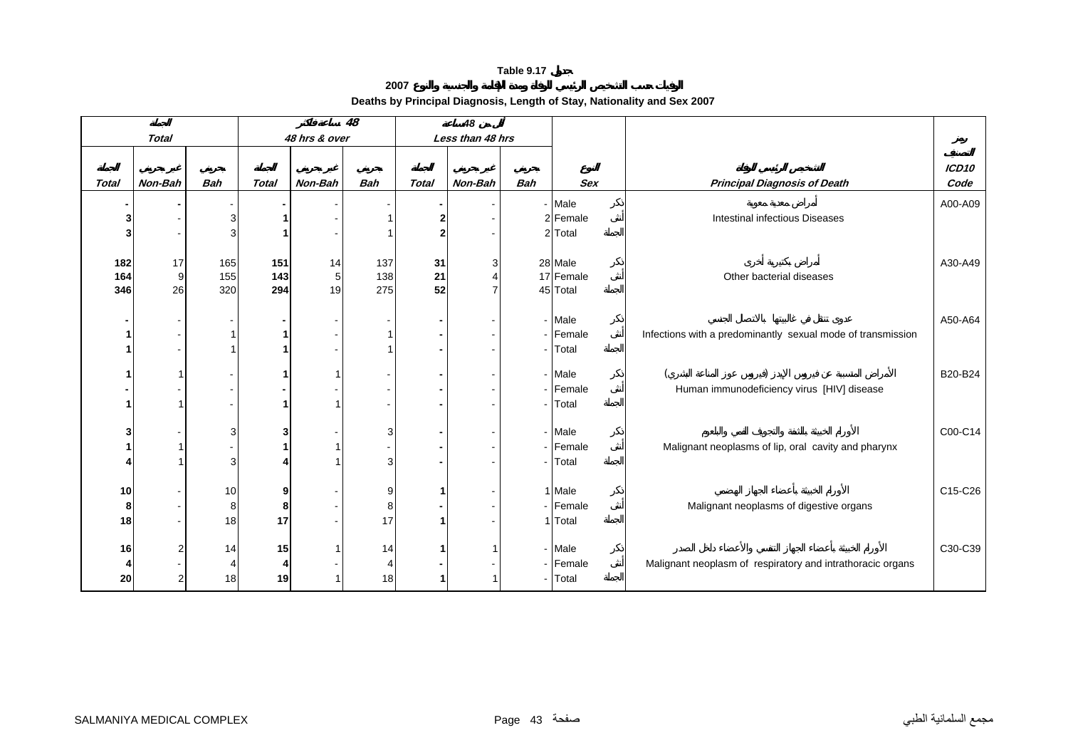|              |                |                |              |               | 48         |              | 48               |            |            |                                                             |                   |
|--------------|----------------|----------------|--------------|---------------|------------|--------------|------------------|------------|------------|-------------------------------------------------------------|-------------------|
|              | <b>Total</b>   |                |              | 48 hrs & over |            |              | Less than 48 hrs |            |            |                                                             |                   |
|              |                |                |              |               |            |              |                  |            |            |                                                             | ICD <sub>10</sub> |
| <b>Total</b> | Non-Bah        | <b>Bah</b>     | <b>Total</b> | Non-Bah       | <b>Bah</b> | <b>Total</b> | Non-Bah          | <b>Bah</b> | <b>Sex</b> | <b>Principal Diagnosis of Death</b>                         | Code              |
|              |                |                |              |               |            |              |                  |            | - Male     |                                                             | A00-A09           |
| 3            |                | 3              |              |               |            |              |                  |            | 2 Female   | <b>Intestinal infectious Diseases</b>                       |                   |
| 3            |                | 3              |              |               |            |              |                  |            | 2 Total    |                                                             |                   |
|              |                |                |              |               |            |              |                  |            |            |                                                             |                   |
| 182          | 17             | 165            | 151          | 14            | 137        | 31           |                  |            | 28 Male    |                                                             | A30-A49           |
| 164          | 9              | 155            | 143          | 5             | 138        | 21           |                  |            | 17 Female  | Other bacterial diseases                                    |                   |
| 346          | 26             | 320            | 294          | 19            | 275        | 52           |                  |            | 45 Total   |                                                             |                   |
|              |                |                |              |               |            |              |                  |            | - Male     |                                                             | A50-A64           |
| 1            |                |                |              |               |            |              |                  |            | - Female   | Infections with a predominantly sexual mode of transmission |                   |
| 1            |                |                |              |               |            |              |                  |            | - Total    |                                                             |                   |
|              |                |                |              |               |            |              |                  |            |            |                                                             |                   |
| 1            |                |                |              |               |            |              |                  |            | - Male     |                                                             | B20-B24           |
|              |                |                |              |               |            |              |                  |            | - Female   | Human immunodeficiency virus [HIV] disease                  |                   |
| 1            |                |                |              |               |            |              |                  |            | - Total    |                                                             |                   |
|              |                |                |              |               |            |              |                  |            |            |                                                             |                   |
| 3            |                | 3              | 3            |               | 3          |              |                  |            | - Male     |                                                             | C00-C14           |
| 1            |                |                |              |               |            |              |                  |            | - Female   | Malignant neoplasms of lip, oral cavity and pharynx         |                   |
|              |                | 3              |              |               | 3          |              |                  |            | - Total    |                                                             |                   |
| 10           |                | 10             | 9            |               | 9          |              |                  |            | 1 Male     |                                                             | C15-C26           |
| 8            |                | 8              | 8            |               | 8          |              |                  |            | - Female   | Malignant neoplasms of digestive organs                     |                   |
| 18           |                | 18             | 17           |               | 17         |              |                  |            | 1 Total    |                                                             |                   |
|              |                |                |              |               |            |              |                  |            |            |                                                             |                   |
| 16           |                | 14             | 15           |               | 14         |              |                  |            | - Male     |                                                             | C30-C39           |
| 4            |                | $\overline{4}$ | Δ            |               |            |              |                  |            | - Female   | Malignant neoplasm of respiratory and intrathoracic organs  |                   |
| 20           | $\overline{2}$ | 18             | 19           |               | 18         |              |                  |            | - Total    |                                                             |                   |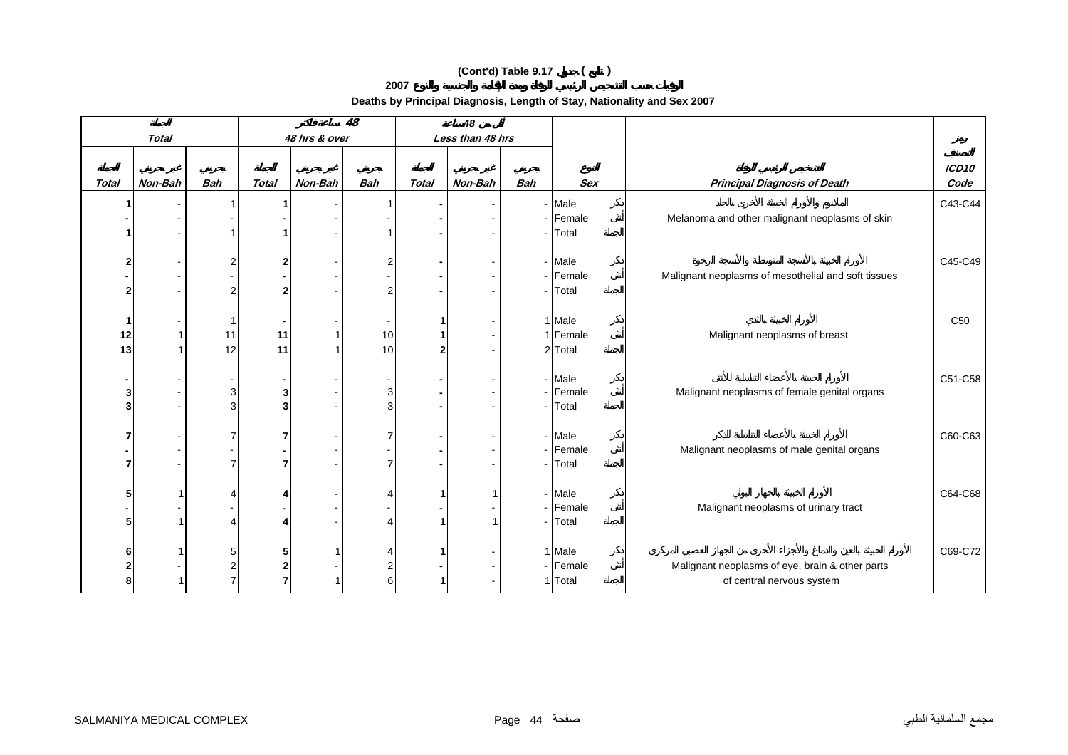**2007**

|                |              |                |                |               | 48             |              | 48               |            |                    |                                                     |                   |
|----------------|--------------|----------------|----------------|---------------|----------------|--------------|------------------|------------|--------------------|-----------------------------------------------------|-------------------|
|                | <b>Total</b> |                |                | 48 hrs & over |                |              | Less than 48 hrs |            |                    |                                                     |                   |
|                |              |                |                |               |                |              |                  |            |                    |                                                     | ICD <sub>10</sub> |
| <b>Total</b>   | Non-Bah      | <b>Bah</b>     | <b>Total</b>   | Non-Bah       | <b>Bah</b>     | <b>Total</b> | Non-Bah          | <b>Bah</b> | <b>Sex</b>         | <b>Principal Diagnosis of Death</b>                 | Code              |
|                |              |                |                |               |                |              |                  |            | - Male             |                                                     | C43-C44           |
|                |              |                |                |               |                |              |                  |            | - Female           | Melanoma and other malignant neoplasms of skin      |                   |
|                |              |                |                |               |                |              |                  |            | - Total            |                                                     |                   |
|                |              |                |                |               |                |              |                  |            |                    |                                                     |                   |
| 2              |              | $\overline{2}$ | $\mathbf{2}$   |               | 2              |              |                  |            | - Male             |                                                     | C45-C49           |
|                |              |                |                |               |                |              |                  |            | - Female           | Malignant neoplasms of mesothelial and soft tissues |                   |
| $\overline{2}$ |              | 2              | $\overline{2}$ |               | $\overline{2}$ |              |                  |            | - Total            |                                                     |                   |
| -1             |              | -1             |                |               |                |              |                  |            | 1 Male             |                                                     | C <sub>50</sub>   |
| 12             |              | 11             | 11             |               | 10             |              |                  |            | 1 Female           | Malignant neoplasms of breast                       |                   |
| 13             |              | 12             | 11             |               | 10             | 2            |                  |            | 2 Total            |                                                     |                   |
|                |              |                |                |               |                |              |                  |            |                    |                                                     |                   |
|                |              |                |                |               |                |              |                  |            | - Male             |                                                     | C51-C58           |
| 3              |              | 3              | 3              |               | 3              |              |                  | $\sim$     | Female             | Malignant neoplasms of female genital organs        |                   |
| 3              |              | 3              | 3              |               | 3              |              |                  |            | - Total            |                                                     |                   |
|                |              |                |                |               |                |              |                  |            |                    |                                                     |                   |
| 7              |              |                |                |               | 7              |              |                  |            | - Male<br>- Female |                                                     | C60-C63           |
| $\overline{7}$ |              |                | 7              |               | 7              |              |                  | $\sim$     | Total              | Malignant neoplasms of male genital organs          |                   |
|                |              |                |                |               |                |              |                  |            |                    |                                                     |                   |
| 5              |              | 4              |                |               | Δ              |              |                  |            | - Male             |                                                     | C64-C68           |
| $\blacksquare$ |              |                |                |               |                |              |                  |            | - Female           | Malignant neoplasms of urinary tract                |                   |
| 5              |              | Δ              |                |               |                |              |                  |            | - Total            |                                                     |                   |
|                |              |                |                |               |                |              |                  |            |                    |                                                     |                   |
| 6              |              | 5              | 5              |               |                |              |                  |            | 1 Male             |                                                     | C69-C72           |
| $\mathbf 2$    |              |                | 2              |               | 2              |              |                  |            | - Female           | Malignant neoplasms of eye, brain & other parts     |                   |
| 8              |              | 7              | 7              |               | 6              |              |                  |            | 1 Total            | of central nervous system                           |                   |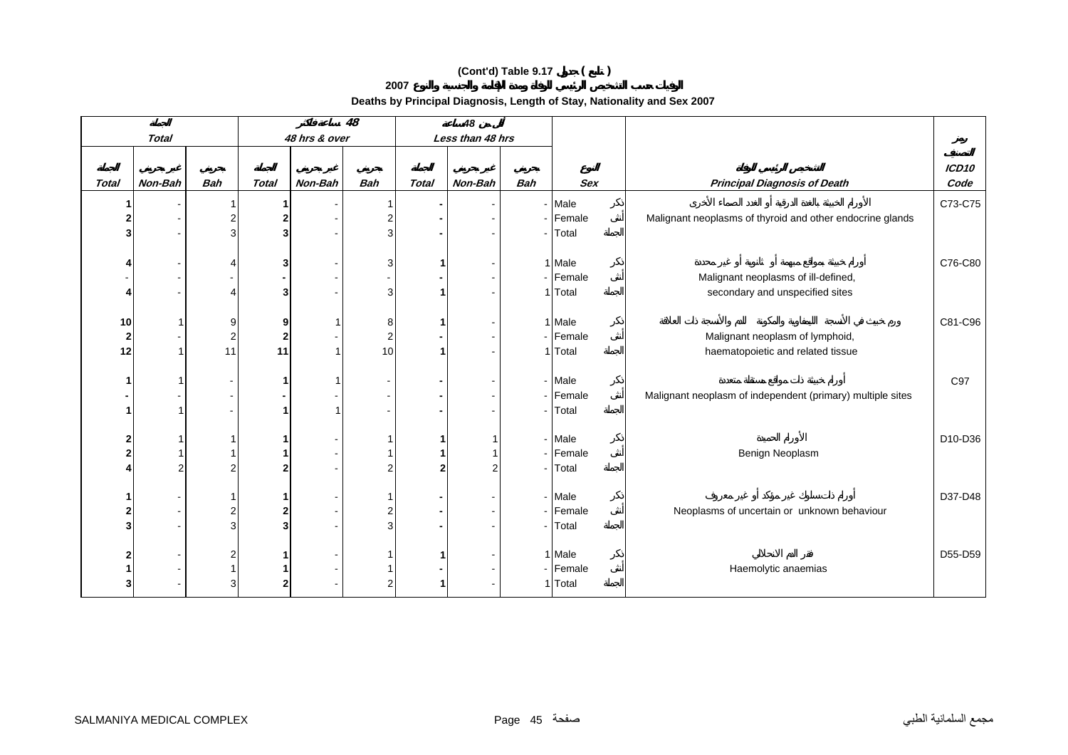**2007**

|                         |              |            |              |               | 48             |                | 48               |                |                   |                                                            |                   |
|-------------------------|--------------|------------|--------------|---------------|----------------|----------------|------------------|----------------|-------------------|------------------------------------------------------------|-------------------|
|                         | <b>Total</b> |            |              | 48 hrs & over |                |                | Less than 48 hrs |                |                   |                                                            |                   |
|                         |              |            |              |               |                |                |                  |                |                   |                                                            | ICD <sub>10</sub> |
| <b>Total</b>            | Non-Bah      | <b>Bah</b> | <b>Total</b> | Non-Bah       | <b>Bah</b>     | <b>Total</b>   | Non-Bah          | <b>Bah</b>     | <b>Sex</b>        | <b>Principal Diagnosis of Death</b>                        | Code              |
|                         |              |            |              |               |                |                |                  |                | - Male            |                                                            | C73-C75           |
| 2                       |              | 2          | $\mathbf{2}$ |               | 2              |                |                  |                | - Female          | Malignant neoplasms of thyroid and other endocrine glands  |                   |
| 3                       |              | 3          | 3            |               | 3              |                |                  | $\blacksquare$ | Total             |                                                            |                   |
|                         |              |            |              |               |                |                |                  |                |                   |                                                            |                   |
|                         |              | Δ          | 3            |               | 3              |                |                  |                | 1 Male            |                                                            | C76-C80           |
|                         |              |            |              |               |                |                |                  |                | - Female          | Malignant neoplasms of ill-defined,                        |                   |
| Δ                       |              | Δ          | 3            |               | 3              |                |                  |                | 1 Total           | secondary and unspecified sites                            |                   |
| 10                      |              | 9          | 9            |               | 8              |                |                  |                | 1 Male            |                                                            | C81-C96           |
| $\mathbf 2$             |              | 2          | $\mathbf 2$  |               | $\overline{c}$ |                |                  |                | - Female          | Malignant neoplasm of lymphoid,                            |                   |
| 12                      |              | 11         | 11           |               | 10             |                |                  |                | 1 Total           | haematopoietic and related tissue                          |                   |
|                         |              |            |              |               |                |                |                  |                |                   |                                                            |                   |
| $\mathbf{1}$            |              |            | 1            |               |                |                |                  |                | - Male            |                                                            | C97               |
|                         |              |            |              |               |                |                |                  |                | - Female          | Malignant neoplasm of independent (primary) multiple sites |                   |
| $\mathbf{1}$            |              |            |              |               |                |                |                  | $\mathbf{r}$   | Total             |                                                            |                   |
|                         |              |            |              |               |                |                |                  |                |                   |                                                            |                   |
| $\mathbf 2$             |              |            |              |               |                |                |                  |                | - Male            |                                                            | D10-D36           |
| $\overline{2}$          | 2            | 2          |              |               | $\overline{2}$ | $\overline{2}$ | ົ                | $\sim$         | - Female<br>Total | Benign Neoplasm                                            |                   |
|                         |              |            |              |               |                |                |                  |                |                   |                                                            |                   |
| 1                       |              |            |              |               |                |                |                  |                | - Male            |                                                            | D37-D48           |
| $\overline{\mathbf{2}}$ |              | 2          | 2            |               | 2              |                |                  |                | - Female          | Neoplasms of uncertain or unknown behaviour                |                   |
| $\overline{\mathbf{3}}$ |              | 3          | 3            |               | 3              |                |                  | $\sim$         | Total             |                                                            |                   |
|                         |              |            |              |               |                |                |                  |                |                   |                                                            |                   |
| $\overline{\mathbf{2}}$ |              | 2          |              |               |                |                |                  |                | 1 Male            |                                                            | D55-D59           |
|                         |              |            |              |               |                |                |                  |                | - Female          | Haemolytic anaemias                                        |                   |
| 3                       |              | 3          |              |               | 2              |                |                  |                | 1 Total           |                                                            |                   |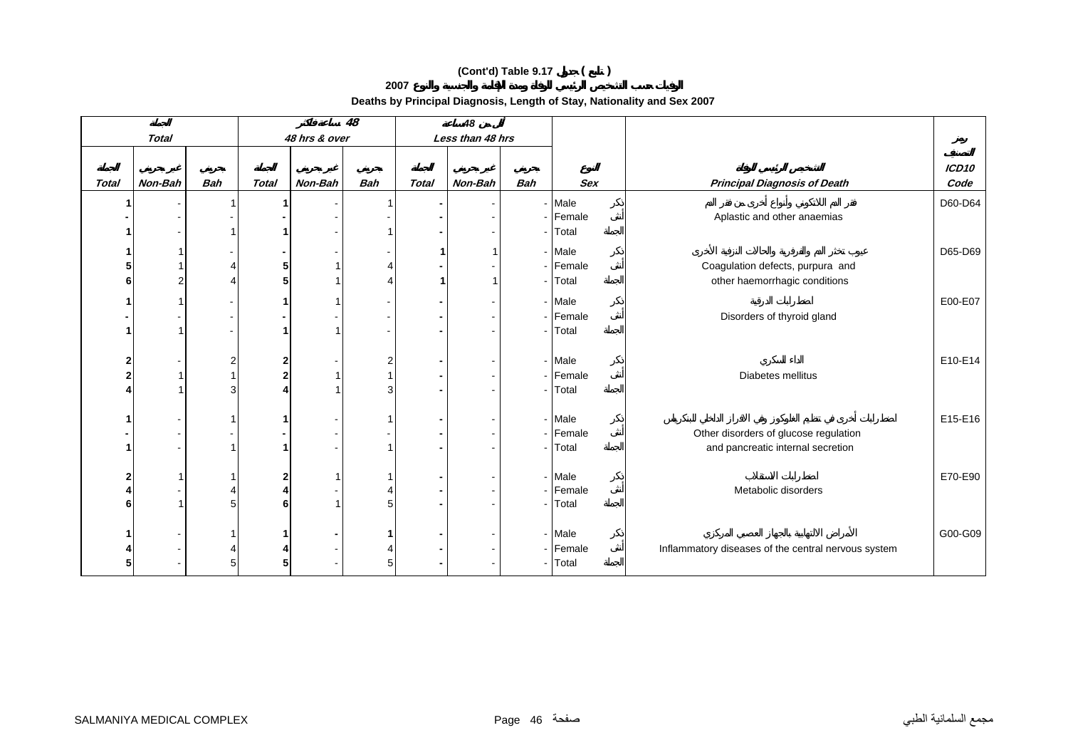**2007**

|                         |              |            |              |               | $\overline{48}$ |              | 48               |            |            |                                                     |                   |
|-------------------------|--------------|------------|--------------|---------------|-----------------|--------------|------------------|------------|------------|-----------------------------------------------------|-------------------|
|                         | <b>Total</b> |            |              | 48 hrs & over |                 |              | Less than 48 hrs |            |            |                                                     |                   |
|                         |              |            |              |               |                 |              |                  |            |            |                                                     | ICD <sub>10</sub> |
| <b>Total</b>            | Non-Bah      | <b>Bah</b> | <b>Total</b> | Non-Bah       | <b>Bah</b>      | <b>Total</b> | Non-Bah          | <b>Bah</b> | <b>Sex</b> | <b>Principal Diagnosis of Death</b>                 | Code              |
|                         |              |            |              |               |                 |              |                  |            | - Male     |                                                     | D60-D64           |
|                         |              |            |              |               |                 |              |                  |            | - Female   | Aplastic and other anaemias                         |                   |
|                         |              |            |              |               |                 |              |                  |            | - Total    |                                                     |                   |
|                         |              |            |              |               |                 |              |                  |            | - Male     |                                                     | D65-D69           |
| 5                       |              |            | 5            |               |                 |              |                  |            | - Female   | Coagulation defects, purpura and                    |                   |
| 6                       |              | Δ          | 5            |               |                 |              |                  |            | - Total    | other haemorrhagic conditions                       |                   |
|                         |              |            |              |               |                 |              |                  |            | - Male     |                                                     | E00-E07           |
|                         |              |            |              |               |                 |              |                  |            | - Female   | Disorders of thyroid gland                          |                   |
| 1                       |              |            |              |               |                 |              |                  |            | - Total    |                                                     |                   |
|                         |              |            |              |               |                 |              |                  |            |            |                                                     |                   |
| $\overline{\mathbf{c}}$ |              | 2          | 2            |               | 2               |              |                  |            | - Male     |                                                     | E10-E14           |
| $\overline{2}$          |              |            | 2            |               |                 |              |                  |            | - Female   | Diabetes mellitus                                   |                   |
|                         |              | 3          |              |               | 3               |              |                  |            | - Total    |                                                     |                   |
|                         |              |            |              |               |                 |              |                  |            | - Male     |                                                     | E15-E16           |
|                         |              |            |              |               |                 |              |                  |            | - Female   | Other disorders of glucose regulation               |                   |
|                         |              |            |              |               |                 |              |                  |            | - Total    | and pancreatic internal secretion                   |                   |
|                         |              |            |              |               |                 |              |                  |            |            |                                                     |                   |
| 2                       |              |            | 2            |               |                 |              |                  |            | - Male     |                                                     | E70-E90           |
|                         |              |            |              |               |                 |              |                  |            | - Female   | Metabolic disorders                                 |                   |
| 6                       |              | 5          | 6            |               | 5               |              |                  |            | - Total    |                                                     |                   |
|                         |              |            |              |               |                 |              |                  |            | - Male     |                                                     | G00-G09           |
|                         |              |            |              |               |                 |              |                  |            | - Female   | Inflammatory diseases of the central nervous system |                   |
| 5                       |              | 5          | 5            |               | 5               |              |                  |            | - Total    |                                                     |                   |
|                         |              |            |              |               |                 |              |                  |            |            |                                                     |                   |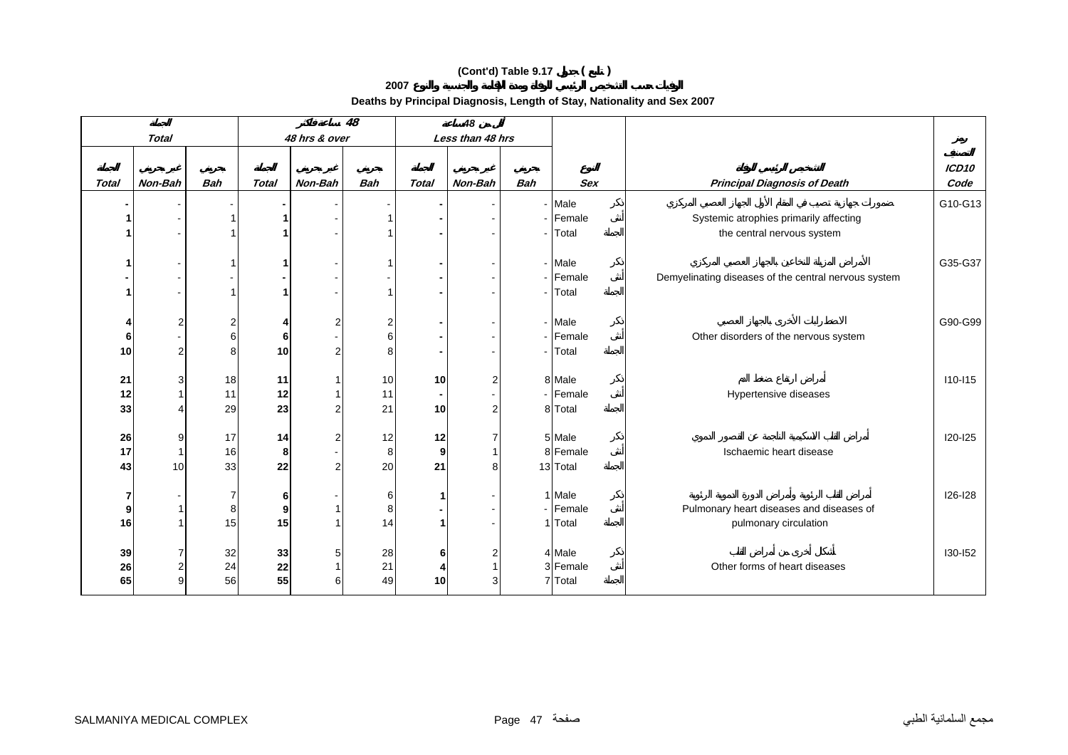**2007**

|              |                  |                |              |               | $\overline{48}$ |                 | 48               |            |            |                                                      |                   |
|--------------|------------------|----------------|--------------|---------------|-----------------|-----------------|------------------|------------|------------|------------------------------------------------------|-------------------|
|              | <b>Total</b>     |                |              | 48 hrs & over |                 |                 | Less than 48 hrs |            |            |                                                      |                   |
|              |                  |                |              |               |                 |                 |                  |            |            |                                                      |                   |
|              | Non-Bah          | <b>Bah</b>     |              | Non-Bah       | <b>Bah</b>      |                 |                  | <b>Bah</b> | <b>Sex</b> |                                                      | ICD <sub>10</sub> |
| <b>Total</b> |                  |                | <b>Total</b> |               |                 | <b>Total</b>    | Non-Bah          |            |            | <b>Principal Diagnosis of Death</b>                  | Code              |
|              |                  |                |              |               |                 |                 |                  |            | - Male     |                                                      | G10-G13           |
|              |                  |                |              |               |                 |                 |                  |            | - Female   | Systemic atrophies primarily affecting               |                   |
|              |                  |                |              |               |                 |                 |                  |            | - Total    | the central nervous system                           |                   |
|              |                  |                |              |               |                 |                 |                  |            |            |                                                      |                   |
|              |                  |                |              |               |                 |                 |                  |            | - Male     |                                                      | G35-G37           |
|              |                  |                |              |               |                 |                 |                  |            | - Female   | Demyelinating diseases of the central nervous system |                   |
| 1            |                  |                | 1            |               |                 |                 |                  |            | - Total    |                                                      |                   |
|              |                  |                |              |               |                 |                 |                  |            |            |                                                      |                   |
| 4            | $\overline{2}$   | $\overline{2}$ | 4            |               | 2               |                 |                  |            | - Male     |                                                      | G90-G99           |
| 6            |                  | 6              | 6            |               | 6               |                 |                  |            | - Female   | Other disorders of the nervous system                |                   |
| 10           | $2 \overline{2}$ | 8              | 10           |               | 8               |                 |                  |            | - Total    |                                                      |                   |
| 21           | 3                | 18             | 11           |               | 10              | 10              | 2                |            | 8 Male     |                                                      | $110 - 115$       |
| 12           |                  | 11             | 12           |               | 11              |                 |                  |            | - Female   | Hypertensive diseases                                |                   |
| 33           |                  | 29             | 23           |               | 21              | 10              | $\mathfrak{p}$   |            | 8 Total    |                                                      |                   |
|              |                  |                |              |               |                 |                 |                  |            |            |                                                      |                   |
| 26           | 9                | 17             | 14           |               | 12              | 12              |                  |            | 5 Male     |                                                      | I20-I25           |
| 17           |                  | 16             | 8            |               | 8               | 9               |                  |            | 8 Female   | Ischaemic heart disease                              |                   |
| 43           | 10               | 33             | 22           |               | 20              | 21              | 8                |            | 13 Total   |                                                      |                   |
|              |                  |                |              |               |                 |                 |                  |            |            |                                                      |                   |
| 7            |                  | $\overline{7}$ | 6            |               | 6               |                 |                  |            | 1 Male     |                                                      | I26-I28           |
| 9            |                  | 8              | 9            |               | 8               |                 |                  |            | - Female   | Pulmonary heart diseases and diseases of             |                   |
| 16           |                  | 15             | 15           |               | 14              |                 |                  |            | 1 Total    | pulmonary circulation                                |                   |
|              |                  |                |              |               |                 |                 |                  |            |            |                                                      |                   |
| 39           | 7                | 32             | 33           |               | 28              | 6               | 2                |            | 4 Male     |                                                      | 130-152           |
| 26           | $\mathbf{2}$     | 24             | 22           |               | 21              | 4               |                  |            | 3 Female   | Other forms of heart diseases                        |                   |
| 65           | 9                | 56             | 55           |               | 49              | 10 <sup>1</sup> | 3                |            | 7 Total    |                                                      |                   |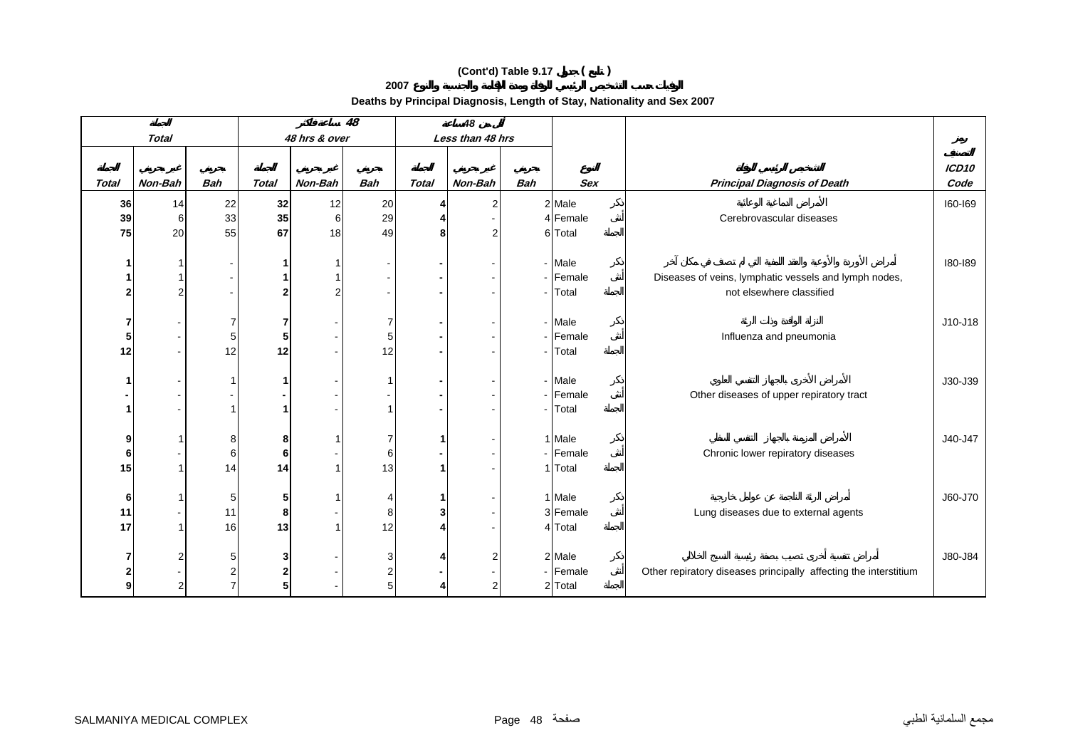**2007**

|                |                |            |              |               | $\overline{48}$ |              | 48               |                          |                  |                                                                  |         |
|----------------|----------------|------------|--------------|---------------|-----------------|--------------|------------------|--------------------------|------------------|------------------------------------------------------------------|---------|
|                | <b>Total</b>   |            |              | 48 hrs & over |                 |              | Less than 48 hrs |                          |                  |                                                                  |         |
|                |                |            |              |               |                 |              |                  |                          |                  |                                                                  | ICD10   |
| <b>Total</b>   | Non-Bah        | <b>Bah</b> | <b>Total</b> | Non-Bah       | <b>Bah</b>      | <b>Total</b> | Non-Bah          | <b>Bah</b>               | <b>Sex</b>       | <b>Principal Diagnosis of Death</b>                              | Code    |
| 36             | 14             | 22         | 32           | 12            | 20              |              | $\overline{2}$   |                          | 2 Male           |                                                                  | 160-169 |
| 39             | 6              | 33         | 35           | 6             | 29              |              |                  |                          | 4 Female         | Cerebrovascular diseases                                         |         |
| 75             | 20             | 55         | 67           | 18            | 49              | 8            | 2                |                          | 6 Total          |                                                                  |         |
|                |                |            |              |               |                 |              |                  |                          |                  |                                                                  |         |
|                | 1              |            |              |               |                 |              |                  |                          | - Male           |                                                                  | 180-189 |
|                | 1              |            |              |               |                 |              |                  |                          | - Female         | Diseases of veins, lymphatic vessels and lymph nodes,            |         |
| 2              | $\overline{2}$ |            |              |               |                 |              |                  |                          | - Total          | not elsewhere classified                                         |         |
|                |                |            |              |               |                 |              |                  |                          |                  |                                                                  |         |
| 7              |                |            |              |               | 7               |              |                  |                          | - Male           |                                                                  | J10-J18 |
| 5              |                | 5          | 5            |               | 5               |              |                  |                          | - Female         | Influenza and pneumonia                                          |         |
| 12             |                | 12         | 12           |               | 12              |              |                  | $\blacksquare$           | Total            |                                                                  |         |
|                |                |            |              |               |                 |              |                  |                          |                  |                                                                  |         |
|                |                |            |              |               |                 |              |                  |                          | - Male<br>Female |                                                                  | J30-J39 |
|                |                |            |              |               |                 |              |                  | $\blacksquare$<br>$\sim$ | Total            | Other diseases of upper repiratory tract                         |         |
|                |                |            |              |               |                 |              |                  |                          |                  |                                                                  |         |
| 9              | 1              | 8          | 8            |               |                 |              |                  |                          | 1 Male           |                                                                  | J40-J47 |
| 6              |                | 6          | 6            |               | 6               |              |                  |                          | - Female         | Chronic lower repiratory diseases                                |         |
| 15             | 1              | 14         | 14           |               | 13              |              |                  |                          | 1 Total          |                                                                  |         |
|                |                |            |              |               |                 |              |                  |                          |                  |                                                                  |         |
| 6              |                | 5          | 5            |               |                 |              |                  |                          | 1 Male           |                                                                  | J60-J70 |
| 11             |                | 11         | 8            |               | 8               | 3            |                  |                          | 3 Female         | Lung diseases due to external agents                             |         |
| 17             | 1              | 16         | 13           |               | 12              |              |                  |                          | 4 Total          |                                                                  |         |
|                |                |            |              |               |                 |              |                  |                          |                  |                                                                  |         |
|                | 2              | 5          | 3            |               | 3               |              |                  |                          | 2 Male           |                                                                  | J80-J84 |
| $\overline{2}$ |                |            |              |               | $\overline{2}$  |              |                  |                          | - Female         | Other repiratory diseases principally affecting the interstitium |         |
| 9              | $\overline{2}$ |            |              |               | 5               |              | $\overline{2}$   |                          | 2 Total          |                                                                  |         |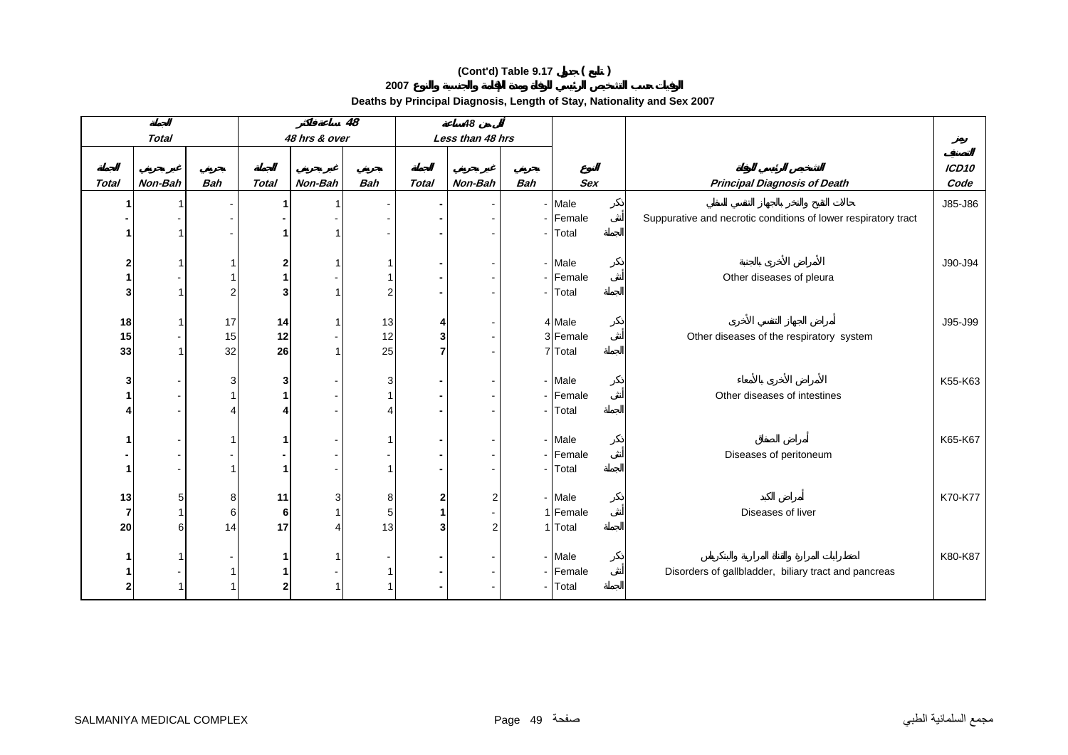**2007**

|                |              |            |              |               | $\overline{48}$          |              | 48               |                |                    |                                                                |                           |
|----------------|--------------|------------|--------------|---------------|--------------------------|--------------|------------------|----------------|--------------------|----------------------------------------------------------------|---------------------------|
|                | <b>Total</b> |            |              | 48 hrs & over |                          |              | Less than 48 hrs |                |                    |                                                                |                           |
| <b>Total</b>   | Non-Bah      | <b>Bah</b> | <b>Total</b> | Non-Bah       | <b>Bah</b>               | <b>Total</b> | Non-Bah          | <b>Bah</b>     | <b>Sex</b>         | <b>Principal Diagnosis of Death</b>                            | ICD <sub>10</sub><br>Code |
| -1             |              |            |              |               |                          |              |                  |                | - Male             |                                                                | J85-J86                   |
|                |              |            |              |               | $\overline{\phantom{a}}$ |              |                  | $\blacksquare$ | Female             | Suppurative and necrotic conditions of lower respiratory tract |                           |
|                |              |            |              |               |                          |              |                  |                | Total              |                                                                |                           |
|                |              |            |              |               |                          |              |                  |                |                    |                                                                |                           |
| $\overline{2}$ |              | -1         | 2            |               | -1                       |              |                  |                | - Male             |                                                                | J90-J94                   |
| 1              |              |            |              |               |                          |              |                  |                | - Female           | Other diseases of pleura                                       |                           |
| 3              |              | 2          | 3            |               | 2                        |              |                  | $\blacksquare$ | Total              |                                                                |                           |
|                |              |            |              |               |                          |              |                  |                |                    |                                                                |                           |
| 18<br>15       |              | 17<br>15   | 14<br>12     |               | 13<br>12                 | 4<br>3       |                  |                | 4 Male<br>3 Female | Other diseases of the respiratory system                       | J95-J99                   |
| 33             |              | 32         | 26           |               | 25                       | 7            |                  |                | 7 Total            |                                                                |                           |
|                |              |            |              |               |                          |              |                  |                |                    |                                                                |                           |
| 3              |              | 3          | 3            |               | 3                        |              |                  |                | - Male             |                                                                | K55-K63                   |
|                |              |            |              |               | 1                        |              | $\sim$           |                | - Female           | Other diseases of intestines                                   |                           |
|                |              |            |              |               | Δ                        |              |                  | $\blacksquare$ | Total              |                                                                |                           |
|                |              |            |              |               |                          |              |                  |                |                    |                                                                |                           |
| 1              |              |            |              |               | 1                        |              |                  |                | - Male             |                                                                | K65-K67                   |
|                |              |            |              |               | $\blacksquare$           |              |                  | $\blacksquare$ | Female             | Diseases of peritoneum                                         |                           |
| -1             |              |            |              |               |                          |              |                  | $\blacksquare$ | Total              |                                                                |                           |
| 13             | 5            | 8          | 11           |               | 8                        | 2            | $\overline{2}$   |                | - Male             |                                                                | K70-K77                   |
| $\overline{7}$ |              | 6          | 6            |               | 5                        |              |                  |                | 1 Female           | Diseases of liver                                              |                           |
| 20             | 6            | 14         | 17           |               | 13                       | 3            | $\overline{2}$   |                | 1 Total            |                                                                |                           |
|                |              |            |              |               |                          |              |                  |                |                    |                                                                |                           |
| 1              |              |            |              |               |                          |              |                  |                | - Male             |                                                                | K80-K87                   |
|                |              |            |              |               | 1                        |              |                  | $\blacksquare$ | Female             | Disorders of gallbladder, biliary tract and pancreas           |                           |
| $\overline{2}$ |              |            |              |               | 1                        |              |                  | $\sim$         | Total              |                                                                |                           |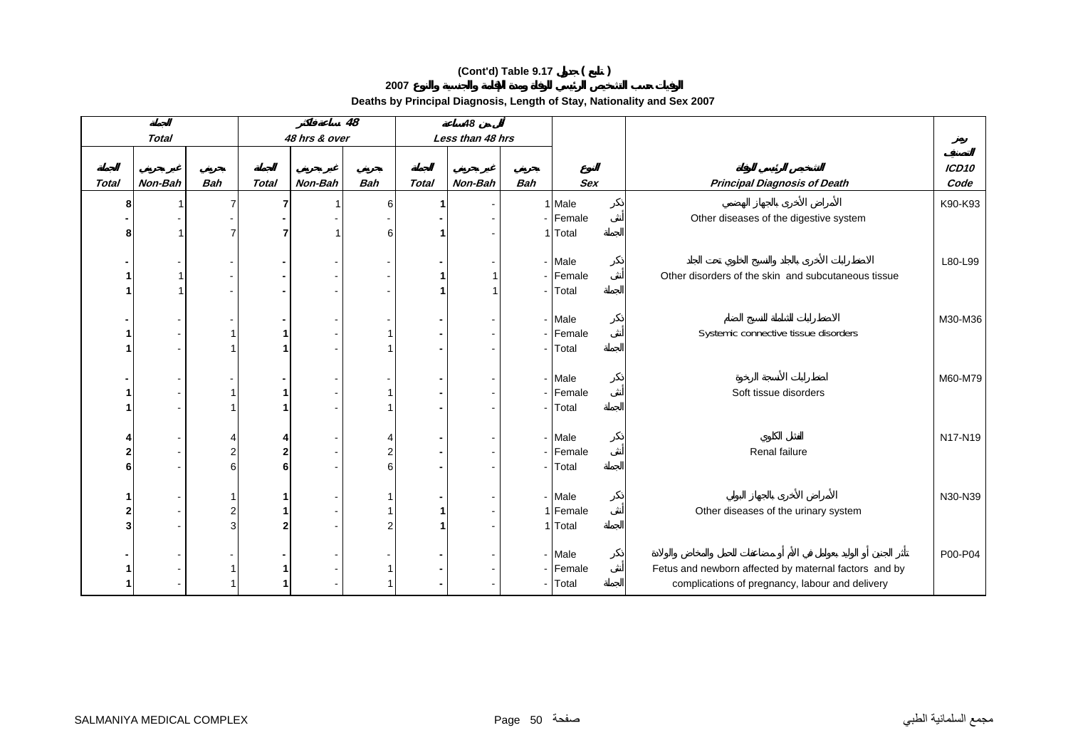**2007**

|                |              | $\overline{48}$          |              |               | 48             |              |                  |            |            |                                                       |                   |
|----------------|--------------|--------------------------|--------------|---------------|----------------|--------------|------------------|------------|------------|-------------------------------------------------------|-------------------|
|                | <b>Total</b> |                          |              | 48 hrs & over |                |              | Less than 48 hrs |            |            |                                                       |                   |
|                |              |                          |              |               |                |              |                  |            |            |                                                       |                   |
|                |              |                          |              |               |                |              |                  |            |            |                                                       | ICD <sub>10</sub> |
| Total          | Non-Bah      | <b>Bah</b>               | <b>Total</b> | Non-Bah       | <b>Bah</b>     | <b>Total</b> | Non-Bah          | <b>Bah</b> | <b>Sex</b> | <b>Principal Diagnosis of Death</b>                   | Code              |
| 8              |              | $\overline{7}$           | 7            |               | 6              |              |                  |            | 1 Male     |                                                       | K90-K93           |
|                |              |                          |              |               |                |              |                  |            | - Female   | Other diseases of the digestive system                |                   |
| 8              |              | 7                        | 7            |               | 6              |              |                  |            | 1 Total    |                                                       |                   |
|                |              |                          |              |               |                |              |                  |            |            |                                                       |                   |
|                |              | $\overline{\phantom{0}}$ |              |               |                |              |                  |            | - Male     |                                                       | L80-L99           |
|                |              |                          |              |               |                |              |                  |            | - Female   | Other disorders of the skin and subcutaneous tissue   |                   |
|                |              |                          |              |               |                |              |                  |            | - Total    |                                                       |                   |
|                |              |                          |              |               |                |              |                  |            | - Male     |                                                       | M30-M36           |
|                |              |                          |              |               |                |              |                  |            | - Female   | Systemic connective tissue disorders                  |                   |
|                |              |                          |              |               |                |              |                  |            | - Total    |                                                       |                   |
|                |              |                          |              |               |                |              |                  |            |            |                                                       |                   |
|                |              |                          |              |               |                |              |                  |            | - Male     |                                                       | M60-M79           |
|                |              |                          |              |               |                |              |                  |            | - Female   | Soft tissue disorders                                 |                   |
|                |              |                          |              |               |                |              |                  |            | - Total    |                                                       |                   |
|                |              |                          |              |               |                |              |                  |            |            |                                                       |                   |
| 4              |              | 4                        |              |               |                |              |                  |            | - Male     |                                                       | N17-N19           |
| $\overline{2}$ |              | $\overline{2}$           | 2            |               | $\overline{2}$ |              |                  |            | - Female   | Renal failure                                         |                   |
| 6              |              | 6                        | 6            |               | 6              |              |                  |            | - Total    |                                                       |                   |
|                |              |                          |              |               |                |              |                  |            |            |                                                       |                   |
|                |              |                          |              |               |                |              |                  |            | - Male     |                                                       | N30-N39           |
| $\overline{2}$ |              | $\overline{2}$           |              |               |                |              |                  |            | 1 Female   | Other diseases of the urinary system                  |                   |
| 3              |              | 3                        |              |               | $\overline{2}$ |              |                  |            | 1 Total    |                                                       |                   |
|                |              |                          |              |               |                |              |                  |            |            |                                                       |                   |
|                |              |                          |              |               |                |              |                  |            | - Male     |                                                       | P00-P04           |
|                |              |                          |              |               |                |              |                  |            | - Female   | Fetus and newborn affected by maternal factors and by |                   |
|                |              |                          |              |               |                |              |                  |            | - Total    | complications of pregnancy, labour and delivery       |                   |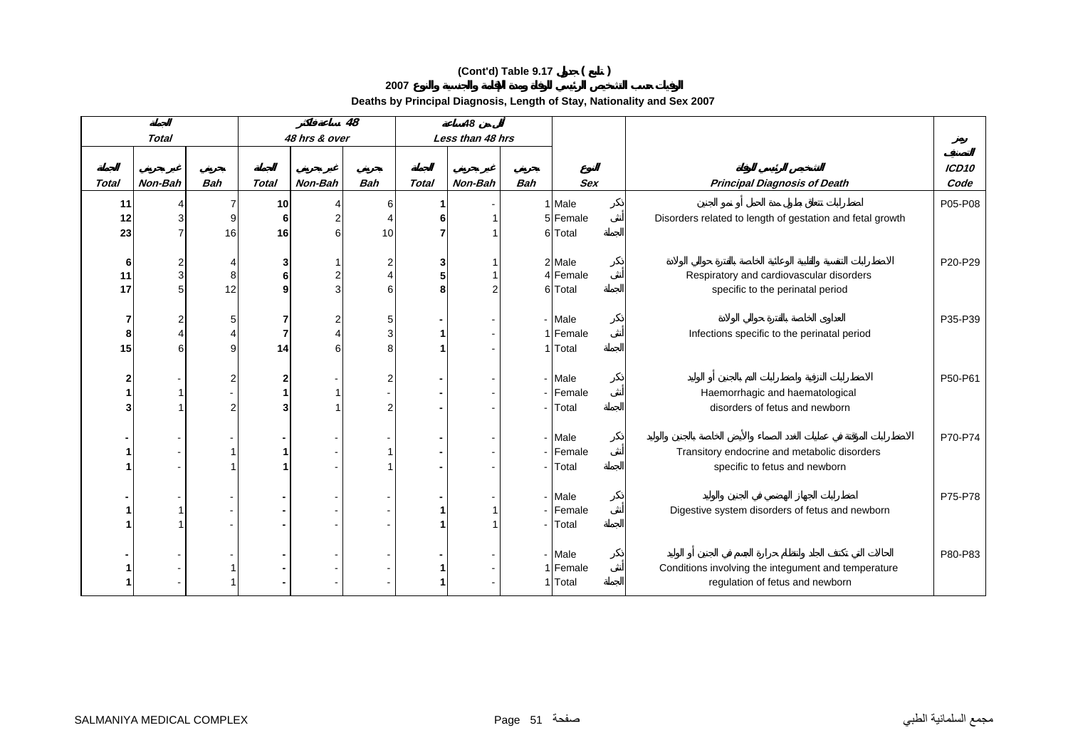**2007**

|                |              |            | 48           |               |            | 48           |                  |                |                    |                                                                   |                   |
|----------------|--------------|------------|--------------|---------------|------------|--------------|------------------|----------------|--------------------|-------------------------------------------------------------------|-------------------|
|                | <b>Total</b> |            |              | 48 hrs & over |            |              | Less than 48 hrs |                |                    |                                                                   |                   |
|                |              |            |              |               |            |              |                  |                |                    |                                                                   | ICD <sub>10</sub> |
| <b>Total</b>   | Non-Bah      | <b>Bah</b> | <b>Total</b> | Non-Bah       | <b>Bah</b> | <b>Total</b> | Non-Bah          | <b>Bah</b>     | <b>Sex</b>         | <b>Principal Diagnosis of Death</b>                               | Code              |
| 11             |              | 7          | 10           |               | 6          |              |                  |                | 1 Male             |                                                                   | P05-P08           |
| 12             |              | 9          | 6            |               |            |              |                  |                | 5 Female           | Disorders related to length of gestation and fetal growth         |                   |
| 23             |              | 16         | 16           |               | 10         |              |                  |                | 6 Total            |                                                                   |                   |
|                |              |            |              |               |            |              |                  |                |                    |                                                                   |                   |
| 6<br>11        | 3            | 8          | 3<br>6       |               |            | 3<br>5       |                  |                | 2 Male<br>4 Female | Respiratory and cardiovascular disorders                          | P20-P29           |
| 17             | 5            | 12         | q            |               | 6          | ឧ            |                  |                | 6 Total            | specific to the perinatal period                                  |                   |
|                |              |            |              |               |            |              |                  |                |                    |                                                                   |                   |
| 7              |              | 5          | 7            |               | 5          |              |                  |                | - Male             |                                                                   | P35-P39           |
| 8              |              |            | 7            |               | 3          |              |                  |                | 1 Female           | Infections specific to the perinatal period                       |                   |
| 15             |              | 9          | 14           |               | 8          |              |                  |                | 1 Total            |                                                                   |                   |
|                |              |            |              |               |            |              |                  |                |                    |                                                                   |                   |
| $\overline{2}$ |              | 2          |              |               | 2          |              |                  |                | - Male             |                                                                   | P50-P61           |
|                |              | 2          | 3            |               | 2          |              |                  | $\sim$         | - Female<br>Total  | Haemorrhagic and haematological<br>disorders of fetus and newborn |                   |
|                |              |            |              |               |            |              |                  |                |                    |                                                                   |                   |
|                |              |            |              |               |            |              |                  |                | - Male             |                                                                   | P70-P74           |
|                |              |            |              |               |            |              |                  |                | - Female           | Transitory endocrine and metabolic disorders                      |                   |
|                |              |            |              |               |            |              |                  | $\sim$         | Total              | specific to fetus and newborn                                     |                   |
|                |              |            |              |               |            |              |                  |                |                    |                                                                   |                   |
|                |              |            |              |               |            |              |                  |                | - Male             |                                                                   | P75-P78           |
|                |              |            |              |               |            |              |                  | $\blacksquare$ | Female<br>Total    | Digestive system disorders of fetus and newborn                   |                   |
|                |              |            |              |               |            |              |                  |                |                    |                                                                   |                   |
|                |              |            |              |               |            |              |                  |                | - Male             |                                                                   | P80-P83           |
|                |              |            |              |               |            |              |                  |                | 1 Female           | Conditions involving the integument and temperature               |                   |
|                |              |            |              |               |            |              |                  |                | 1 Total            | regulation of fetus and newborn                                   |                   |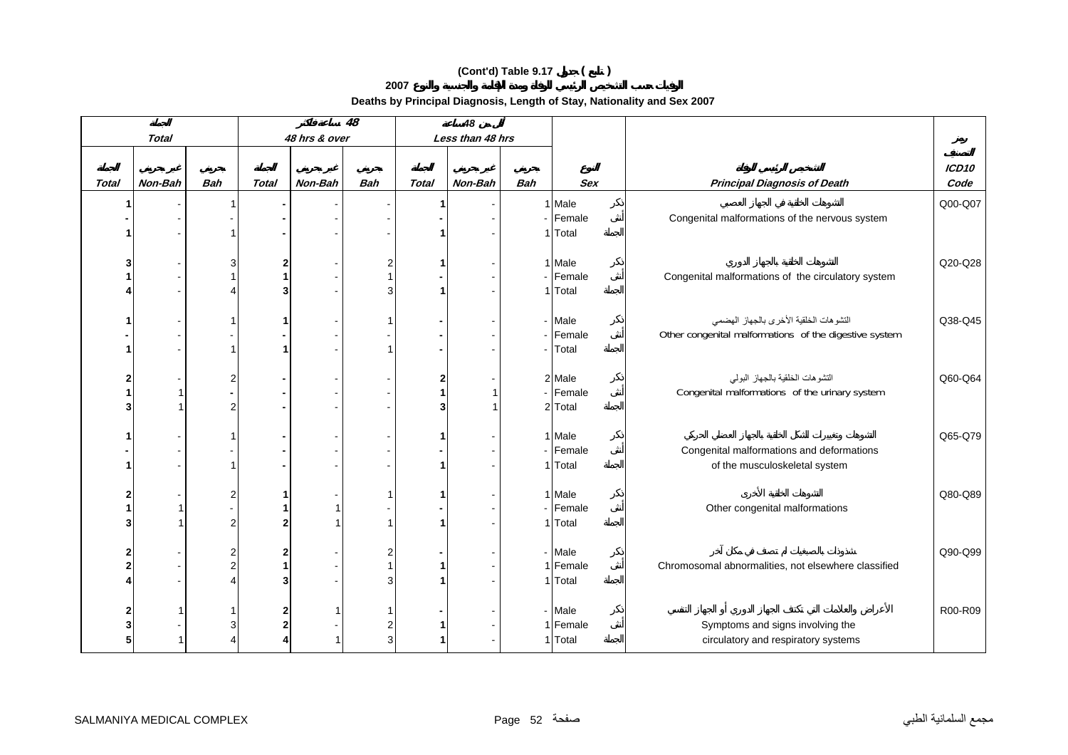**2007**

|                |              |                       |              |               | $\overline{48}$ |              | 48               |            |            |                                                        |                   |
|----------------|--------------|-----------------------|--------------|---------------|-----------------|--------------|------------------|------------|------------|--------------------------------------------------------|-------------------|
|                | <b>Total</b> |                       |              | 48 hrs & over |                 |              | Less than 48 hrs |            |            |                                                        |                   |
|                |              |                       |              |               |                 |              |                  |            |            |                                                        |                   |
|                |              |                       |              |               |                 |              |                  |            |            |                                                        | ICD <sub>10</sub> |
| <b>Total</b>   | Non-Bah      | <b>Bah</b>            | <b>Total</b> | Non-Bah       | <b>Bah</b>      | <b>Total</b> | Non-Bah          | <b>Bah</b> | <b>Sex</b> | <b>Principal Diagnosis of Death</b>                    | Code              |
| 1              |              |                       |              |               |                 |              |                  |            | 1 Male     |                                                        | Q00-Q07           |
|                |              |                       |              |               |                 |              |                  |            | - Female   | Congenital malformations of the nervous system         |                   |
|                |              |                       |              |               |                 |              |                  |            | 1 Total    |                                                        |                   |
|                |              |                       |              |               |                 |              |                  |            |            |                                                        |                   |
| 3              |              | 3                     | 2            |               | 2               |              |                  |            | 1 Male     |                                                        | Q20-Q28           |
| 1              |              |                       |              |               |                 |              |                  |            | - Female   | Congenital malformations of the circulatory system     |                   |
|                |              |                       |              |               | 3               |              |                  |            | 1 Total    |                                                        |                   |
|                |              |                       |              |               |                 |              |                  |            |            |                                                        |                   |
| 1              |              |                       |              |               |                 |              |                  |            | - Male     | التشوهات الخلقية الأخرى بالجهاز الهضمى                 | Q38-Q45           |
|                |              |                       |              |               |                 |              |                  |            | - Female   | Other congenital malformations of the digestive system |                   |
| 1              |              |                       |              |               |                 |              |                  |            | - Total    |                                                        |                   |
| $\mathbf{2}$   |              | $\overline{2}$        |              |               |                 |              |                  |            | 2 Male     | التشوهات الخلقية بالجهاز البولمي                       | Q60-Q64           |
| 1              |              |                       |              |               |                 |              |                  |            | - Female   | Congenital malformations of the urinary system         |                   |
| 3              |              | $\overline{2}$        |              |               |                 |              |                  |            | 2 Total    |                                                        |                   |
|                |              |                       |              |               |                 |              |                  |            |            |                                                        |                   |
| 1              |              |                       |              |               |                 |              |                  |            | 1 Male     |                                                        | Q65-Q79           |
|                |              |                       |              |               |                 |              |                  |            | - Female   | Congenital malformations and deformations              |                   |
| 1              |              | -1                    |              |               |                 |              |                  |            | 1 Total    | of the musculoskeletal system                          |                   |
|                |              |                       |              |               |                 |              |                  |            |            |                                                        |                   |
| $\mathbf{2}$   |              | $\overline{2}$        |              |               |                 |              |                  |            | 1 Male     |                                                        | Q80-Q89           |
| 1              |              |                       |              |               |                 |              |                  |            | - Female   | Other congenital malformations                         |                   |
| 3              |              | 2                     |              |               | 1               |              |                  |            | 1 Total    |                                                        |                   |
|                |              |                       |              |               |                 |              |                  |            |            |                                                        |                   |
| 2              |              | 2                     |              |               | 2               |              |                  |            | - Male     |                                                        | Q90-Q99           |
| $\overline{2}$ |              | $\overline{2}$        |              |               |                 |              |                  |            | 1 Female   | Chromosomal abnormalities, not elsewhere classified    |                   |
| 4              |              | $\boldsymbol{\Delta}$ |              |               | 3               |              |                  |            | 1 Total    |                                                        |                   |
|                |              |                       |              |               |                 |              |                  |            |            |                                                        |                   |
| 2              |              |                       |              |               |                 |              |                  |            | - Male     |                                                        | R00-R09           |
| 3              |              | 3                     |              |               | 2               |              |                  |            | 1 Female   | Symptoms and signs involving the                       |                   |
| 5              |              |                       |              |               | 3               |              |                  |            | 1 Total    | circulatory and respiratory systems                    |                   |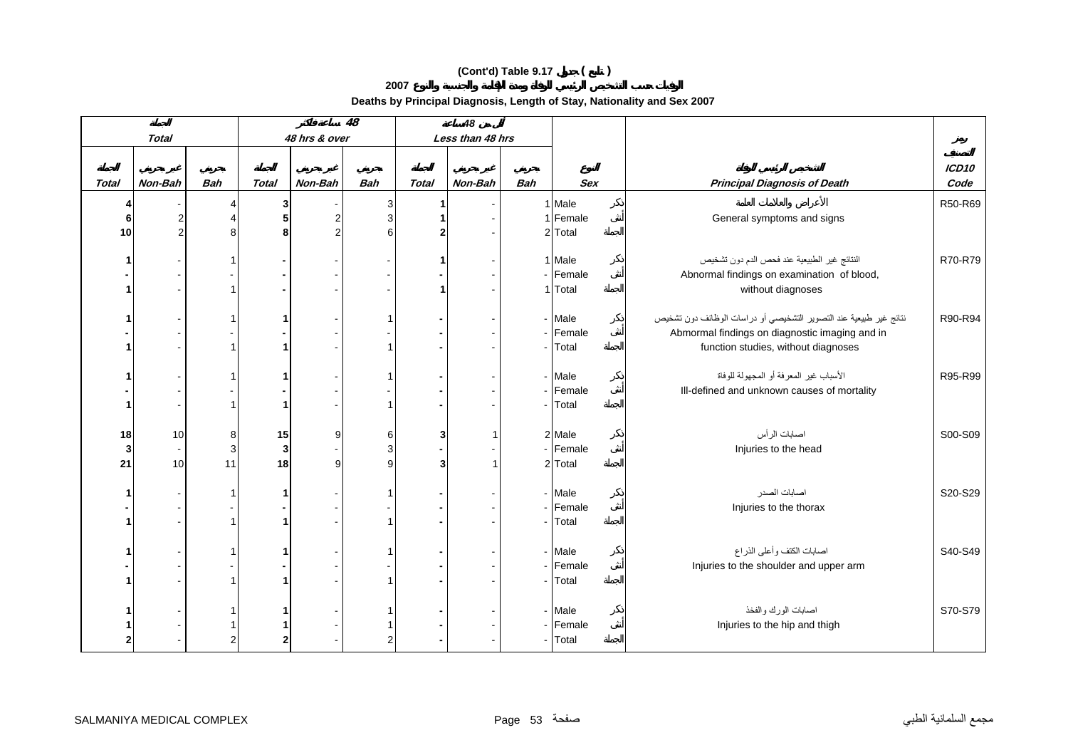**2007**

|              |              |              |              |               | 48         |              | 48               |            |                                           |                                                                     |                   |
|--------------|--------------|--------------|--------------|---------------|------------|--------------|------------------|------------|-------------------------------------------|---------------------------------------------------------------------|-------------------|
|              | <b>Total</b> |              |              | 48 hrs & over |            |              | Less than 48 hrs |            |                                           |                                                                     |                   |
|              |              |              |              |               |            |              |                  |            |                                           |                                                                     |                   |
|              |              |              |              |               |            |              |                  |            |                                           |                                                                     | ICD <sub>10</sub> |
| <b>Total</b> | Non-Bah      | <b>Bah</b>   | <b>Total</b> | Non-Bah       | <b>Bah</b> | <b>Total</b> | Non-Bah          | <b>Bah</b> | Sex                                       | <b>Principal Diagnosis of Death</b>                                 | Code              |
| 4            |              | 4            | 3            |               | 3          |              |                  |            | 1 Male                                    |                                                                     | R50-R69           |
| 6            |              | Δ            | 5            | 2             | 3          |              |                  |            | 1 Female                                  | General symptoms and signs                                          |                   |
| 10           |              | 8            | 8            |               | 6          |              |                  |            | 2 Total                                   |                                                                     |                   |
|              |              |              |              |               |            |              |                  |            |                                           |                                                                     |                   |
| 1            |              |              |              |               |            |              |                  |            | 1 Male                                    | النتائج غير الطبيعية عند فحص الدم دون تشخيص                         | R70-R79           |
|              |              |              |              |               |            |              |                  |            | - Female                                  | Abnormal findings on examination of blood,                          |                   |
| 1            |              |              |              |               |            |              |                  |            | 1 Total                                   | without diagnoses                                                   |                   |
|              |              |              |              |               |            |              |                  |            |                                           |                                                                     |                   |
| 1            |              |              |              |               | 1          |              |                  |            | - Male                                    | نتائج غير طبيعية عند التصوير التشخيصي أو دراسات الوظائف دون تشخيص   | R90-R94           |
|              |              |              |              |               |            |              |                  |            | - Female                                  | Abmormal findings on diagnostic imaging and in                      |                   |
| 1            |              |              |              |               |            |              |                  |            | - Total                                   | function studies, without diagnoses                                 |                   |
|              |              |              |              |               |            |              |                  |            |                                           |                                                                     |                   |
| 1            |              |              |              |               |            |              |                  |            | - Male                                    | الأسباب غير المعرفة أو المجهولة للوفاة                              | R95-R99           |
|              |              |              |              |               |            |              |                  |            | - Female                                  | Ill-defined and unknown causes of mortality                         |                   |
| 1            |              |              |              |               |            |              |                  |            | - Total                                   |                                                                     |                   |
| 18           | 10           | 8            | 15           | 9             | 6          | 3            |                  |            | 2 Male                                    | اصابات الرأس                                                        | S00-S09           |
| 3            | $\sim$       | $\mathbf{3}$ | 3            |               | 3          |              |                  |            | - Female                                  | Injuries to the head                                                |                   |
| 21           | 10           | 11           | 18           | 9             | 9          | 3            |                  |            | 2 Total                                   |                                                                     |                   |
|              |              |              |              |               |            |              |                  |            |                                           |                                                                     |                   |
| 1            |              |              |              |               |            |              |                  |            | - Male                                    | اصابات الصدر                                                        | S20-S29           |
|              |              |              |              |               |            |              |                  |            | - Female                                  | Injuries to the thorax                                              |                   |
| 1            |              |              |              |               |            |              |                  |            |                                           |                                                                     |                   |
|              |              |              |              |               |            |              |                  |            |                                           |                                                                     |                   |
| 1            |              |              |              |               |            |              |                  |            | - Male                                    |                                                                     | S40-S49           |
|              |              |              |              |               |            |              |                  |            | - Female                                  |                                                                     |                   |
| 1            |              |              |              |               |            |              |                  |            | - Total                                   |                                                                     |                   |
|              |              |              |              |               |            |              |                  |            |                                           |                                                                     |                   |
| 1            |              |              |              |               |            |              |                  |            | - Male                                    | اصابات الورك والفخذ                                                 |                   |
| 1            |              |              |              |               |            |              |                  |            | Injuries to the hip and thigh<br>- Female |                                                                     |                   |
| $\mathbf{2}$ |              | 2            |              |               | 2          |              |                  |            | - Total                                   |                                                                     |                   |
|              |              |              |              |               |            |              |                  |            | - Total                                   | اصابات الكتف وأعلى الذراع<br>Injuries to the shoulder and upper arm | S70-S79           |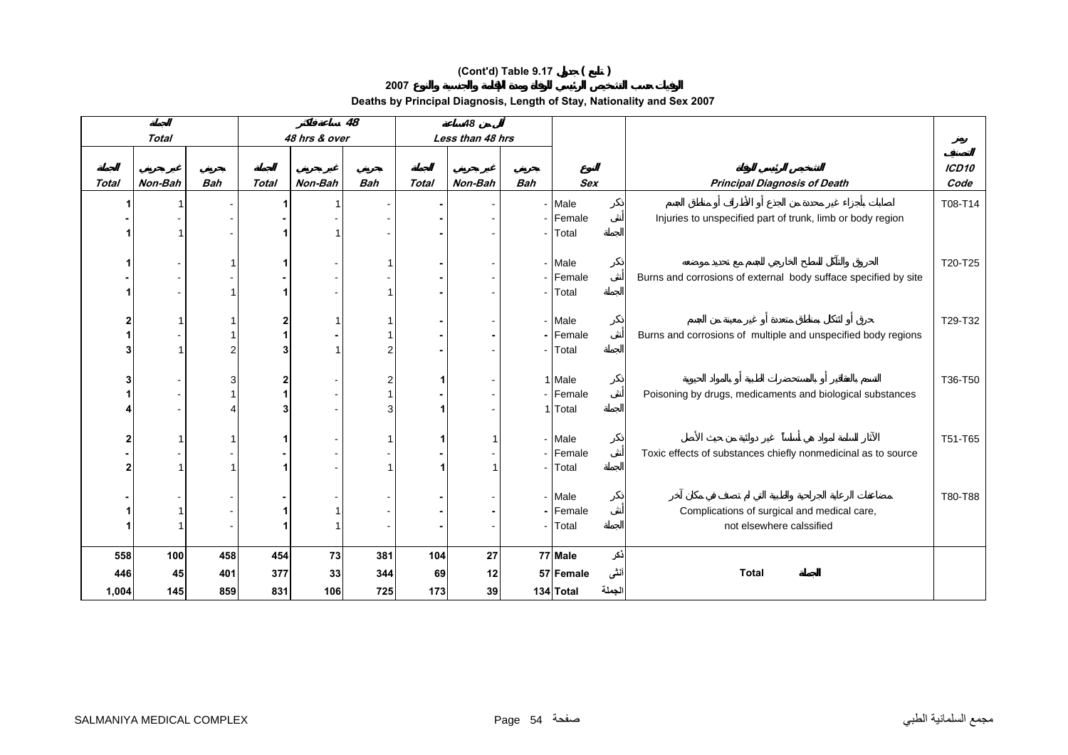**2007**

|                         |              |            |              |               | 48             |              | 48               |                |                     |        |                                                                 |                   |
|-------------------------|--------------|------------|--------------|---------------|----------------|--------------|------------------|----------------|---------------------|--------|-----------------------------------------------------------------|-------------------|
|                         | <b>Total</b> |            |              | 48 hrs & over |                |              | Less than 48 hrs |                |                     |        |                                                                 |                   |
|                         |              |            |              |               |                |              |                  |                |                     |        |                                                                 | ICD <sub>10</sub> |
| <b>Total</b>            | Non-Bah      | <b>Bah</b> | <b>Total</b> | Non-Bah       | <b>Bah</b>     | <b>Total</b> | Non-Bah          | <b>Bah</b>     | <b>Sex</b>          |        | <b>Principal Diagnosis of Death</b>                             | Code              |
|                         |              |            |              |               |                |              |                  |                | - Male              |        |                                                                 | T08-T14           |
|                         |              |            |              |               |                |              |                  |                | - Female            |        | Injuries to unspecified part of trunk, limb or body region      |                   |
|                         |              |            |              |               |                |              |                  | $\sim$         | Total               |        |                                                                 |                   |
|                         |              |            |              |               |                |              |                  |                |                     |        |                                                                 |                   |
| 1                       |              | -1         |              |               |                |              |                  |                | - Male              |        |                                                                 | T20-T25           |
|                         |              |            |              |               |                |              |                  |                | - Female            |        | Burns and corrosions of external body sufface specified by site |                   |
| 1                       |              |            |              |               |                |              |                  | $\sim$         | Total               |        |                                                                 |                   |
|                         |              |            |              |               |                |              |                  |                |                     |        |                                                                 |                   |
| $\mathbf{2}$<br>1       |              | -1         | $\mathbf{2}$ |               |                |              |                  |                | - Male              |        |                                                                 | T29-T32           |
| 3                       |              | 2          | 3            |               | 2              |              |                  |                | - Female<br>- Total |        | Burns and corrosions of multiple and unspecified body regions   |                   |
|                         |              |            |              |               |                |              |                  |                |                     |        |                                                                 |                   |
| 3                       |              | 3          | $\mathbf{2}$ |               | $\overline{2}$ |              |                  |                | 1 Male              |        |                                                                 | T36-T50           |
|                         |              |            |              |               |                |              |                  |                | - Female            |        | Poisoning by drugs, medicaments and biological substances       |                   |
|                         |              |            | 3            |               | 3              |              |                  |                | 1 Total             |        |                                                                 |                   |
|                         |              |            |              |               |                |              |                  |                |                     |        |                                                                 |                   |
| $\overline{\mathbf{2}}$ |              | -1         |              |               |                |              |                  |                | - Male              |        |                                                                 | T51-T65           |
|                         |              |            |              |               |                |              |                  |                | - Female            |        | Toxic effects of substances chiefly nonmedicinal as to source   |                   |
| $\overline{2}$          |              |            |              |               |                |              |                  | $\blacksquare$ | Total               |        |                                                                 |                   |
|                         |              |            |              |               |                |              |                  |                | - Male              |        |                                                                 | T80-T88           |
| 1                       |              |            |              |               |                |              |                  |                | - Female            |        | Complications of surgical and medical care,                     |                   |
|                         |              |            |              |               |                |              |                  | $\blacksquare$ | Total               |        | not elsewhere calssified                                        |                   |
|                         |              |            |              |               |                |              |                  |                |                     |        |                                                                 |                   |
| 558                     | 100          | 458        | 454          | 73            | 381            | 104          | 27               |                | 77 Male             | ذكر    |                                                                 |                   |
| 446                     | 45           | 401        | 377          | 33            | 344            | 69           | 12               |                | 57 Female           | أننى   | <b>Total</b>                                                    |                   |
| 1,004                   | 145          | 859        | 831          | 106           | 725            | 173          | 39               |                | 134 Total           | الجملة |                                                                 |                   |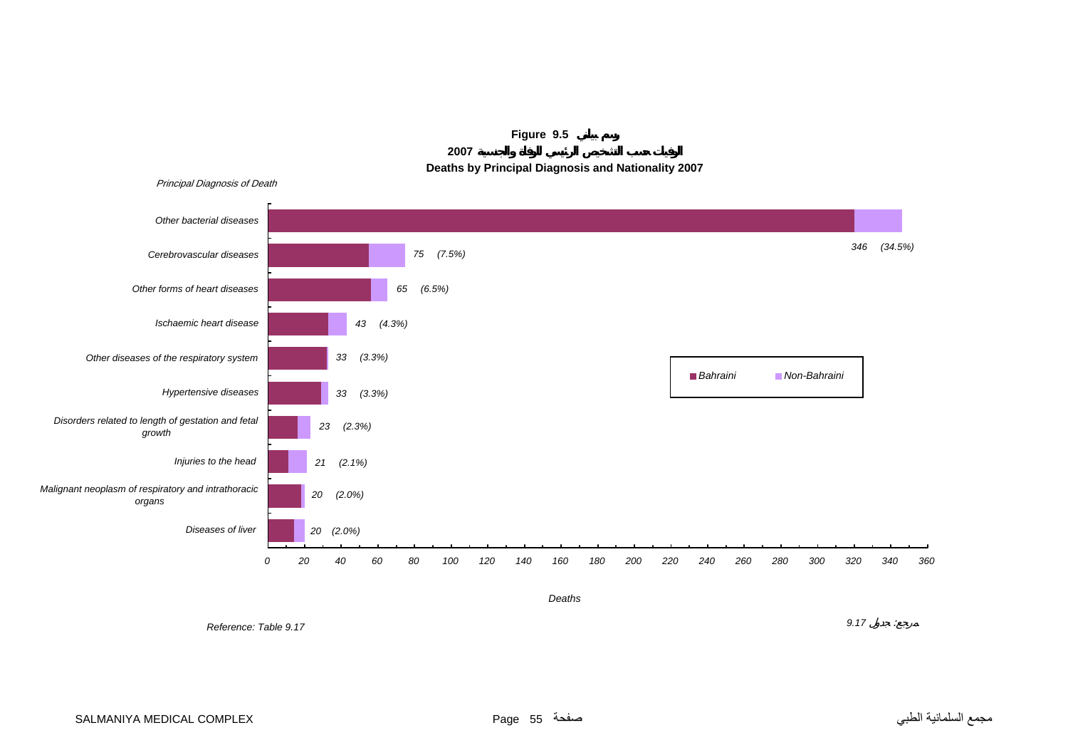

**Figure 9.5 2007**

**Deaths by Principal Diagnosis and Nationality 2007**

*Reference: Table 9.17*

*9.17* :

*Deaths*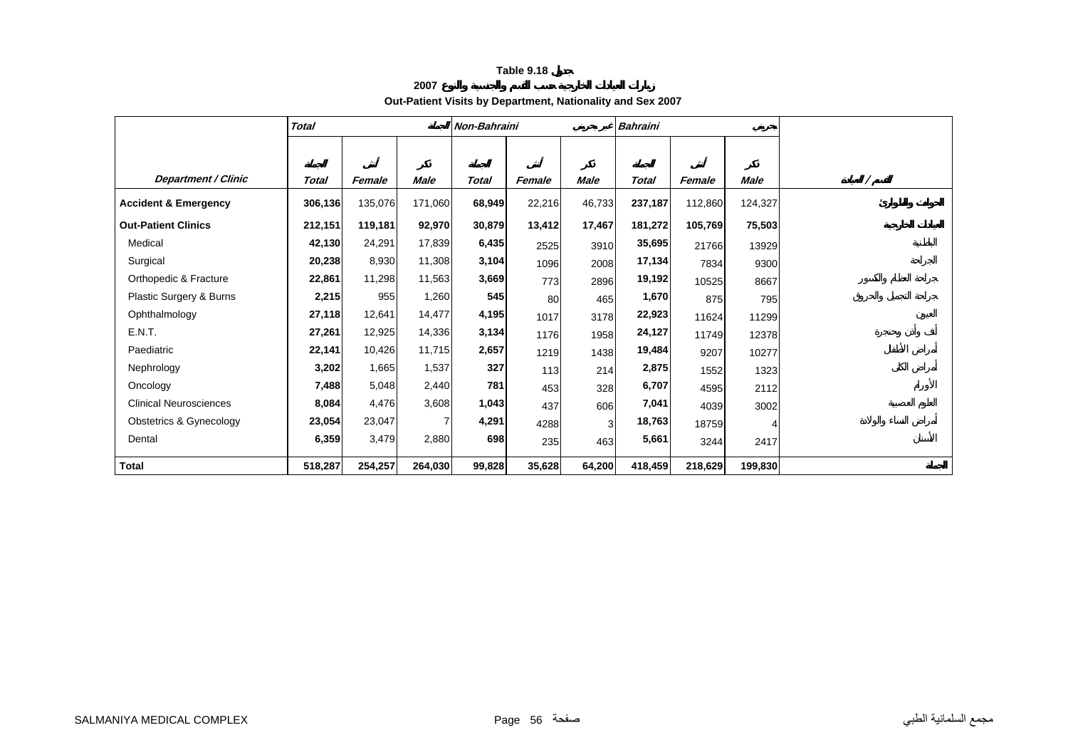**2007**

#### **Out-Patient Visits by Department, Nationality and Sex 2007**

|                                 | <b>Total</b> |         |         | Non-Bahraini |        |        | <b>Bahraini</b> |         |         |  |
|---------------------------------|--------------|---------|---------|--------------|--------|--------|-----------------|---------|---------|--|
|                                 |              |         |         |              |        |        |                 |         |         |  |
| <b>Department / Clinic</b>      | Total        | Female  | Male    | Total        | Female | Male   | Total           | Female  | Male    |  |
| <b>Accident &amp; Emergency</b> | 306,136      | 135,076 | 171,060 | 68,949       | 22,216 | 46,733 | 237,187         | 112,860 | 124,327 |  |
| <b>Out-Patient Clinics</b>      | 212,151      | 119,181 | 92,970  | 30,879       | 13,412 | 17,467 | 181,272         | 105,769 | 75,503  |  |
| Medical                         | 42,130       | 24,291  | 17,839  | 6,435        | 2525   | 3910   | 35,695          | 21766   | 13929   |  |
| Surgical                        | 20,238       | 8,930   | 11,308  | 3,104        | 1096   | 2008   | 17,134          | 7834    | 9300    |  |
| Orthopedic & Fracture           | 22,861       | 11,298  | 11,563  | 3,669        | 773    | 2896   | 19,192          | 10525   | 8667    |  |
| Plastic Surgery & Burns         | 2,215        | 955     | 1,260   | 545          | 80     | 465    | 1,670           | 875     | 795     |  |
| Ophthalmology                   | 27,118       | 12,641  | 14,477  | 4,195        | 1017   | 3178   | 22,923          | 11624   | 11299   |  |
| E.N.T.                          | 27,261       | 12,925  | 14,336  | 3,134        | 1176   | 1958   | 24,127          | 11749   | 12378   |  |
| Paediatric                      | 22,141       | 10,426  | 11,715  | 2,657        | 1219   | 1438   | 19,484          | 9207    | 10277   |  |
| Nephrology                      | 3,202        | 1,665   | 1,537   | 327          | 113    | 214    | 2,875           | 1552    | 1323    |  |
| Oncology                        | 7,488        | 5,048   | 2,440   | 781          | 453    | 328    | 6,707           | 4595    | 2112    |  |
| <b>Clinical Neurosciences</b>   | 8,084        | 4,476   | 3,608   | 1,043        | 437    | 606    | 7,041           | 4039    | 3002    |  |
| Obstetrics & Gynecology         | 23,054       | 23,047  | 7       | 4,291        | 4288   | 3      | 18,763          | 18759   |         |  |
| Dental                          | 6,359        | 3,479   | 2,880   | 698          | 235    | 463    | 5,661           | 3244    | 2417    |  |
| <b>Total</b>                    | 518,287      | 254,257 | 264,030 | 99,828       | 35,628 | 64,200 | 418,459         | 218,629 | 199,830 |  |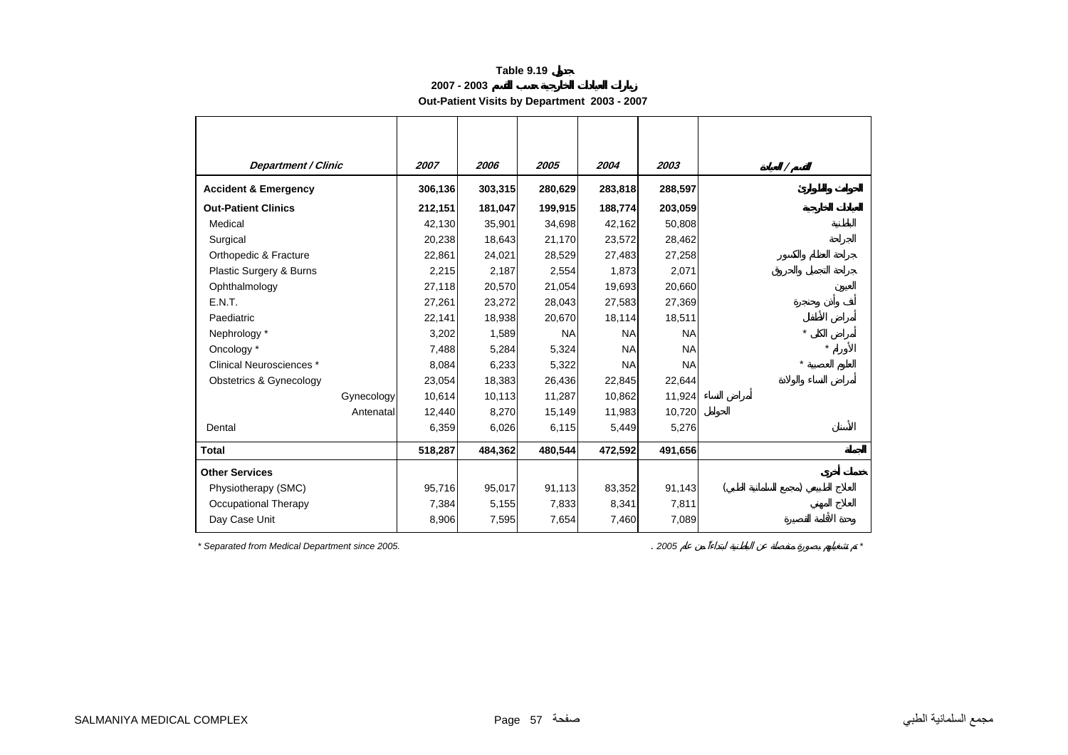**2007 - 2003**

**Out-Patient Visits by Department 2003 - 2007** 

| <b>Department / Clinic</b>      | 2007    | 2006    | 2005      | 2004      | 2003      | Γ       |
|---------------------------------|---------|---------|-----------|-----------|-----------|---------|
| <b>Accident &amp; Emergency</b> | 306,136 | 303,315 | 280,629   | 283,818   | 288,597   |         |
| <b>Out-Patient Clinics</b>      | 212,151 | 181,047 | 199,915   | 188,774   | 203,059   |         |
| Medical                         | 42,130  | 35,901  | 34,698    | 42,162    | 50,808    |         |
| Surgical                        | 20,238  | 18,643  | 21,170    | 23,572    | 28,462    |         |
| Orthopedic & Fracture           | 22,861  | 24,021  | 28,529    | 27,483    | 27,258    |         |
| Plastic Surgery & Burns         | 2,215   | 2,187   | 2,554     | 1,873     | 2,071     |         |
| Ophthalmology                   | 27,118  | 20,570  | 21,054    | 19,693    | 20,660    |         |
| E.N.T.                          | 27,261  | 23,272  | 28,043    | 27,583    | 27,369    |         |
| Paediatric                      | 22,141  | 18,938  | 20,670    | 18,114    | 18,511    |         |
| Nephrology *                    | 3,202   | 1,589   | <b>NA</b> | <b>NA</b> | <b>NA</b> | $\star$ |
| Oncology *                      | 7,488   | 5,284   | 5,324     | <b>NA</b> | <b>NA</b> |         |
| Clinical Neurosciences *        | 8,084   | 6,233   | 5,322     | <b>NA</b> | <b>NA</b> |         |
| Obstetrics & Gynecology         | 23,054  | 18,383  | 26,436    | 22,845    | 22,644    |         |
| Gynecology                      | 10,614  | 10,113  | 11,287    | 10,862    | 11,924    |         |
| Antenatal                       | 12,440  | 8,270   | 15,149    | 11,983    | 10,720    |         |
| Dental                          | 6,359   | 6,026   | 6,115     | 5,449     | 5,276     |         |
| Total                           | 518,287 | 484,362 | 480,544   | 472,592   | 491,656   |         |
| <b>Other Services</b>           |         |         |           |           |           |         |
| Physiotherapy (SMC)             | 95,716  | 95,017  | 91,113    | 83,352    | 91,143    |         |
| Occupational Therapy            | 7,384   | 5,155   | 7,833     | 8,341     | 7,811     |         |
| Day Case Unit                   | 8,906   | 7,595   | 7,654     | 7,460     | 7,089     |         |

*\* Separated from Medical Department since 2005.* . *2005 \**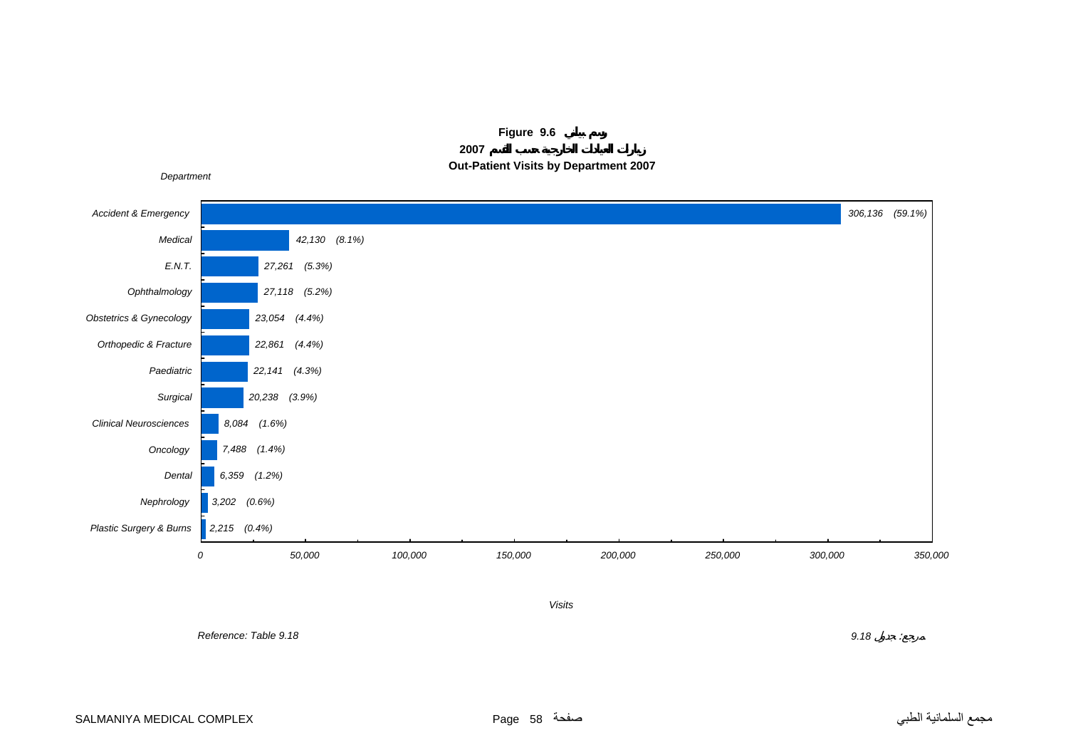



 *Reference: Table 9.18*

 *9.18* : $\sim$   $\beta$ 

*Visits*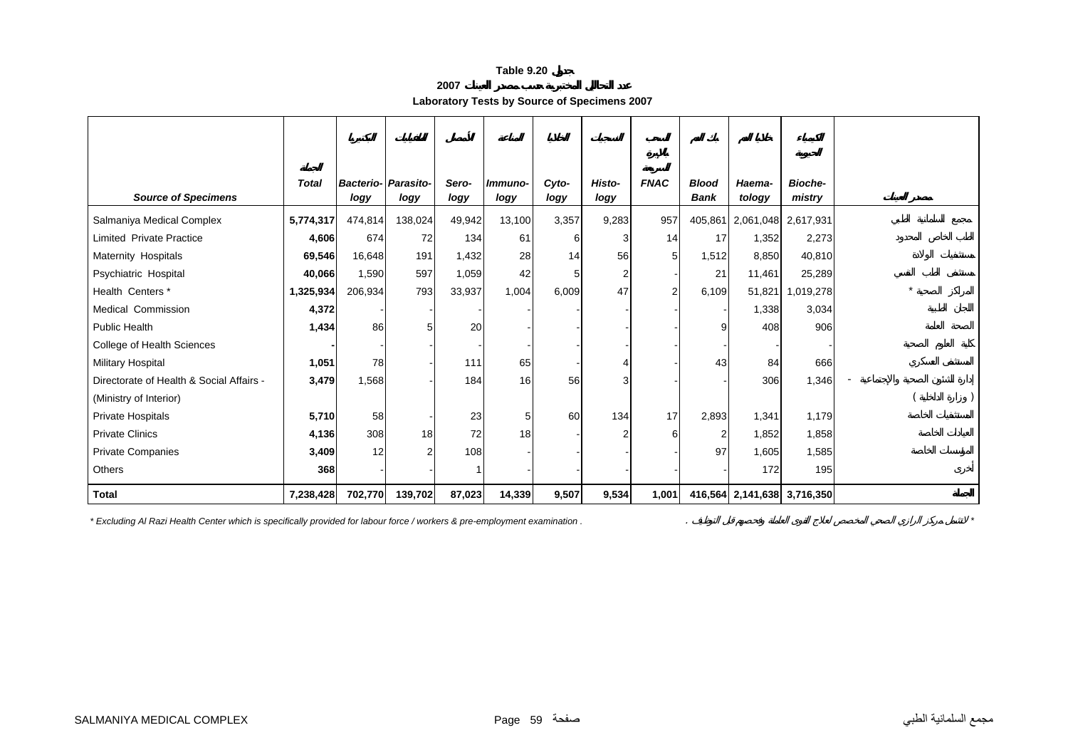**Laboratory Tests by Source of Specimens 2007** 

|                                          | <b>Total</b> | <b>Bacterio- Parasito-</b> |                | Sero-  | Immuno-        | Cyto- | Histo-         | <b>FNAC</b>    | <b>Blood</b>   | Haema-              | <b>Bioche-</b>              |  |
|------------------------------------------|--------------|----------------------------|----------------|--------|----------------|-------|----------------|----------------|----------------|---------------------|-----------------------------|--|
| <b>Source of Specimens</b>               |              | logy                       | logy           | logy   | logy           | logy  | logy           |                | <b>Bank</b>    | tology              | mistry                      |  |
| Salmaniya Medical Complex                | 5,774,317    | 474,814                    | 138,024        | 49,942 | 13,100         | 3,357 | 9,283          | 957            | 405,861        | 2,061,048 2,617,931 |                             |  |
| Limited Private Practice                 | 4,606        | 674                        | 72             | 134    | 61             | 6     | 3              | 14             | 17             | 1,352               | 2,273                       |  |
| Maternity Hospitals                      | 69,546       | 16,648                     | 191            | 1,432  | 28             | 14    | 56             | 5              | 1,512          | 8,850               | 40,810                      |  |
| Psychiatric Hospital                     | 40,066       | 1,590                      | 597            | 1,059  | 42             |       | 2              |                | 21             | 11,461              | 25,289                      |  |
| Health Centers*                          | 1,325,934    | 206,934                    | 793            | 33,937 | 1,004          | 6,009 | 47             | $\overline{2}$ | 6,109          | 51,821              | 1,019,278                   |  |
| Medical Commission                       | 4,372        |                            |                |        |                |       |                |                |                | 1,338               | 3,034                       |  |
| <b>Public Health</b>                     | 1,434        | 86                         | 5              | 20     |                |       |                |                | g              | 408                 | 906                         |  |
| College of Health Sciences               |              |                            |                |        |                |       |                |                |                |                     |                             |  |
| Military Hospital                        | 1,051        | 78                         |                | 111    | 65             |       |                |                | 43             | 84                  | 666                         |  |
| Directorate of Health & Social Affairs - | 3,479        | 1,568                      |                | 184    | 16             | 56    | 3              |                |                | 306                 | 1,346                       |  |
| (Ministry of Interior)                   |              |                            |                |        |                |       |                |                |                |                     |                             |  |
| Private Hospitals                        | 5,710        | 58                         |                | 23     | 5 <sup>1</sup> | 60    | 134            | 17             | 2,893          | 1,341               | 1,179                       |  |
| <b>Private Clinics</b>                   | 4,136        | 308                        | 18             | 72     | 18             |       | $\overline{2}$ | 6              | $\overline{c}$ | 1,852               | 1,858                       |  |
| Private Companies                        | 3,409        | 12                         | $\overline{2}$ | 108    |                |       |                |                | 97             | 1,605               | 1,585                       |  |
| Others                                   | 368          |                            |                |        |                |       |                |                |                | 172                 | 195                         |  |
| <b>Total</b>                             | 7,238,428    | 702,770                    | 139,702        | 87,023 | 14,339         | 9,507 | 9,534          | 1,001          |                |                     | 416,564 2,141,638 3,716,350 |  |

*\* Excluding Al Razi Health Center which is specifically provided for labour force / workers & pre-employment examination .* . *\**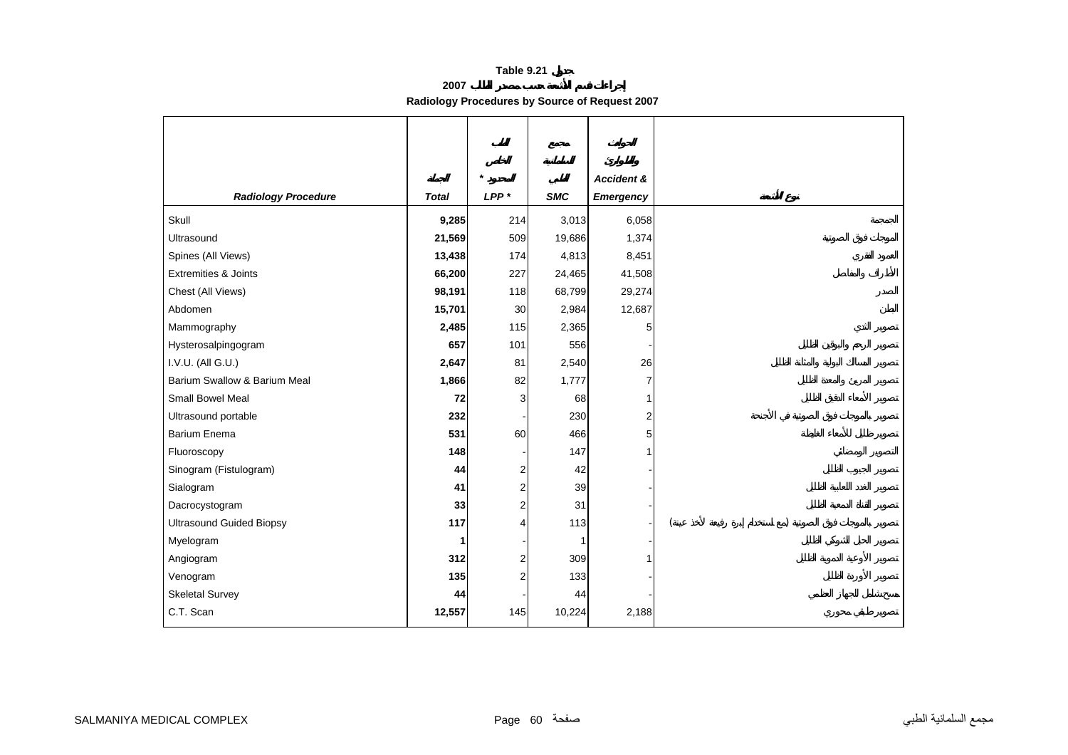**2007**

**Radiology Procedures by Source of Request 2007** 

|                                 |              | $\star$          |                | Accident &       |  |
|---------------------------------|--------------|------------------|----------------|------------------|--|
| <b>Radiology Procedure</b>      | <b>Total</b> | LPP <sup>*</sup> | <b>SMC</b>     | <b>Emergency</b> |  |
|                                 |              |                  |                |                  |  |
| Skull                           | 9,285        | 214              | 3,013          | 6,058            |  |
| Ultrasound                      | 21,569       | 509              | 19,686         | 1,374            |  |
| Spines (All Views)              | 13,438       | 174              | 4,813          | 8,451            |  |
| <b>Extremities &amp; Joints</b> | 66,200       | 227              | 24,465         | 41,508           |  |
| Chest (All Views)               | 98,191       | 118              | 68,799         | 29,274           |  |
| Abdomen                         | 15,701       | 30               | 2,984          | 12,687           |  |
| Mammography                     | 2,485        | 115              | 2,365          | 5                |  |
| Hysterosalpingogram             | 657          | 101              | 556            |                  |  |
| I.V.U. (All G.U.)               | 2,647        | 81               | 2,540          | 26               |  |
| Barium Swallow & Barium Meal    | 1,866        | 82               | 1,777          | 7                |  |
| <b>Small Bowel Meal</b>         | 72           | 3                | 68             |                  |  |
| Ultrasound portable             | 232          |                  | 230            | $\overline{a}$   |  |
| <b>Barium Enema</b>             | 531          | 60               | 466            | 5                |  |
| Fluoroscopy                     | 148          |                  | 147            |                  |  |
| Sinogram (Fistulogram)          | 44           | $\overline{c}$   | 42             |                  |  |
| Sialogram                       | 41           | $\overline{c}$   | 39             |                  |  |
| Dacrocystogram                  | 33           | $\overline{2}$   | 31             |                  |  |
| <b>Ultrasound Guided Biopsy</b> | 117          | $\overline{4}$   | 113            |                  |  |
| Myelogram                       | 1            |                  | $\overline{1}$ |                  |  |
| Angiogram                       | 312          | $\boldsymbol{2}$ | 309            |                  |  |
| Venogram                        | 135          | $\overline{c}$   | 133            |                  |  |
| <b>Skeletal Survey</b>          | 44           |                  | 44             |                  |  |
| C.T. Scan                       | 12,557       | 145              | 10,224         | 2,188            |  |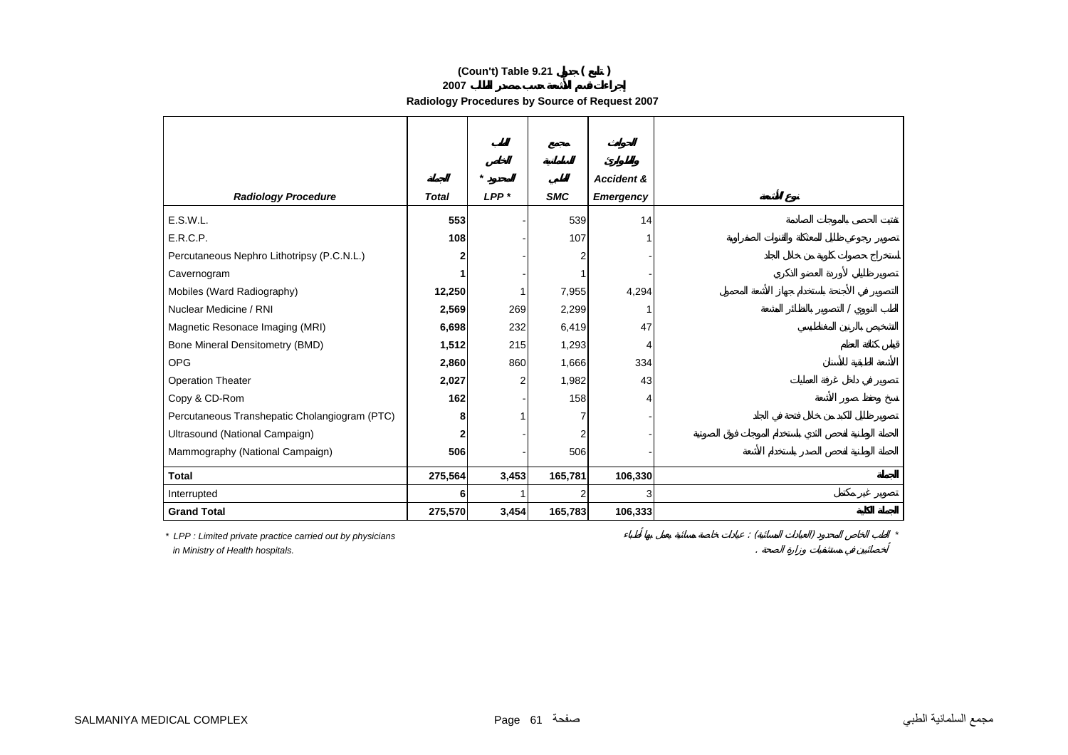#### **(Coun't) Table 9.21 ( )**

**2007**

**Radiology Procedures by Source of Request 2007** 

| <b>Accident &amp;</b><br>$LPP*$<br><b>SMC</b><br><b>Radiology Procedure</b><br><b>Total</b><br>Emergency<br>E.S.W.L.<br>553<br>539<br>14<br>E.R.C.P.<br>108<br>107<br>Percutaneous Nephro Lithotripsy (P.C.N.L.)<br>2<br>Cavernogram<br>Mobiles (Ward Radiography)<br>12,250<br>7,955<br>4,294<br>Nuclear Medicine / RNI<br>2,569<br>269<br>2,299<br>1<br>47<br>Magnetic Resonace Imaging (MRI)<br>6,698<br>232<br>6,419<br>Bone Mineral Densitometry (BMD)<br>1,512<br>215<br>1,293<br>4<br><b>OPG</b><br>2,860<br>860<br>1,666<br>334<br><b>Operation Theater</b><br>2,027<br>43<br>1,982<br>2<br>Copy & CD-Rom<br>162<br>158<br>Δ<br>Percutaneous Transhepatic Cholangiogram (PTC)<br>8 |
|--------------------------------------------------------------------------------------------------------------------------------------------------------------------------------------------------------------------------------------------------------------------------------------------------------------------------------------------------------------------------------------------------------------------------------------------------------------------------------------------------------------------------------------------------------------------------------------------------------------------------------------------------------------------------------------------|
|                                                                                                                                                                                                                                                                                                                                                                                                                                                                                                                                                                                                                                                                                            |
|                                                                                                                                                                                                                                                                                                                                                                                                                                                                                                                                                                                                                                                                                            |
|                                                                                                                                                                                                                                                                                                                                                                                                                                                                                                                                                                                                                                                                                            |
|                                                                                                                                                                                                                                                                                                                                                                                                                                                                                                                                                                                                                                                                                            |
|                                                                                                                                                                                                                                                                                                                                                                                                                                                                                                                                                                                                                                                                                            |
|                                                                                                                                                                                                                                                                                                                                                                                                                                                                                                                                                                                                                                                                                            |
|                                                                                                                                                                                                                                                                                                                                                                                                                                                                                                                                                                                                                                                                                            |
|                                                                                                                                                                                                                                                                                                                                                                                                                                                                                                                                                                                                                                                                                            |
|                                                                                                                                                                                                                                                                                                                                                                                                                                                                                                                                                                                                                                                                                            |
|                                                                                                                                                                                                                                                                                                                                                                                                                                                                                                                                                                                                                                                                                            |
|                                                                                                                                                                                                                                                                                                                                                                                                                                                                                                                                                                                                                                                                                            |
|                                                                                                                                                                                                                                                                                                                                                                                                                                                                                                                                                                                                                                                                                            |
|                                                                                                                                                                                                                                                                                                                                                                                                                                                                                                                                                                                                                                                                                            |
|                                                                                                                                                                                                                                                                                                                                                                                                                                                                                                                                                                                                                                                                                            |
|                                                                                                                                                                                                                                                                                                                                                                                                                                                                                                                                                                                                                                                                                            |
|                                                                                                                                                                                                                                                                                                                                                                                                                                                                                                                                                                                                                                                                                            |
| Ultrasound (National Campaign)                                                                                                                                                                                                                                                                                                                                                                                                                                                                                                                                                                                                                                                             |
| 506<br>506<br>Mammography (National Campaign)                                                                                                                                                                                                                                                                                                                                                                                                                                                                                                                                                                                                                                              |
| <b>Total</b><br>165,781<br>106,330<br>275,564<br>3,453                                                                                                                                                                                                                                                                                                                                                                                                                                                                                                                                                                                                                                     |
| Interrupted<br>3<br>6                                                                                                                                                                                                                                                                                                                                                                                                                                                                                                                                                                                                                                                                      |
| <b>Grand Total</b><br>275,570<br>3,454<br>165,783<br>106,333                                                                                                                                                                                                                                                                                                                                                                                                                                                                                                                                                                                                                               |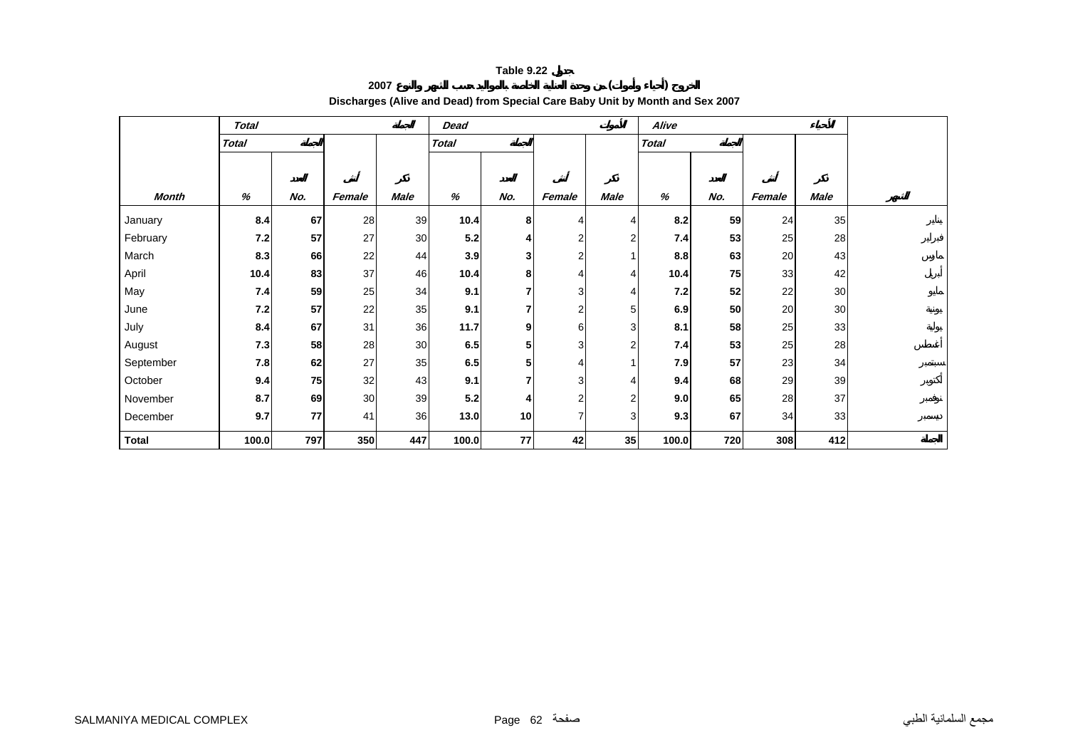#### **<sup>2007</sup> ( ) Discharges (Alive and Dead) from Special Care Baby Unit by Month and Sex 2007**

|              | <b>Total</b> |     |        |      | <b>Dead</b>  |                |                |                | Alive        |     |        |             |  |
|--------------|--------------|-----|--------|------|--------------|----------------|----------------|----------------|--------------|-----|--------|-------------|--|
|              | <b>Total</b> |     |        |      | <b>Total</b> |                |                |                | <b>Total</b> |     |        |             |  |
|              |              |     |        |      |              |                |                |                |              |     |        |             |  |
|              |              |     |        |      |              |                |                |                |              |     |        |             |  |
| <b>Month</b> | %            | No. | Female | Male | %            | No.            | Female         | <b>Male</b>    | %            | No. | Female | <b>Male</b> |  |
| January      | 8.4          | 67  | 28     | 39   | 10.4         | 8              | 4              | 4              | 8.2          | 59  | 24     | 35          |  |
| February     | 7.2          | 57  | 27     | 30   | 5.2          | 4              | $\overline{2}$ | 2              | 7.4          | 53  | 25     | 28          |  |
| March        | 8.3          | 66  | 22     | 44   | 3.9          | 3              |                |                | 8.8          | 63  | 20     | 43          |  |
| April        | 10.4         | 83  | 37     | 46   | 10.4         | 8              | 4              | 4              | 10.4         | 75  | 33     | 42          |  |
| May          | 7.4          | 59  | 25     | 34   | 9.1          | 7              | 3              | 4              | 7.2          | 52  | 22     | 30          |  |
| June         | 7.2          | 57  | 22     | 35   | 9.1          | 7              | 2              | 5 <sub>l</sub> | 6.9          | 50  | 20     | 30          |  |
| July         | 8.4          | 67  | 31     | 36   | 11.7         | 9              | 6              | 3              | 8.1          | 58  | 25     | 33          |  |
| August       | 7.3          | 58  | 28     | 30   | 6.5          | 5 <sub>l</sub> | 3              | $\overline{2}$ | 7.4          | 53  | 25     | 28          |  |
| September    | 7.8          | 62  | 27     | 35   | 6.5          | 5 <sub>l</sub> | 4              |                | 7.9          | 57  | 23     | 34          |  |
| October      | 9.4          | 75  | 32     | 43   | 9.1          | $\overline{7}$ | 3              | 4              | 9.4          | 68  | 29     | 39          |  |
| November     | 8.7          | 69  | 30     | 39   | 5.2          | 4              | 2              | 2              | 9.0          | 65  | 28     | 37          |  |
| December     | 9.7          | 77  | 41     | 36   | 13.0         | 10             | $\overline{7}$ | 3              | 9.3          | 67  | 34     | 33          |  |
| <b>Total</b> | 100.0        | 797 | 350    | 447  | 100.0        | 77             | 42             | 35             | 100.0        | 720 | 308    | 412         |  |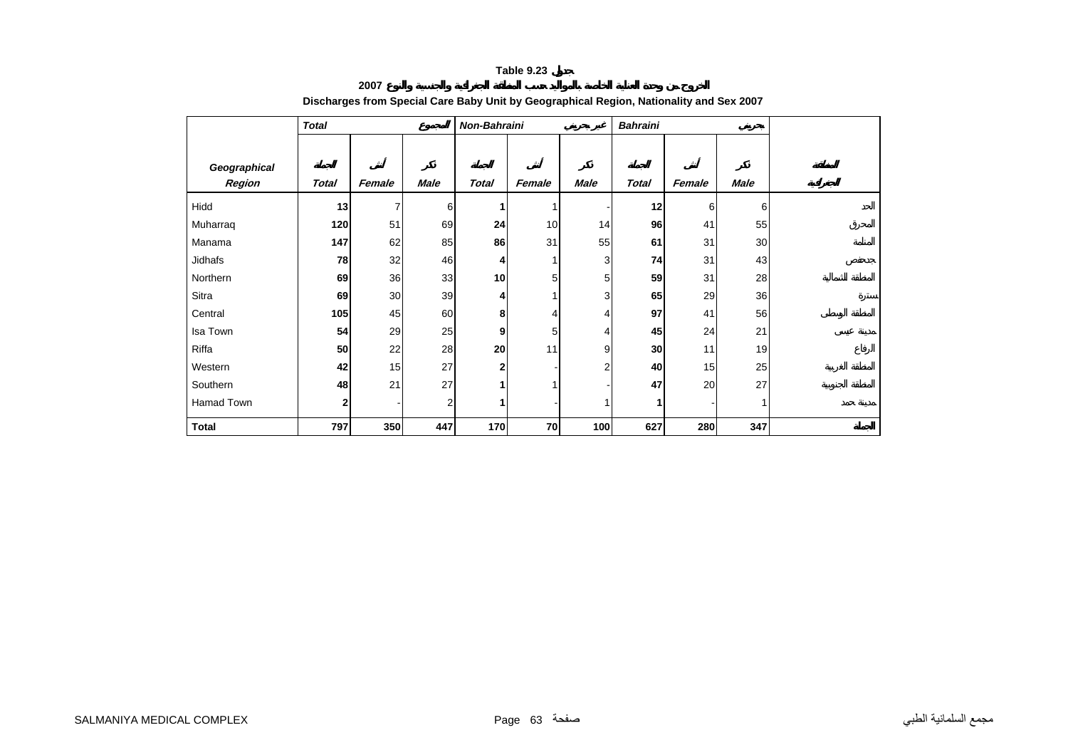**2007**

|                        | <b>Total</b> |                |                | Non-Bahraini |        |                | <b>Bahraini</b> |        |             |  |
|------------------------|--------------|----------------|----------------|--------------|--------|----------------|-----------------|--------|-------------|--|
| Geographical<br>Region | Total        | Female         | <b>Male</b>    | <b>Total</b> | Female | Male           | <b>Total</b>    | Female | <b>Male</b> |  |
| Hidd                   | 13           | $\overline{7}$ | 6              |              | 1      |                | 12              | 6      | 6           |  |
| Muharraq               | 120          | 51             | 69             | 24           | 10     | 14             | 96              | 41     | 55          |  |
| Manama                 | 147          | 62             | 85             | 86           | 31     | 55             | 61              | 31     | 30          |  |
| Jidhafs                | 78           | 32             | 46             | 4.           |        | 3              | 74              | 31     | 43          |  |
| Northern               | 69           | 36             | 33             | 10           | 5      | 5              | 59              | 31     | 28          |  |
| Sitra                  | 69           | 30             | 39             | 4            |        | 3              | 65              | 29     | 36          |  |
| Central                | 105          | 45             | 60             | 8            | 4      | 4              | 97              | 41     | 56          |  |
| Isa Town               | 54           | 29             | 25             | 9            | 5      | $\overline{4}$ | 45              | 24     | 21          |  |
| Riffa                  | 50           | 22             | 28             | 20           | 11     | 9              | 30              | 11     | 19          |  |
| Western                | 42           | 15             | 27             | 2            |        | $\overline{2}$ | 40              | 15     | 25          |  |
| Southern               | 48           | 21             | 27             |              | 1      |                | 47              | 20     | 27          |  |
| Hamad Town             | $\mathbf 2$  |                | $\overline{2}$ |              |        |                | 1               |        | 1           |  |
| <b>Total</b>           | 797          | 350            | 447            | 170          | 70     | 100            | 627             | 280    | 347         |  |

#### **Discharges from Special Care Baby Unit by Geographical Region, Nationality and Sex 2007**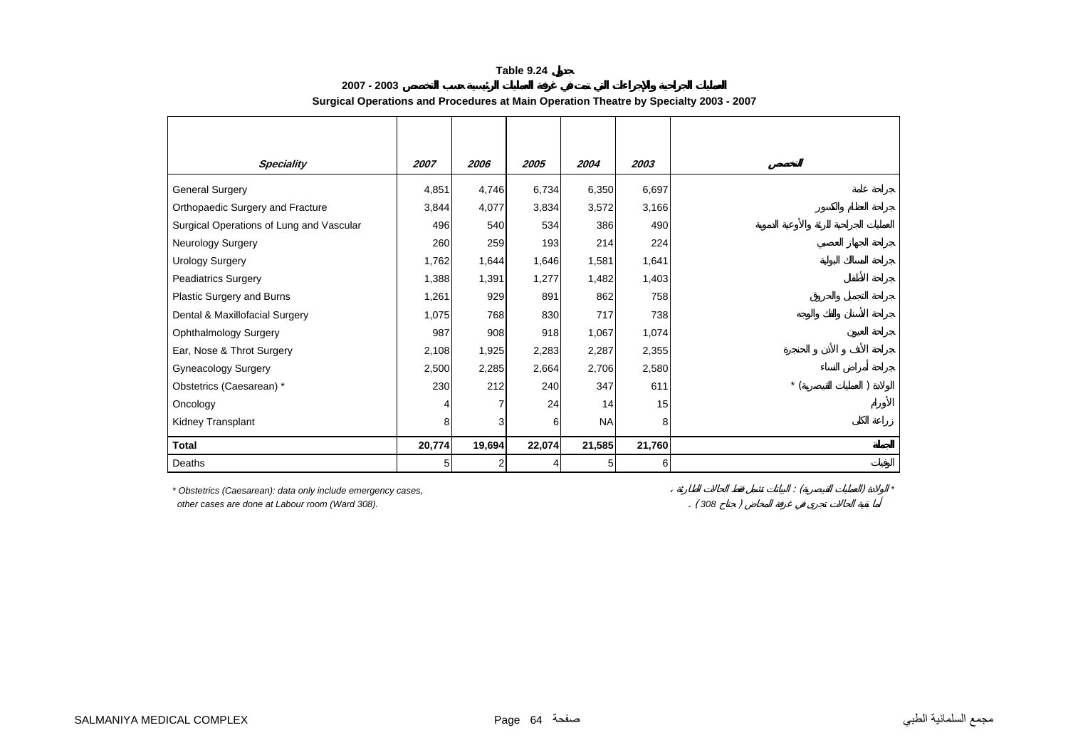| <b>Speciality</b>                                                                                               | 2007   | 2006   | 2005   | 2004      | 2003   |       |                |  |
|-----------------------------------------------------------------------------------------------------------------|--------|--------|--------|-----------|--------|-------|----------------|--|
| <b>General Surgery</b>                                                                                          | 4,851  | 4,746  | 6,734  | 6,350     | 6,697  |       |                |  |
| Orthopaedic Surgery and Fracture                                                                                | 3,844  | 4,077  | 3,834  | 3,572     | 3,166  |       |                |  |
| Surgical Operations of Lung and Vascular                                                                        | 496    | 540    | 534    | 386       | 490    |       |                |  |
| <b>Neurology Surgery</b>                                                                                        | 260    | 259    | 193    | 214       | 224    |       |                |  |
| <b>Urology Surgery</b>                                                                                          | 1,762  | 1,644  | 1,646  | 1,581     | 1,641  |       |                |  |
| <b>Peadiatrics Surgery</b>                                                                                      | 1,388  | 1,391  | 1,277  | 1,482     | 1,403  |       |                |  |
| Plastic Surgery and Burns                                                                                       | 1,261  | 929    | 891    | 862       | 758    |       |                |  |
| Dental & Maxillofacial Surgery                                                                                  | 1,075  | 768    | 830    | 717       | 738    |       |                |  |
| <b>Ophthalmology Surgery</b>                                                                                    | 987    | 908    | 918    | 1,067     | 1,074  |       |                |  |
| Ear, Nose & Throt Surgery                                                                                       | 2,108  | 1,925  | 2,283  | 2,287     | 2,355  |       |                |  |
| <b>Gyneacology Surgery</b>                                                                                      | 2,500  | 2,285  | 2,664  | 2,706     | 2,580  |       |                |  |
| Obstetrics (Caesarean) *                                                                                        | 230    | 212    | 240    | 347       | 611    |       | $*$ (          |  |
| Oncology                                                                                                        |        |        | 24     | 14        | 15     |       |                |  |
| <b>Kidney Transplant</b>                                                                                        | 8      | 3      | 6      | <b>NA</b> | 8      |       |                |  |
| <b>Total</b>                                                                                                    | 20,774 | 19,694 | 22,074 | 21,585    | 21,760 |       |                |  |
| Deaths                                                                                                          | 5      | 2      | 4      | 5         | 6      |       |                |  |
| * Obstetrics (Caesarean): data only include emergency cases,<br>other cases are done at Labour room (Ward 308). |        |        |        |           |        | (308) | $\therefore$ ( |  |

#### **2007 - 2003Surgical Operations and Procedures at Main Operation Theatre by Specialty 2003 - 2007**